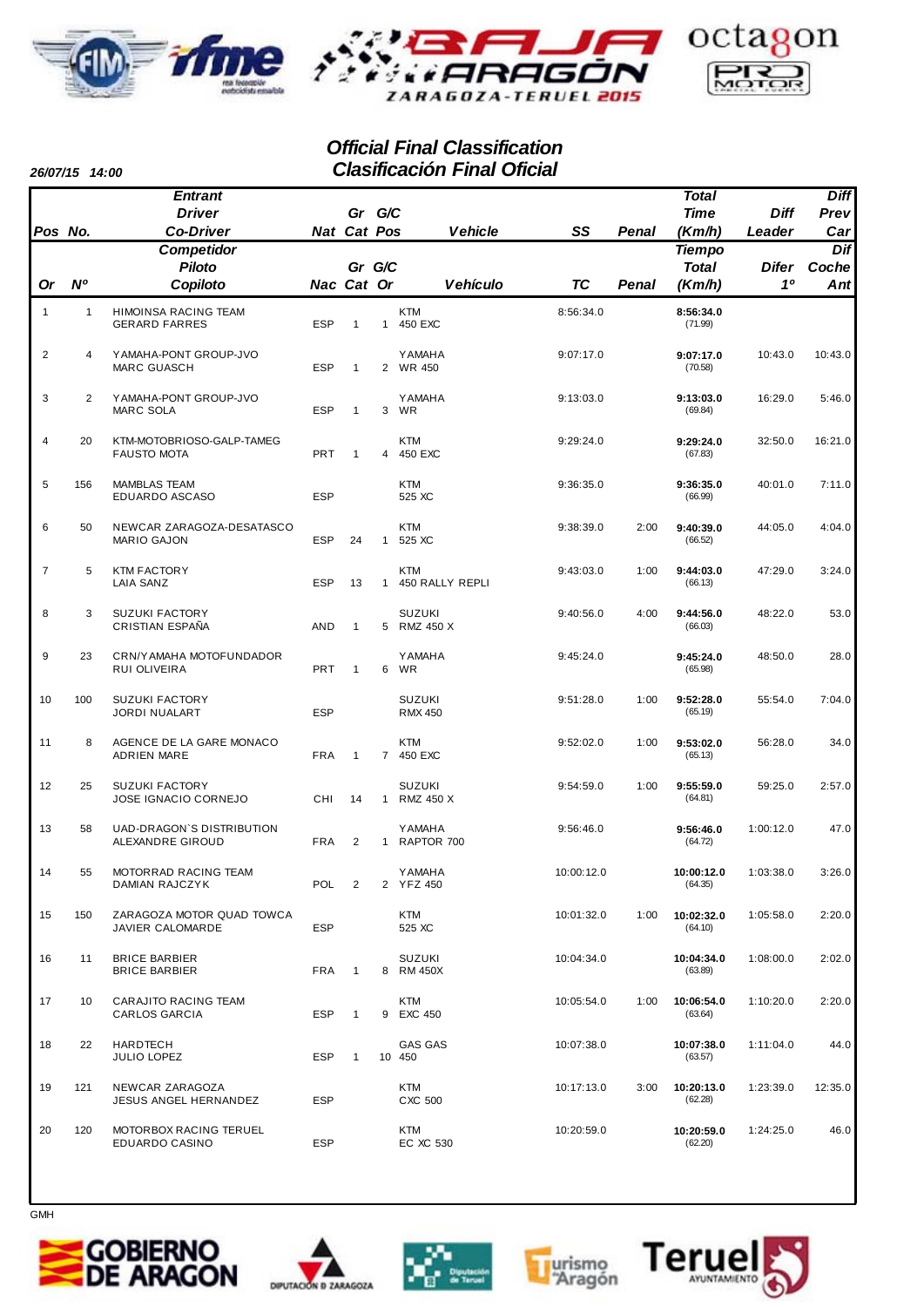



### *Official Final Classification Clasificación Final Oficial*

*26/07/15 14:00*

| <i>20/01/13</i> | 14.UU          | <b>Entrant</b>                                  |            |                |                | ווטווו וויוטוטטווונטוט          |            |       | <b>Total</b>          |                | <b>Diff</b> |
|-----------------|----------------|-------------------------------------------------|------------|----------------|----------------|---------------------------------|------------|-------|-----------------------|----------------|-------------|
|                 |                | <b>Driver</b>                                   |            | Gr G/C         |                |                                 |            |       | <b>Time</b>           | <b>Diff</b>    | Prev        |
| Pos No.         |                | <b>Co-Driver</b>                                |            | Nat Cat Pos    |                | <b>Vehicle</b>                  | SS         | Penal | (Km/h)                | Leader         | Car         |
|                 |                | Competidor                                      |            |                |                |                                 |            |       | <b>Tiempo</b>         |                | Dif         |
|                 |                | <b>Piloto</b>                                   |            | Gr G/C         |                |                                 |            |       | <b>Total</b>          | <b>Difer</b>   | Coche       |
| Or              | N <sup>o</sup> | Copiloto                                        | Nac Cat Or |                |                | <b>Vehículo</b>                 | <b>TC</b>  | Penal | (Km/h)                | 1 <sup>0</sup> | Ant         |
| 1               | $\mathbf{1}$   | HIMOINSA RACING TEAM<br><b>GERARD FARRES</b>    | <b>ESP</b> | $\mathbf{1}$   | $\mathbf{1}$   | <b>KTM</b><br>450 EXC           | 8:56:34.0  |       | 8:56:34.0<br>(71.99)  |                |             |
| $\overline{c}$  | 4              | YAMAHA-PONT GROUP-JVO<br><b>MARC GUASCH</b>     | <b>ESP</b> | $\mathbf{1}$   |                | <b>YAMAHA</b><br>2 WR 450       | 9:07:17.0  |       | 9:07:17.0<br>(70.58)  | 10:43.0        | 10:43.0     |
| 3               | 2              | YAMAHA-PONT GROUP-JVO<br><b>MARC SOLA</b>       | <b>ESP</b> | $\mathbf{1}$   | 3              | <b>YAMAHA</b><br>WR             | 9:13:03.0  |       | 9:13:03.0<br>(69.84)  | 16:29.0        | 5:46.0      |
| $\overline{4}$  | 20             | KTM-MOTOBRIOSO-GALP-TAMEG<br><b>FAUSTO MOTA</b> | <b>PRT</b> | $\mathbf{1}$   | 4              | <b>KTM</b><br>450 EXC           | 9:29:24.0  |       | 9:29:24.0<br>(67.83)  | 32:50.0        | 16:21.0     |
| 5               | 156            | <b>MAMBLAS TEAM</b><br>EDUARDO ASCASO           | <b>ESP</b> |                |                | <b>KTM</b><br>525 XC            | 9:36:35.0  |       | 9:36:35.0<br>(66.99)  | 40:01.0        | 7:11.0      |
| 6               | 50             | NEWCAR ZARAGOZA-DESATASCO<br><b>MARIO GAJON</b> | <b>ESP</b> | 24             | $\mathbf{1}$   | <b>KTM</b><br>525 XC            | 9:38:39.0  | 2:00  | 9:40:39.0<br>(66.52)  | 44:05.0        | 4:04.0      |
| $\overline{7}$  | 5              | <b>KTM FACTORY</b><br><b>LAIA SANZ</b>          | <b>ESP</b> | 13             | $\mathbf{1}$   | <b>KTM</b><br>450 RALLY REPLI   | 9:43:03.0  | 1:00  | 9:44:03.0<br>(66.13)  | 47:29.0        | 3:24.0      |
| 8               | 3              | <b>SUZUKI FACTORY</b><br><b>CRISTIAN ESPAÑA</b> | <b>AND</b> | 1              | 5 <sup>5</sup> | <b>SUZUKI</b><br>RMZ 450 X      | 9:40:56.0  | 4:00  | 9:44:56.0<br>(66.03)  | 48:22.0        | 53.0        |
| 9               | 23             | CRN/YAMAHA MOTOFUNDADOR<br>RUI OLIVEIRA         | <b>PRT</b> | $\mathbf{1}$   | 6              | <b>YAMAHA</b><br>WR             | 9:45:24.0  |       | 9:45:24.0<br>(65.98)  | 48:50.0        | 28.0        |
| 10              | 100            | <b>SUZUKI FACTORY</b><br>JORDI NUALART          | <b>ESP</b> |                |                | <b>SUZUKI</b><br><b>RMX 450</b> | 9:51:28.0  | 1:00  | 9:52:28.0<br>(65.19)  | 55:54.0        | 7:04.0      |
| 11              | 8              | AGENCE DE LA GARE MONACO<br><b>ADRIEN MARE</b>  | <b>FRA</b> | $\mathbf{1}$   |                | <b>KTM</b><br>7 450 EXC         | 9:52:02.0  | 1:00  | 9:53:02.0<br>(65.13)  | 56:28.0        | 34.0        |
| 12              | 25             | <b>SUZUKI FACTORY</b><br>JOSE IGNACIO CORNEJO   | <b>CHI</b> | 14             | $\mathbf{1}$   | <b>SUZUKI</b><br>RMZ 450 X      | 9:54:59.0  | 1:00  | 9:55:59.0<br>(64.81)  | 59:25.0        | 2:57.0      |
| 13              | 58             | UAD-DRAGON'S DISTRIBUTION<br>ALEXANDRE GIROUD   | <b>FRA</b> | $\overline{2}$ | 1              | <b>YAMAHA</b><br>RAPTOR 700     | 9:56:46.0  |       | 9:56:46.0<br>(64.72)  | 1:00:12.0      | 47.0        |
| 14              | 55             | MOTORRAD RACING TEAM<br>DAMIAN RAJCZYK          | POL        | $\overline{2}$ |                | <b>YAMAHA</b><br>2 YFZ 450      | 10:00:12.0 |       | 10:00:12.0<br>(64.35) | 1:03:38.0      | 3:26.0      |
| 15              | 150            | ZARAGOZA MOTOR QUAD TOWCA<br>JAVIER CALOMARDE   | <b>ESP</b> |                |                | <b>KTM</b><br>525 XC            | 10:01:32.0 | 1:00  | 10:02:32.0<br>(64.10) | 1:05:58.0      | 2:20.0      |
| 16              | 11             | <b>BRICE BARBIER</b><br><b>BRICE BARBIER</b>    | <b>FRA</b> | $\mathbf{1}$   |                | <b>SUZUKI</b><br>8 RM 450X      | 10:04:34.0 |       | 10:04:34.0<br>(63.89) | 1:08:00.0      | 2:02.0      |
| 17              | 10             | CARAJITO RACING TEAM<br>CARLOS GARCIA           | <b>ESP</b> | $\mathbf{1}$   |                | <b>KTM</b><br>9 EXC 450         | 10:05:54.0 | 1:00  | 10:06:54.0<br>(63.64) | 1:10:20.0      | 2:20.0      |
| 18              | 22             | <b>HARDTECH</b><br>JULIO LOPEZ                  | <b>ESP</b> | $\mathbf{1}$   |                | GAS GAS<br>10 450               | 10:07:38.0 |       | 10:07:38.0<br>(63.57) | 1:11:04.0      | 44.0        |
| 19              | 121            | NEWCAR ZARAGOZA<br><b>JESUS ANGEL HERNANDEZ</b> | <b>ESP</b> |                |                | <b>KTM</b><br>CXC 500           | 10:17:13.0 | 3:00  | 10:20:13.0<br>(62.28) | 1:23:39.0      | 12:35.0     |
| 20              | 120            | MOTORBOX RACING TERUEL<br>EDUARDO CASINO        | <b>ESP</b> |                |                | <b>KTM</b><br>EC XC 530         | 10:20:59.0 |       | 10:20:59.0<br>(62.20) | 1:24:25.0      | 46.0        |









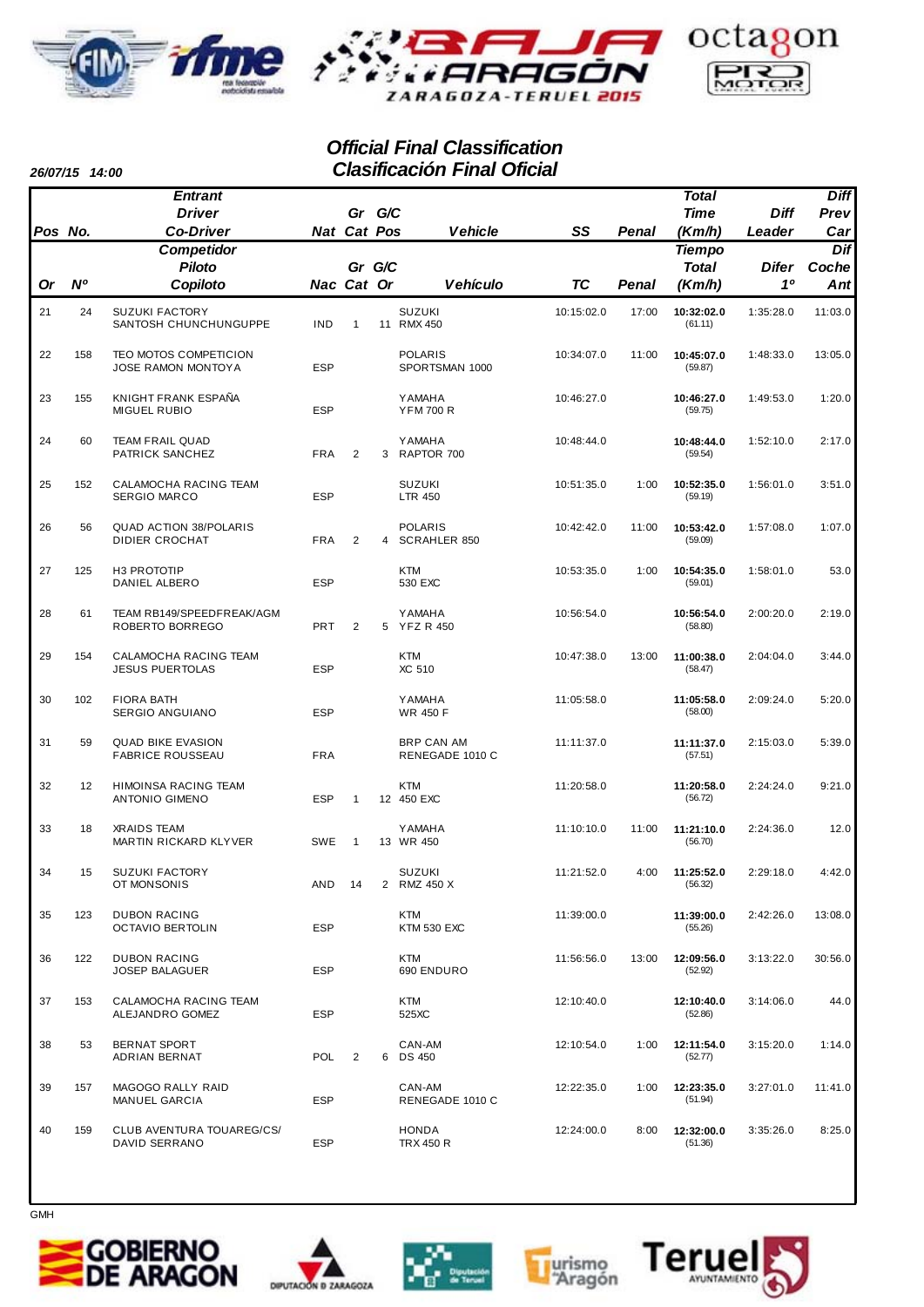



## *Official Final Classification Clasificación Final Oficial*

| 26/07/15 | 14:00 |
|----------|-------|
|          |       |

|           |                | <b>Entrant</b>                                      |             |                |   |                                   |            |       | Total                  |                    | <b>Diff</b>  |
|-----------|----------------|-----------------------------------------------------|-------------|----------------|---|-----------------------------------|------------|-------|------------------------|--------------------|--------------|
|           |                | <b>Driver</b>                                       |             | Gr G/C         |   |                                   |            |       | <b>Time</b>            | <b>Diff</b>        | Prev         |
| Pos No.   |                | <b>Co-Driver</b>                                    | Nat Cat Pos |                |   | <b>Vehicle</b>                    | SS         | Penal | (Km/h)                 | Leader             | Car          |
|           |                | <b>Competidor</b>                                   |             |                |   |                                   |            |       | <b>Tiempo</b>          |                    | Dif          |
| <b>Or</b> | N <sup>o</sup> | <b>Piloto</b><br>Copiloto                           | Nac Cat Or  | Gr G/C         |   | <b>Vehículo</b>                   | <b>TC</b>  | Penal | <b>Total</b><br>(Km/h) | <b>Difer</b><br>10 | Coche<br>Ant |
|           |                |                                                     |             |                |   |                                   |            |       |                        |                    |              |
| 21        | 24             | <b>SUZUKI FACTORY</b><br>SANTOSH CHUNCHUNGUPPE      | IND         | $\mathbf{1}$   |   | <b>SUZUKI</b><br>11 RMX 450       | 10:15:02.0 | 17:00 | 10:32:02.0<br>(61.11)  | 1:35:28.0          | 11:03.0      |
| 22        | 158            | <b>TEO MOTOS COMPETICION</b><br>JOSE RAMON MONTOYA  | <b>ESP</b>  |                |   | <b>POLARIS</b><br>SPORTSMAN 1000  | 10:34:07.0 | 11:00 | 10:45:07.0<br>(59.87)  | 1:48:33.0          | 13:05.0      |
| 23        | 155            | KNIGHT FRANK ESPAÑA<br>MIGUEL RUBIO                 | <b>ESP</b>  |                |   | <b>YAMAHA</b><br><b>YFM 700 R</b> | 10:46:27.0 |       | 10:46:27.0<br>(59.75)  | 1:49:53.0          | 1:20.0       |
| 24        | 60             | <b>TEAM FRAIL QUAD</b><br>PATRICK SANCHEZ           | <b>FRA</b>  | 2              | 3 | <b>YAMAHA</b><br>RAPTOR 700       | 10:48:44.0 |       | 10:48:44.0<br>(59.54)  | 1:52:10.0          | 2:17.0       |
| 25        | 152            | CALAMOCHA RACING TEAM<br><b>SERGIO MARCO</b>        | <b>ESP</b>  |                |   | <b>SUZUKI</b><br><b>LTR 450</b>   | 10:51:35.0 | 1:00  | 10:52:35.0<br>(59.19)  | 1:56:01.0          | 3:51.0       |
| 26        | 56             | <b>QUAD ACTION 38/POLARIS</b><br>DIDIER CROCHAT     | <b>FRA</b>  | 2              | 4 | <b>POLARIS</b><br>SCRAHLER 850    | 10:42:42.0 | 11:00 | 10:53:42.0<br>(59.09)  | 1:57:08.0          | 1:07.0       |
| 27        | 125            | H3 PROTOTIP<br>DANIEL ALBERO                        | <b>ESP</b>  |                |   | <b>KTM</b><br>530 EXC             | 10:53:35.0 | 1:00  | 10:54:35.0<br>(59.01)  | 1:58:01.0          | 53.0         |
| 28        | 61             | TEAM RB149/SPEEDFREAK/AGM<br>ROBERTO BORREGO        | <b>PRT</b>  | $\overline{2}$ | 5 | <b>YAMAHA</b><br><b>YFZ R 450</b> | 10:56:54.0 |       | 10:56:54.0<br>(58.80)  | 2:00:20.0          | 2:19.0       |
| 29        | 154            | CALAMOCHA RACING TEAM<br><b>JESUS PUERTOLAS</b>     | <b>ESP</b>  |                |   | <b>KTM</b><br>XC 510              | 10:47:38.0 | 13:00 | 11:00:38.0<br>(58.47)  | 2:04:04.0          | 3:44.0       |
| 30        | 102            | <b>FIORA BATH</b><br>SERGIO ANGUIANO                | <b>ESP</b>  |                |   | <b>YAMAHA</b><br>WR 450 F         | 11:05:58.0 |       | 11:05:58.0<br>(58.00)  | 2:09:24.0          | 5:20.0       |
| 31        | 59             | <b>QUAD BIKE EVASION</b><br><b>FABRICE ROUSSEAU</b> | <b>FRA</b>  |                |   | BRP CAN AM<br>RENEGADE 1010 C     | 11:11:37.0 |       | 11:11:37.0<br>(57.51)  | 2:15:03.0          | 5:39.0       |
| 32        | 12             | HIMOINSA RACING TEAM<br><b>ANTONIO GIMENO</b>       | <b>ESP</b>  | $\mathbf{1}$   |   | <b>KTM</b><br>12 450 EXC          | 11:20:58.0 |       | 11:20:58.0<br>(56.72)  | 2:24:24.0          | 9:21.0       |
| 33        | 18             | <b>XRAIDS TEAM</b><br>MARTIN RICKARD KLYVER         | <b>SWE</b>  | $\mathbf{1}$   |   | <b>YAMAHA</b><br>13 WR 450        | 11:10:10.0 | 11:00 | 11:21:10.0<br>(56.70)  | 2:24:36.0          | 12.0         |
| 34        | 15             | <b>SUZUKI FACTORY</b><br>OT MONSONIS                | AND         | 14             |   | <b>SUZUKI</b><br>2 RMZ 450 X      | 11:21:52.0 | 4:00  | 11:25:52.0<br>(56.32)  | 2:29:18.0          | 4:42.0       |
| 35        | 123            | <b>DUBON RACING</b><br>OCTAVIO BERTOLIN             | ESP         |                |   | KTM<br>KTM 530 EXC                | 11:39:00.0 |       | 11:39:00.0<br>(55.26)  | 2:42:26.0          | 13:08.0      |
| 36        | 122            | <b>DUBON RACING</b><br>JOSEP BALAGUER               | <b>ESP</b>  |                |   | KTM<br>690 ENDURO                 | 11:56:56.0 | 13:00 | 12:09:56.0<br>(52.92)  | 3:13:22.0          | 30:56.0      |
| 37        | 153            | CALAMOCHA RACING TEAM<br>ALEJANDRO GOMEZ            | ESP         |                |   | KTM<br>525XC                      | 12:10:40.0 |       | 12:10:40.0<br>(52.86)  | 3:14:06.0          | 44.0         |
| 38        | 53             | <b>BERNAT SPORT</b><br>ADRIAN BERNAT                | POL         | $\overline{2}$ |   | CAN-AM<br>6 DS 450                | 12:10:54.0 | 1:00  | 12:11:54.0<br>(52.77)  | 3:15:20.0          | 1:14.0       |
| 39        | 157            | MAGOGO RALLY RAID<br>MANUEL GARCIA                  | <b>ESP</b>  |                |   | CAN-AM<br>RENEGADE 1010 C         | 12:22:35.0 | 1:00  | 12:23:35.0<br>(51.94)  | 3:27:01.0          | 11:41.0      |
| 40        | 159            | CLUB AVENTURA TOUAREG/CS/<br>DAVID SERRANO          | ESP         |                |   | <b>HONDA</b><br>TRX 450 R         | 12:24:00.0 | 8:00  | 12:32:00.0<br>(51.36)  | 3:35:26.0          | 8:25.0       |









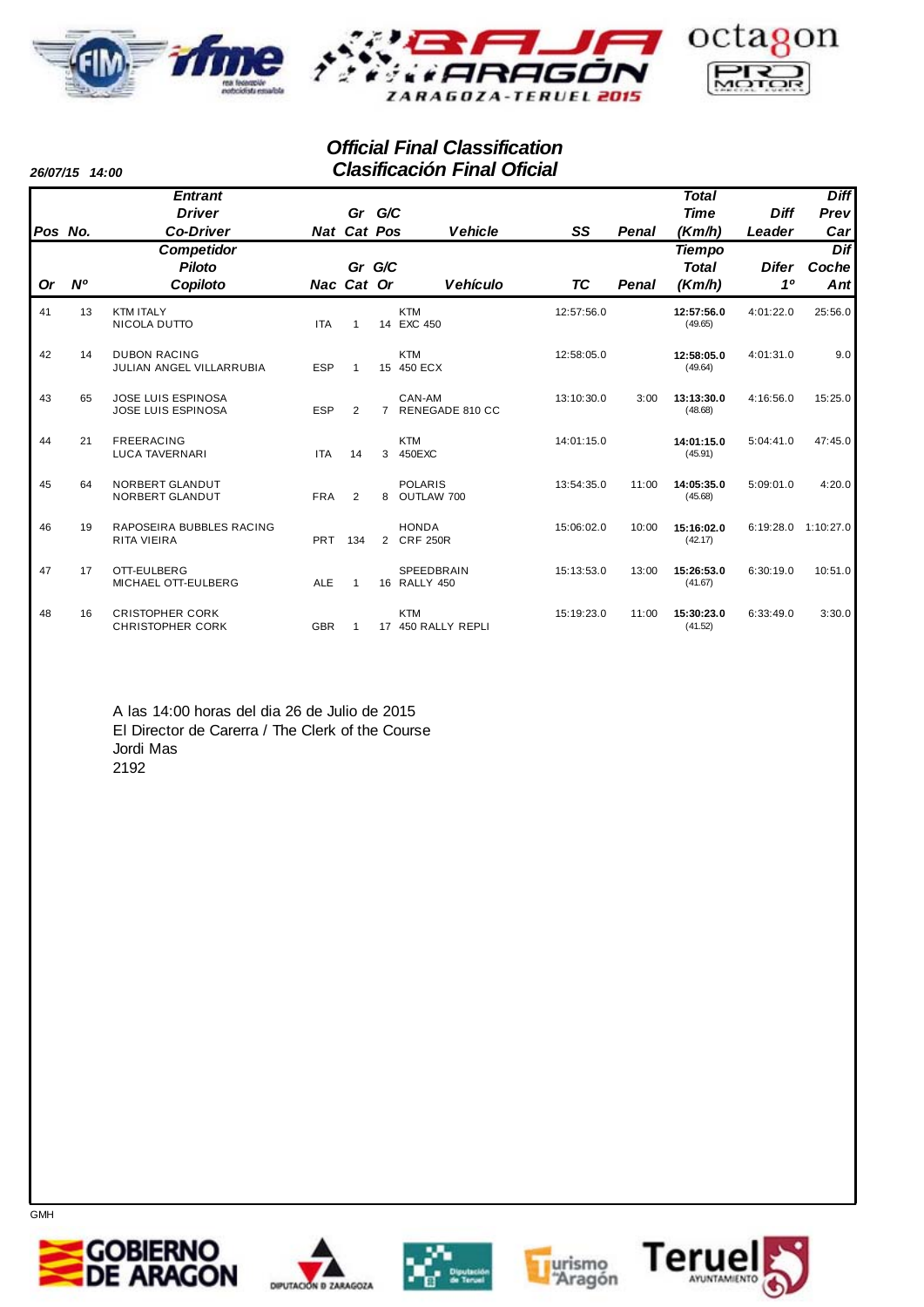



## *Official Final Classification Clasificación Final Oficial*

*26/07/15 14:00*

|         |             | <b>Entrant</b>                                         |            |                    |                |                                  |            |              | <b>Total</b>          |              | <b>Diff</b> |
|---------|-------------|--------------------------------------------------------|------------|--------------------|----------------|----------------------------------|------------|--------------|-----------------------|--------------|-------------|
|         |             | <b>Driver</b>                                          |            | Gr G/C             |                |                                  |            |              | <b>Time</b>           | <b>Diff</b>  | Prev        |
| Pos No. |             | <b>Co-Driver</b>                                       |            | <b>Nat Cat Pos</b> |                | <b>Vehicle</b>                   | SS         | <b>Penal</b> | (Km/h)                | Leader       | Car         |
|         |             | <b>Competidor</b>                                      |            |                    |                |                                  |            |              | <b>Tiempo</b>         |              | Dif         |
|         |             | <b>Piloto</b>                                          |            | Gr G/C             |                |                                  |            |              | <b>Total</b>          | <b>Difer</b> | Coche       |
| Or      | $N^{\rm o}$ | Copiloto                                               | Nac Cat Or |                    |                | <b>Vehículo</b>                  | TC         | Penal        | (Km/h)                | 10           | Ant         |
| 41      | 13          | <b>KTM ITALY</b><br>NICOLA DUTTO                       | <b>ITA</b> | 1                  |                | <b>KTM</b><br>14 EXC 450         | 12:57:56.0 |              | 12:57:56.0<br>(49.65) | 4:01:22.0    | 25:56.0     |
| 42      | 14          | <b>DUBON RACING</b><br>JULIAN ANGEL VILLARRUBIA        | <b>ESP</b> | 1                  |                | <b>KTM</b><br>15 450 ECX         | 12:58:05.0 |              | 12:58:05.0<br>(49.64) | 4:01:31.0    | 9.0         |
| 43      | 65          | <b>JOSE LUIS ESPINOSA</b><br><b>JOSE LUIS ESPINOSA</b> | <b>ESP</b> | $\overline{2}$     | $\overline{7}$ | CAN-AM<br>RENEGADE 810 CC        | 13:10:30.0 | 3:00         | 13:13:30.0<br>(48.68) | 4:16:56.0    | 15:25.0     |
| 44      | 21          | <b>FREERACING</b><br><b>LUCA TAVERNARI</b>             | <b>ITA</b> | 14                 | 3              | <b>KTM</b><br>450EXC             | 14:01:15.0 |              | 14:01:15.0<br>(45.91) | 5:04:41.0    | 47:45.0     |
| 45      | 64          | NORBERT GLANDUT<br>NORBERT GLANDUT                     | <b>FRA</b> | $\overline{2}$     | 8              | <b>POLARIS</b><br>OUTLAW 700     | 13:54:35.0 | 11:00        | 14:05:35.0<br>(45.68) | 5:09:01.0    | 4:20.0      |
| 46      | 19          | RAPOSEIRA BUBBLES RACING<br><b>RITA VIEIRA</b>         | <b>PRT</b> | 134                |                | <b>HONDA</b><br>2 CRF 250R       | 15:06:02.0 | 10:00        | 15:16:02.0<br>(42.17) | 6:19:28.0    | 1:10:27.0   |
| 47      | 17          | OTT-EULBERG<br>MICHAEL OTT-EULBERG                     | <b>ALE</b> | 1                  |                | SPEEDBRAIN<br>16 RALLY 450       | 15:13:53.0 | 13:00        | 15:26:53.0<br>(41.67) | 6:30:19.0    | 10:51.0     |
| 48      | 16          | <b>CRISTOPHER CORK</b><br><b>CHRISTOPHER CORK</b>      | <b>GBR</b> | 1                  |                | <b>KTM</b><br>17 450 RALLY REPLI | 15:19:23.0 | 11:00        | 15:30:23.0<br>(41.52) | 6:33:49.0    | 3:30.0      |

A las 14:00 horas del dia 26 de Julio de 2015 El Director de Carerra / The Clerk of the Course Jordi Mas 2192









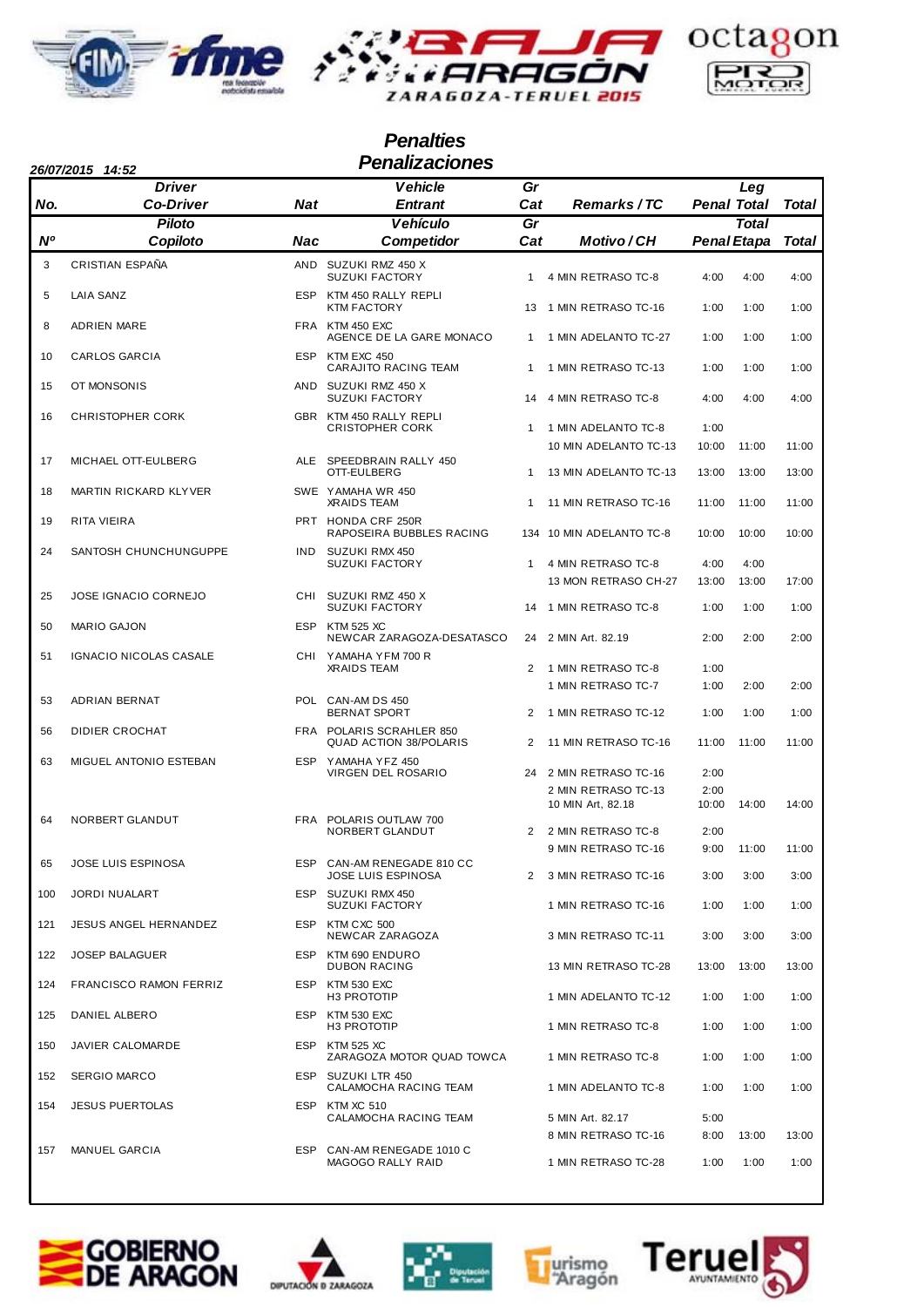





## *Penalties 26/07/2015 14:52 Penalizaciones*

|     | <b>Driver</b>                 |            | <b>Vehicle</b>                                            | Gr                   |                                              |               | Leg                                |              |
|-----|-------------------------------|------------|-----------------------------------------------------------|----------------------|----------------------------------------------|---------------|------------------------------------|--------------|
| No. | <b>Co-Driver</b>              | Nat        | <b>Entrant</b>                                            | Cat                  | <b>Remarks/TC</b>                            |               | <b>Penal Total</b>                 | Total        |
| N°  | <b>Piloto</b><br>Copiloto     | Nac        | <b>Vehículo</b><br><b>Competidor</b>                      | Gr<br>Cat            | Motivo/CH                                    |               | <b>Total</b><br><b>Penal Etapa</b> | Total        |
| 3   | CRISTIAN ESPAÑA               |            | AND SUZUKI RMZ 450 X<br><b>SUZUKI FACTORY</b>             | $\mathbf{1}$         | 4 MIN RETRASO TC-8                           | 4:00          | 4:00                               | 4:00         |
| 5   | <b>LAIA SANZ</b>              |            | ESP KTM 450 RALLY REPLI<br><b>KTM FACTORY</b>             | 13                   | 1 MIN RETRASO TC-16                          | 1:00          | 1:00                               | 1:00         |
| 8   | <b>ADRIEN MARE</b>            |            | FRA KTM 450 EXC<br>AGENCE DE LA GARE MONACO               | $\mathbf{1}$         | 1 MIN ADELANTO TC-27                         | 1:00          | 1:00                               | 1:00         |
| 10  | <b>CARLOS GARCIA</b>          |            | ESP KTM EXC 450<br>CARAJITO RACING TEAM                   | $\mathbf{1}$         | 1 MIN RETRASO TC-13                          | 1:00          | 1:00                               | 1:00         |
| 15  | OT MONSONIS                   |            | AND SUZUKI RMZ 450 X<br><b>SUZUKI FACTORY</b>             | 14                   | 4 MIN RETRASO TC-8                           | 4:00          | 4:00                               | 4:00         |
| 16  | <b>CHRISTOPHER CORK</b>       |            | GBR KTM 450 RALLY REPLI                                   |                      |                                              |               |                                    |              |
|     |                               |            | <b>CRISTOPHER CORK</b>                                    | $\mathbf{1}$         | 1 MIN ADELANTO TC-8<br>10 MIN ADELANTO TC-13 | 1:00<br>10:00 | 11:00                              | 11:00        |
| 17  | MICHAEL OTT-EULBERG           |            | ALE SPEEDBRAIN RALLY 450<br>OTT-EULBERG                   | $\mathbf{1}$         | 13 MIN ADELANTO TC-13                        | 13:00         | 13:00                              | 13:00        |
| 18  | MARTIN RICKARD KLYVER         |            | SWE YAMAHA WR 450<br><b>XRAIDS TEAM</b>                   | $\mathbf{1}$         | 11 MIN RETRASO TC-16                         | 11:00         | 11:00                              | 11:00        |
| 19  | RITA VIEIRA                   |            | PRT HONDA CRF 250R<br>RAPOSEIRA BUBBLES RACING            |                      | 134 10 MIN ADELANTO TC-8                     | 10:00         | 10:00                              | 10:00        |
| 24  | SANTOSH CHUNCHUNGUPPE         | <b>IND</b> | SUZUKI RMX 450<br><b>SUZUKI FACTORY</b>                   | $\mathbf{1}$         | 4 MIN RETRASO TC-8                           | 4:00          | 4:00                               |              |
|     |                               |            |                                                           |                      | 13 MON RETRASO CH-27                         | 13:00         | 13:00                              | 17:00        |
| 25  | <b>JOSE IGNACIO CORNEJO</b>   |            | CHI SUZUKI RMZ 450 X<br><b>SUZUKI FACTORY</b>             | 14                   | 1 MIN RETRASO TC-8                           | 1:00          | 1:00                               | 1:00         |
| 50  | <b>MARIO GAJON</b>            |            | ESP KTM 525 XC<br>NEWCAR ZARAGOZA-DESATASCO               |                      | 24 2 MIN Art. 82.19                          | 2:00          | 2:00                               | 2:00         |
| 51  | IGNACIO NICOLAS CASALE        |            | CHI YAMAHA YFM 700 R<br><b>XRAIDS TEAM</b>                | $\overline{2}$       | 1 MIN RETRASO TC-8                           | 1:00          |                                    |              |
| 53  | ADRIAN BERNAT                 |            | POL CAN-AM DS 450<br><b>BERNAT SPORT</b>                  | $\overline{2}$       | 1 MIN RETRASO TC-7<br>1 MIN RETRASO TC-12    | 1:00<br>1:00  | 2:00<br>1:00                       | 2:00<br>1:00 |
| 56  | <b>DIDIER CROCHAT</b>         |            | FRA POLARIS SCRAHLER 850<br><b>QUAD ACTION 38/POLARIS</b> | $\overline{2}$       | 11 MIN RETRASO TC-16                         | 11:00         | 11:00                              | 11:00        |
| 63  | MIGUEL ANTONIO ESTEBAN        |            | ESP YAMAHA YFZ 450<br>VIRGEN DEL ROSARIO                  | 24                   | 2 MIN RETRASO TC-16                          | 2:00          |                                    |              |
|     |                               |            |                                                           |                      | 2 MIN RETRASO TC-13                          | 2:00          |                                    |              |
| 64  | NORBERT GLANDUT               |            | FRA POLARIS OUTLAW 700                                    |                      | 10 MIN Art, 82.18                            | 10:00         | 14:00                              | 14:00        |
|     |                               |            | NORBERT GLANDUT                                           | 2                    | 2 MIN RETRASO TC-8                           | 2:00          |                                    |              |
| 65  | JOSE LUIS ESPINOSA            |            | ESP CAN-AM RENEGADE 810 CC                                |                      | 9 MIN RETRASO TC-16                          | 9:00          | 11:00                              | 11:00        |
|     |                               |            | <b>JOSE LUIS ESPINOSA</b><br>ESP SUZUKI RMX 450           | $\mathbf{2}^{\circ}$ | 3 MIN RETRASO TC-16                          | 3:00          | 3:00                               | 3:00         |
| 100 | <b>JORDI NUALART</b>          |            | <b>SUZUKI FACTORY</b>                                     |                      | 1 MIN RETRASO TC-16                          | 1:00          | 1:00                               | 1:00         |
| 121 | <b>JESUS ANGEL HERNANDEZ</b>  |            | ESP KTM CXC 500<br>NEWCAR ZARAGOZA                        |                      | 3 MIN RETRASO TC-11                          | 3:00          | 3:00                               | 3:00         |
| 122 | JOSEP BALAGUER                |            | ESP KTM 690 ENDURO<br><b>DUBON RACING</b>                 |                      | 13 MIN RETRASO TC-28                         | 13:00         | 13:00                              | 13:00        |
| 124 | <b>FRANCISCO RAMON FERRIZ</b> |            | ESP KTM 530 EXC<br>H3 PROTOTIP                            |                      | 1 MIN ADELANTO TC-12                         | 1:00          | 1:00                               | 1:00         |
| 125 | DANIEL ALBERO                 |            | ESP KTM 530 EXC<br>H3 PROTOTIP                            |                      | 1 MIN RETRASO TC-8                           | 1:00          | 1:00                               | 1:00         |
| 150 | JAVIER CALOMARDE              |            | ESP KTM 525 XC<br>ZARAGOZA MOTOR QUAD TOWCA               |                      | 1 MIN RETRASO TC-8                           | 1:00          | 1:00                               | 1:00         |
| 152 | <b>SERGIO MARCO</b>           |            | ESP SUZUKI LTR 450<br>CALAMOCHA RACING TEAM               |                      | 1 MIN ADELANTO TC-8                          | 1:00          | 1:00                               | 1:00         |
| 154 | <b>JESUS PUERTOLAS</b>        |            | ESP KTM XC 510<br>CALAMOCHA RACING TEAM                   |                      | 5 MIN Art. 82.17                             | 5:00          |                                    |              |
|     |                               |            |                                                           |                      | 8 MIN RETRASO TC-16                          | 8:00          | 13:00                              | 13:00        |
| 157 | <b>MANUEL GARCIA</b>          |            | ESP CAN-AM RENEGADE 1010 C<br>MAGOGO RALLY RAID           |                      | 1 MIN RETRASO TC-28                          | 1:00          | 1:00                               | 1:00         |









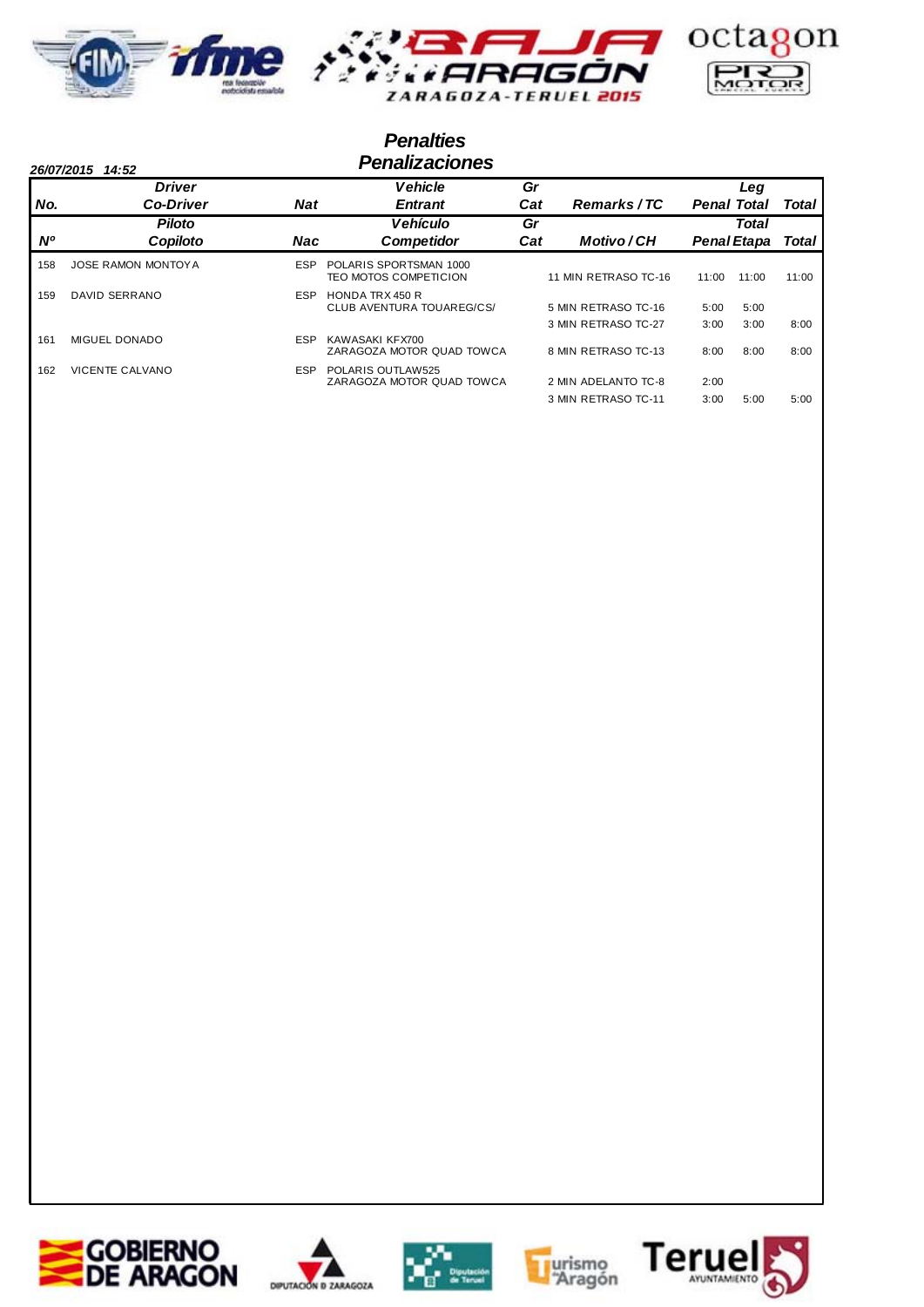

## *Penalties 26/07/2015 14:52 Penalizaciones*

|     | <b>Driver</b>             |            | <b>Vehicle</b>                                  | Gr  |                      |                    | Leg                |       |
|-----|---------------------------|------------|-------------------------------------------------|-----|----------------------|--------------------|--------------------|-------|
| No. | <b>Co-Driver</b>          | <b>Nat</b> | <b>Entrant</b>                                  | Cat | Remarks/TC           | <b>Penal Total</b> |                    | Total |
|     | <b>Piloto</b>             |            | <b>Vehículo</b>                                 | Gr  |                      |                    | <b>Total</b>       |       |
| Ν°  | Copiloto                  | Nac        | <b>Competidor</b>                               | Cat | Motivo/CH            |                    | <b>Penal Etapa</b> | Total |
| 158 | <b>JOSE RAMON MONTOYA</b> | ESP        | POLARIS SPORTSMAN 1000<br>TEO MOTOS COMPETICION |     | 11 MIN RETRASO TC-16 | 11:00              | 11:00              | 11:00 |
| 159 | DAVID SERRANO             | ESP        | HONDA TRX 450 R<br>CLUB AVENTURA TOUAREG/CS/    |     | 5 MIN RETRASO TC-16  | 5:00               | 5:00               |       |
|     |                           |            |                                                 |     | 3 MIN RETRASO TC-27  | 3:00               | 3:00               | 8:00  |
| 161 | <b>MIGUEL DONADO</b>      | ESP        | KAWASAKI KFX700<br>ZARAGOZA MOTOR QUAD TOWCA    |     | 8 MIN RETRASO TC-13  | 8:00               | 8:00               | 8:00  |
| 162 | <b>VICENTE CALVANO</b>    | ESP        | POLARIS OUTLAW525<br>ZARAGOZA MOTOR QUAD TOWCA  |     | 2 MIN ADELANTO TC-8  | 2:00               |                    |       |
|     |                           |            |                                                 |     | 3 MIN RETRASO TC-11  | 3:00               | 5:00               | 5:00  |









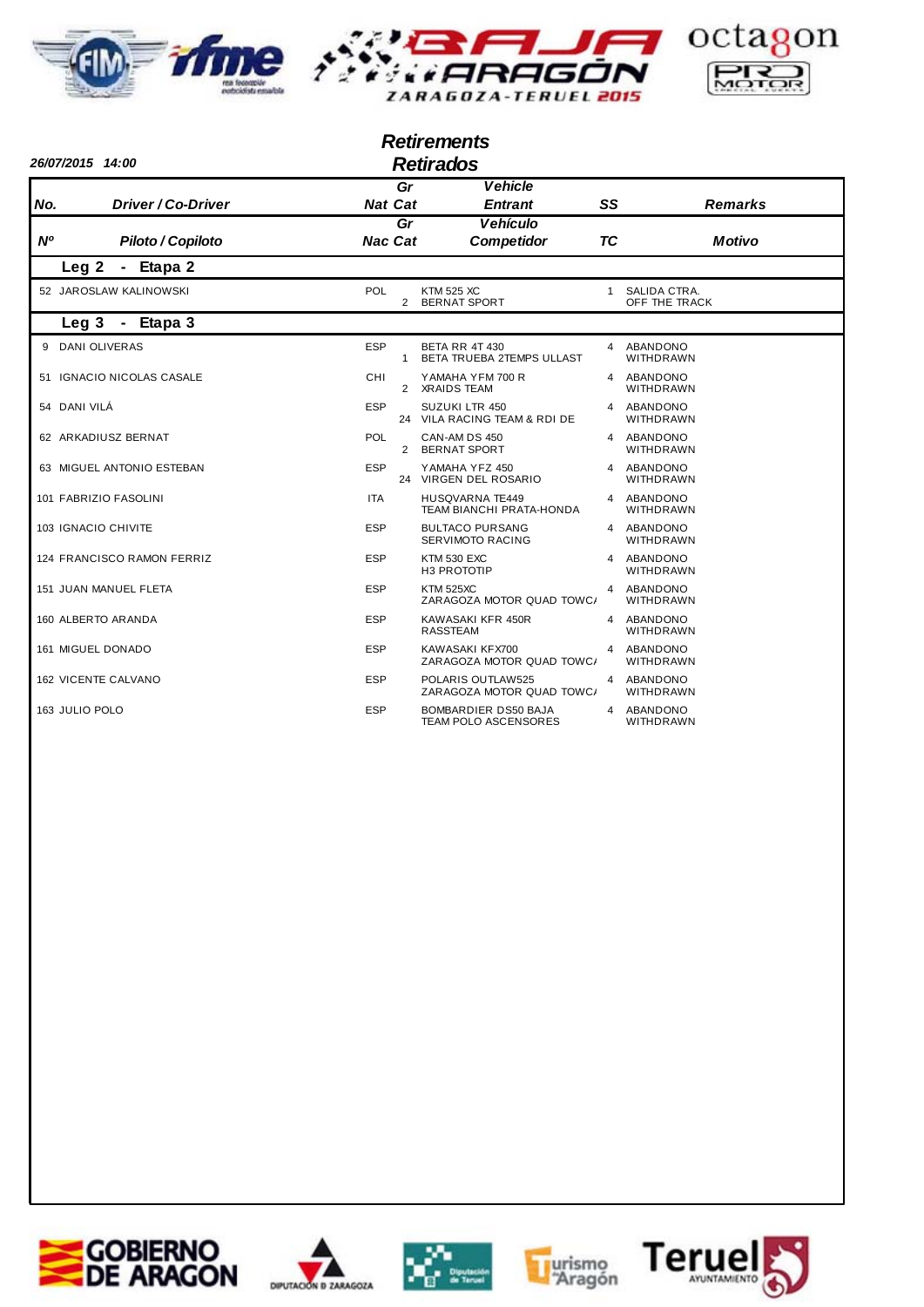





## *Retirements*

| 26/07/2015 14:00                 |                |                | <b>Retirados</b>                                          |           |                                 |
|----------------------------------|----------------|----------------|-----------------------------------------------------------|-----------|---------------------------------|
|                                  |                | Gr             | <b>Vehicle</b>                                            |           |                                 |
| <b>Driver / Co-Driver</b><br>No. | <b>Nat Cat</b> |                | <b>Entrant</b>                                            | SS        | <b>Remarks</b>                  |
| <b>N°</b><br>Piloto / Copiloto   | <b>Nac Cat</b> | Gr             | <b>Vehículo</b><br><b>Competidor</b>                      | <b>TC</b> | <b>Motivo</b>                   |
| Leg <sub>2</sub><br>- Etapa 2    |                |                |                                                           |           |                                 |
| 52 JAROSLAW KALINOWSKI           | POL            | $\overline{2}$ | <b>KTM 525 XC</b><br><b>BERNAT SPORT</b>                  |           | 1 SALIDA CTRA.<br>OFF THE TRACK |
| Leg 3 - Etapa 3                  |                |                |                                                           |           |                                 |
| 9 DANI OLIVERAS                  | <b>ESP</b>     | $\mathbf{1}$   | <b>BETA RR 4T 430</b><br>BETA TRUEBA 2TEMPS ULLAST        |           | 4 ABANDONO<br>WITHDRAWN         |
| 51 IGNACIO NICOLAS CASALE        | <b>CHI</b>     |                | YAMAHA YFM 700 R<br>2 XRAIDS TEAM                         |           | 4 ABANDONO<br><b>WITHDRAWN</b>  |
| 54 DANI VILÁ                     | <b>ESP</b>     |                | <b>SUZUKI LTR 450</b><br>24 VILA RACING TEAM & RDI DE     |           | 4 ABANDONO<br><b>WITHDRAWN</b>  |
| 62 ARKADIUSZ BERNAT              | <b>POL</b>     |                | CAN-AM DS 450<br>2 BERNAT SPORT                           |           | 4 ABANDONO<br><b>WITHDRAWN</b>  |
| 63 MIGUEL ANTONIO ESTEBAN        | <b>ESP</b>     |                | YAMAHA YFZ 450<br>24 VIRGEN DEL ROSARIO                   |           | 4 ABANDONO<br><b>WITHDRAWN</b>  |
| 101 FABRIZIO FASOLINI            | <b>ITA</b>     |                | <b>HUSQVARNA TE449</b><br><b>TEAM BIANCHI PRATA-HONDA</b> |           | 4 ABANDONO<br><b>WITHDRAWN</b>  |
| 103 IGNACIO CHIVITE              | <b>ESP</b>     |                | <b>BULTACO PURSANG</b><br>SERVIMOTO RACING                |           | 4 ABANDONO<br>WITHDRAWN         |
| 124 FRANCISCO RAMON FERRIZ       | <b>ESP</b>     |                | <b>KTM 530 EXC</b><br>H3 PROTOTIP                         |           | 4 ABANDONO<br>WITHDRAWN         |
| 151 JUAN MANUEL FLETA            | <b>ESP</b>     |                | <b>KTM 525XC</b><br>ZARAGOZA MOTOR QUAD TOWC/             | 4         | ABANDONO<br>WITHDRAWN           |
| 160 ALBERTO ARANDA               | <b>ESP</b>     |                | KAWASAKI KFR 450R<br><b>RASSTEAM</b>                      |           | 4 ABANDONO<br>WITHDRAWN         |
| 161 MIGUEL DONADO                | <b>ESP</b>     |                | KAWASAKI KFX700<br>ZARAGOZA MOTOR QUAD TOWC/              | 4         | ABANDONO<br><b>WITHDRAWN</b>    |
| <b>162 VICENTE CALVANO</b>       | <b>ESP</b>     |                | POLARIS OUTLAW525<br>ZARAGOZA MOTOR QUAD TOWC/            |           | 4 ABANDONO<br>WITHDRAWN         |
| 163 JULIO POLO                   | <b>ESP</b>     |                | BOMBARDIER DS50 BAJA<br>TEAM POLO ASCENSORES              | 4         | ABANDONO<br>WITHDRAWN           |









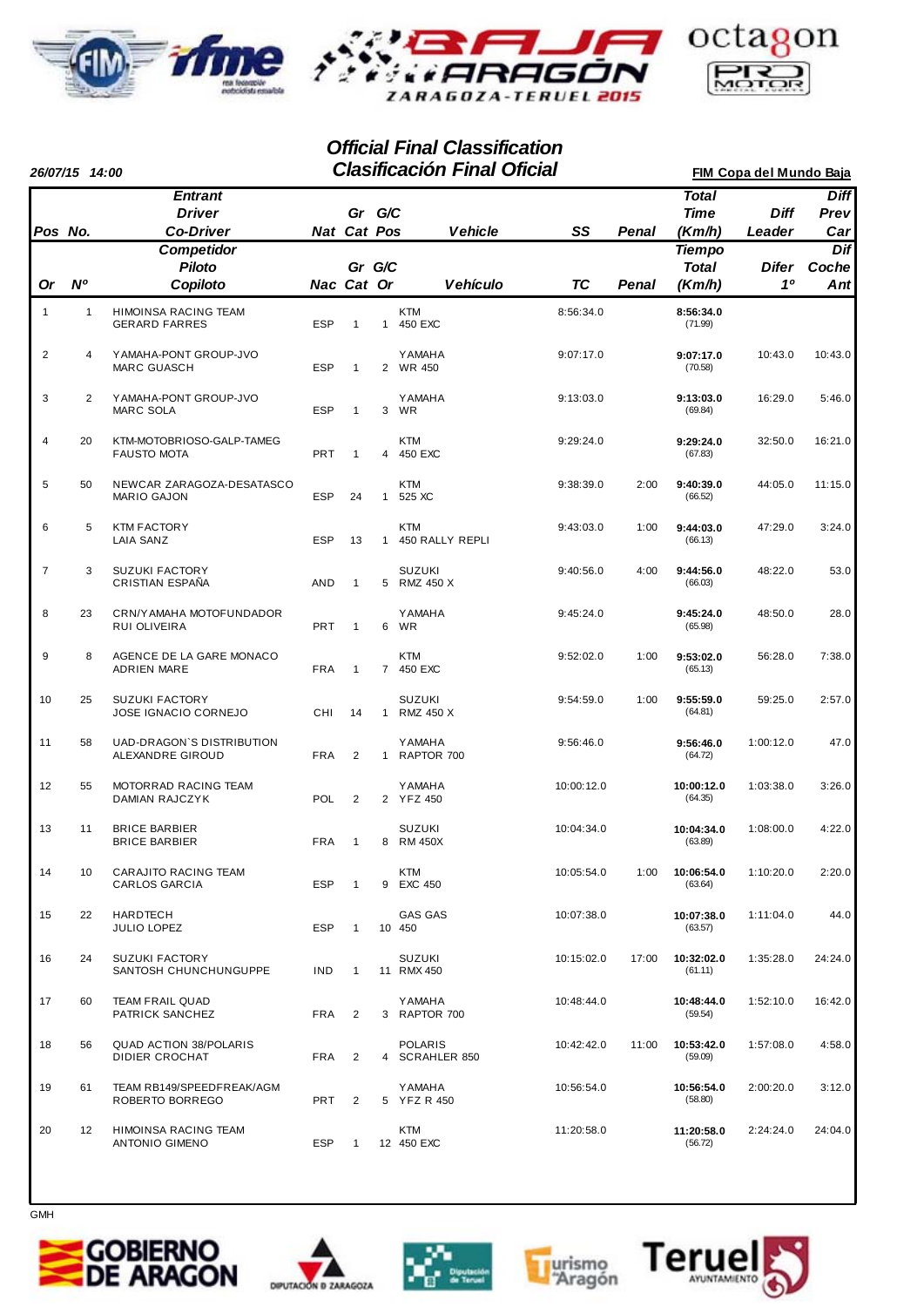





|                | 26/07/15 14:00 |                                                                          |            |                       |                | <b>Clasificación Final Oficial</b> |            |              |                                                        | FIM Copa del Mundo Baja |                                   |
|----------------|----------------|--------------------------------------------------------------------------|------------|-----------------------|----------------|------------------------------------|------------|--------------|--------------------------------------------------------|-------------------------|-----------------------------------|
| Pos No.        |                | <b>Entrant</b><br><b>Driver</b><br><b>Co-Driver</b><br><b>Competidor</b> |            | Gr G/C<br>Nat Cat Pos |                | <b>Vehicle</b>                     | SS         | <b>Penal</b> | <b>Total</b><br><b>Time</b><br>(Km/h)<br><b>Tiempo</b> | <b>Diff</b><br>Leader   | <b>Diff</b><br>Prev<br>Car<br>Dif |
| <b>Or</b>      | N <sup>o</sup> | <b>Piloto</b><br>Copiloto                                                |            | Gr G/C<br>Nac Cat Or  |                | Vehículo                           | <b>TC</b>  | Penal        | <b>Total</b><br>(Km/h)                                 | Difer<br>10             | Coche<br>Ant                      |
| 1              | $\mathbf{1}$   | HIMOINSA RACING TEAM<br><b>GERARD FARRES</b>                             | <b>ESP</b> | $\mathbf{1}$          | $\mathbf{1}$   | <b>KTM</b><br>450 EXC              | 8:56:34.0  |              | 8:56:34.0<br>(71.99)                                   |                         |                                   |
| $\overline{c}$ | 4              | YAMAHA-PONT GROUP-JVO<br><b>MARC GUASCH</b>                              | <b>ESP</b> | $\mathbf{1}$          | $\overline{2}$ | <b>YAMAHA</b><br>WR 450            | 9:07:17.0  |              | 9:07:17.0<br>(70.58)                                   | 10:43.0                 | 10:43.0                           |
| 3              | $\overline{2}$ | YAMAHA-PONT GROUP-JVO<br><b>MARC SOLA</b>                                | <b>ESP</b> | $\mathbf{1}$          | 3              | <b>YAMAHA</b><br>WR                | 9:13:03.0  |              | 9:13:03.0<br>(69.84)                                   | 16:29.0                 | 5:46.0                            |
| 4              | 20             | KTM-MOTOBRIOSO-GALP-TAMEG<br><b>FAUSTO MOTA</b>                          | <b>PRT</b> | $\mathbf{1}$          | 4              | <b>KTM</b><br>450 EXC              | 9:29:24.0  |              | 9:29:24.0<br>(67.83)                                   | 32:50.0                 | 16:21.0                           |
| 5              | 50             | NEWCAR ZARAGOZA-DESATASCO<br><b>MARIO GAJON</b>                          | <b>ESP</b> | 24                    | $\mathbf{1}$   | <b>KTM</b><br>525 XC               | 9:38:39.0  | 2:00         | 9:40:39.0<br>(66.52)                                   | 44:05.0                 | 11:15.0                           |
| 6              | 5              | <b>KTM FACTORY</b><br>LAIA SANZ                                          | <b>ESP</b> | 13                    | $\mathbf{1}$   | <b>KTM</b><br>450 RALLY REPLI      | 9:43:03.0  | 1:00         | 9:44:03.0<br>(66.13)                                   | 47:29.0                 | 3:24.0                            |
| $\overline{7}$ | 3              | <b>SUZUKI FACTORY</b><br>CRISTIAN ESPAÑA                                 | AND        | $\mathbf{1}$          |                | <b>SUZUKI</b><br>5 RMZ 450 X       | 9:40:56.0  | 4:00         | 9:44:56.0<br>(66.03)                                   | 48:22.0                 | 53.0                              |
| 8              | 23             | CRN/YAMAHA MOTOFUNDADOR<br>RUI OLIVEIRA                                  | <b>PRT</b> | $\mathbf{1}$          | 6              | <b>YAMAHA</b><br>WR                | 9:45:24.0  |              | 9:45:24.0<br>(65.98)                                   | 48:50.0                 | 28.0                              |
| 9              | 8              | AGENCE DE LA GARE MONACO<br><b>ADRIEN MARE</b>                           | <b>FRA</b> | $\mathbf{1}$          |                | <b>KTM</b><br>7 450 EXC            | 9:52:02.0  | 1:00         | 9:53:02.0<br>(65.13)                                   | 56:28.0                 | 7:38.0                            |
| 10             | 25             | <b>SUZUKI FACTORY</b><br>JOSE IGNACIO CORNEJO                            | CHI        | 14                    | $\mathbf{1}$   | <b>SUZUKI</b><br>RMZ 450 X         | 9:54:59.0  | 1:00         | 9:55:59.0<br>(64.81)                                   | 59:25.0                 | 2:57.0                            |
| 11             | 58             | UAD-DRAGON'S DISTRIBUTION<br>ALEXANDRE GIROUD                            | <b>FRA</b> | 2                     |                | <b>YAMAHA</b><br>1 RAPTOR 700      | 9:56:46.0  |              | 9:56:46.0<br>(64.72)                                   | 1:00:12.0               | 47.0                              |
| 12             | 55             | MOTORRAD RACING TEAM<br>DAMIAN RAJCZYK                                   | POL        | $\overline{2}$        |                | <b>YAMAHA</b><br>2 YFZ 450         | 10:00:12.0 |              | 10:00:12.0<br>(64.35)                                  | 1:03:38.0               | 3:26.0                            |
| 13             | 11             | <b>BRICE BARBIER</b><br><b>BRICE BARBIER</b>                             | <b>FRA</b> | $\mathbf{1}$          | 8              | <b>SUZUKI</b><br><b>RM 450X</b>    | 10:04:34.0 |              | 10:04:34.0<br>(63.89)                                  | 1:08:00.0               | 4:22.0                            |
| 14             | 10             | CARAJITO RACING TEAM<br><b>CARLOS GARCIA</b>                             | <b>ESP</b> | $\mathbf{1}$          | 9              | <b>KTM</b><br>EXC 450              | 10:05:54.0 | 1:00         | 10:06:54.0<br>(63.64)                                  | 1:10:20.0               | 2:20.0                            |
| 15             | 22             | <b>HARDTECH</b><br>JULIO LOPEZ                                           | <b>ESP</b> | 1                     |                | <b>GAS GAS</b><br>10 450           | 10:07:38.0 |              | 10:07:38.0<br>(63.57)                                  | 1:11:04.0               | 44.0                              |
| 16             | 24             | <b>SUZUKI FACTORY</b><br>SANTOSH CHUNCHUNGUPPE                           | <b>IND</b> | $\mathbf{1}$          |                | <b>SUZUKI</b><br>11 RMX 450        | 10:15:02.0 | 17:00        | 10:32:02.0<br>(61.11)                                  | 1:35:28.0               | 24:24.0                           |
| 17             | 60             | <b>TEAM FRAIL QUAD</b><br>PATRICK SANCHEZ                                | FRA        | $\overline{2}$        |                | YAMAHA<br>3 RAPTOR 700             | 10:48:44.0 |              | 10:48:44.0<br>(59.54)                                  | 1:52:10.0               | 16:42.0                           |
| 18             | 56             | <b>QUAD ACTION 38/POLARIS</b><br>DIDIER CROCHAT                          | <b>FRA</b> | 2                     |                | <b>POLARIS</b><br>4 SCRAHLER 850   | 10:42:42.0 | 11:00        | 10:53:42.0<br>(59.09)                                  | 1:57:08.0               | 4:58.0                            |
| 19             | 61             | TEAM RB149/SPEEDFREAK/AGM<br>ROBERTO BORREGO                             | <b>PRT</b> | 2                     |                | <b>Y AMAHA</b><br>5 YFZ R 450      | 10:56:54.0 |              | 10:56:54.0<br>(58.80)                                  | 2:00:20.0               | 3:12.0                            |
| 20             | 12             | HIMOINSA RACING TEAM<br><b>ANTONIO GIMENO</b>                            | ESP        | $\mathbf{1}$          |                | <b>KTM</b><br>12 450 EXC           | 11:20:58.0 |              | 11:20:58.0<br>(56.72)                                  | 2:24:24.0               | 24:04.0                           |











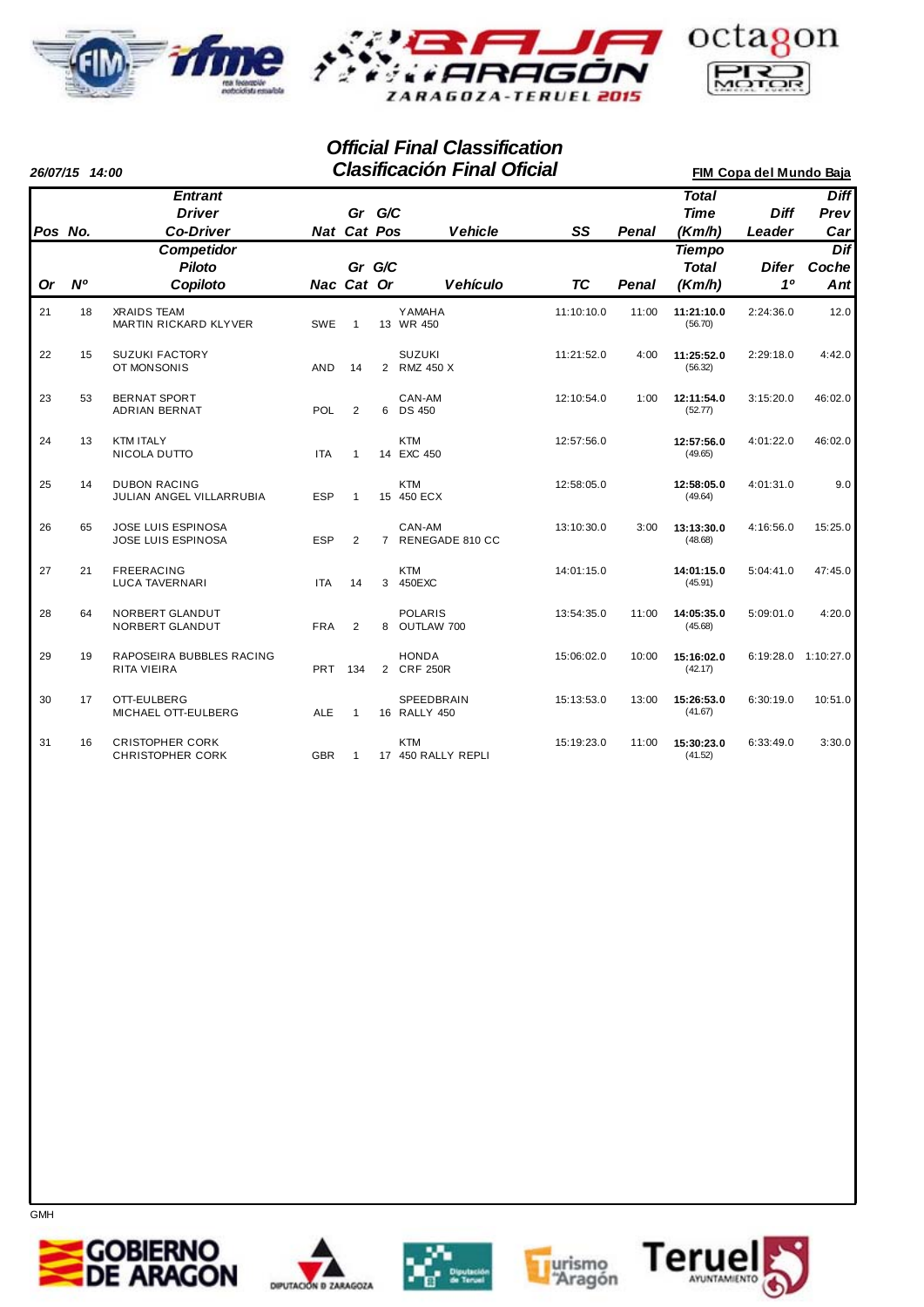





|           | 26/07/15 14:00 |                                                     |            |                    |                | <b>Clasificación Final Oficial</b> | FIM Copa del Mundo Baja |              |                                         |                       |                            |
|-----------|----------------|-----------------------------------------------------|------------|--------------------|----------------|------------------------------------|-------------------------|--------------|-----------------------------------------|-----------------------|----------------------------|
| Pos No.   |                | <b>Entrant</b><br><b>Driver</b><br><b>Co-Driver</b> |            | <b>Nat Cat Pos</b> | Gr G/C         | <b>Vehicle</b>                     | SS                      | <b>Penal</b> | <b>Total</b><br><b>Time</b><br>(Km/h)   | <b>Diff</b><br>Leader | <b>Diff</b><br>Prev<br>Car |
| <b>Or</b> | N <sup>o</sup> | <b>Competidor</b><br>Piloto<br>Copiloto             |            | Nac Cat Or         | Gr G/C         | <b>Vehículo</b>                    | <b>TC</b>               | <b>Penal</b> | <b>Tiempo</b><br><b>Total</b><br>(Km/h) | <b>Difer</b><br>10    | Dif<br>Coche<br>Ant        |
| 21        | 18             | <b>XRAIDS TEAM</b><br>MARTIN RICKARD KLYVER         | SWE        | $\mathbf{1}$       |                | <b>YAMAHA</b><br>13 WR 450         | 11:10:10.0              | 11:00        | 11:21:10.0<br>(56.70)                   | 2:24:36.0             | 12.0                       |
| 22        | 15             | <b>SUZUKI FACTORY</b><br>OT MONSONIS                | <b>AND</b> | 14                 |                | <b>SUZUKI</b><br>2 RMZ 450 X       | 11:21:52.0              | 4:00         | 11:25:52.0<br>(56.32)                   | 2:29:18.0             | 4:42.0                     |
| 23        | 53             | <b>BERNAT SPORT</b><br>ADRIAN BERNAT                | <b>POL</b> | 2                  | 6              | CAN-AM<br><b>DS 450</b>            | 12:10:54.0              | 1:00         | 12:11:54.0<br>(52.77)                   | 3:15:20.0             | 46:02.0                    |
| 24        | 13             | <b>KTM ITALY</b><br>NICOLA DUTTO                    | <b>ITA</b> | $\overline{1}$     |                | <b>KTM</b><br>14 EXC 450           | 12:57:56.0              |              | 12:57:56.0<br>(49.65)                   | 4:01:22.0             | 46:02.0                    |
| 25        | 14             | <b>DUBON RACING</b><br>JULIAN ANGEL VILLARRUBIA     | <b>ESP</b> | -1                 |                | <b>KTM</b><br>15 450 ECX           | 12:58:05.0              |              | 12:58:05.0<br>(49.64)                   | 4:01:31.0             | 9.0                        |
| 26        | 65             | JOSE LUIS ESPINOSA<br>JOSE LUIS ESPINOSA            | <b>ESP</b> | $\overline{2}$     | $\overline{7}$ | CAN-AM<br>RENEGADE 810 CC          | 13:10:30.0              | 3:00         | 13:13:30.0<br>(48.68)                   | 4:16:56.0             | 15:25.0                    |
| 27        | 21             | <b>FREERACING</b><br><b>LUCA TAVERNARI</b>          | <b>ITA</b> | 14                 | 3              | <b>KTM</b><br>450EXC               | 14:01:15.0              |              | 14:01:15.0<br>(45.91)                   | 5:04:41.0             | 47:45.0                    |
| 28        | 64             | NORBERT GLANDUT<br>NORBERT GLANDUT                  | <b>FRA</b> | $\overline{2}$     |                | <b>POLARIS</b><br>8 OUTLAW 700     | 13:54:35.0              | 11:00        | 14:05:35.0<br>(45.68)                   | 5:09:01.0             | 4:20.0                     |
| 29        | 19             | RAPOSEIRA BUBBLES RACING<br><b>RITA VIEIRA</b>      | <b>PRT</b> | 134                |                | <b>HONDA</b><br>2 CRF 250R         | 15:06:02.0              | 10:00        | 15:16:02.0<br>(42.17)                   | 6:19:28.0 1:10:27.0   |                            |
| 30        | 17             | OTT-EULBERG<br>MICHAEL OTT-EULBERG                  | <b>ALE</b> | $\mathbf{1}$       |                | <b>SPEEDBRAIN</b><br>16 RALLY 450  | 15:13:53.0              | 13:00        | 15:26:53.0<br>(41.67)                   | 6:30:19.0             | 10:51.0                    |
| 31        | 16             | <b>CRISTOPHER CORK</b><br><b>CHRISTOPHER CORK</b>   | <b>GBR</b> | $\mathbf{1}$       |                | <b>KTM</b><br>17 450 RALLY REPLI   | 15:19:23.0              | 11:00        | 15:30:23.0<br>(41.52)                   | 6:33:49.0             | 3:30.0                     |









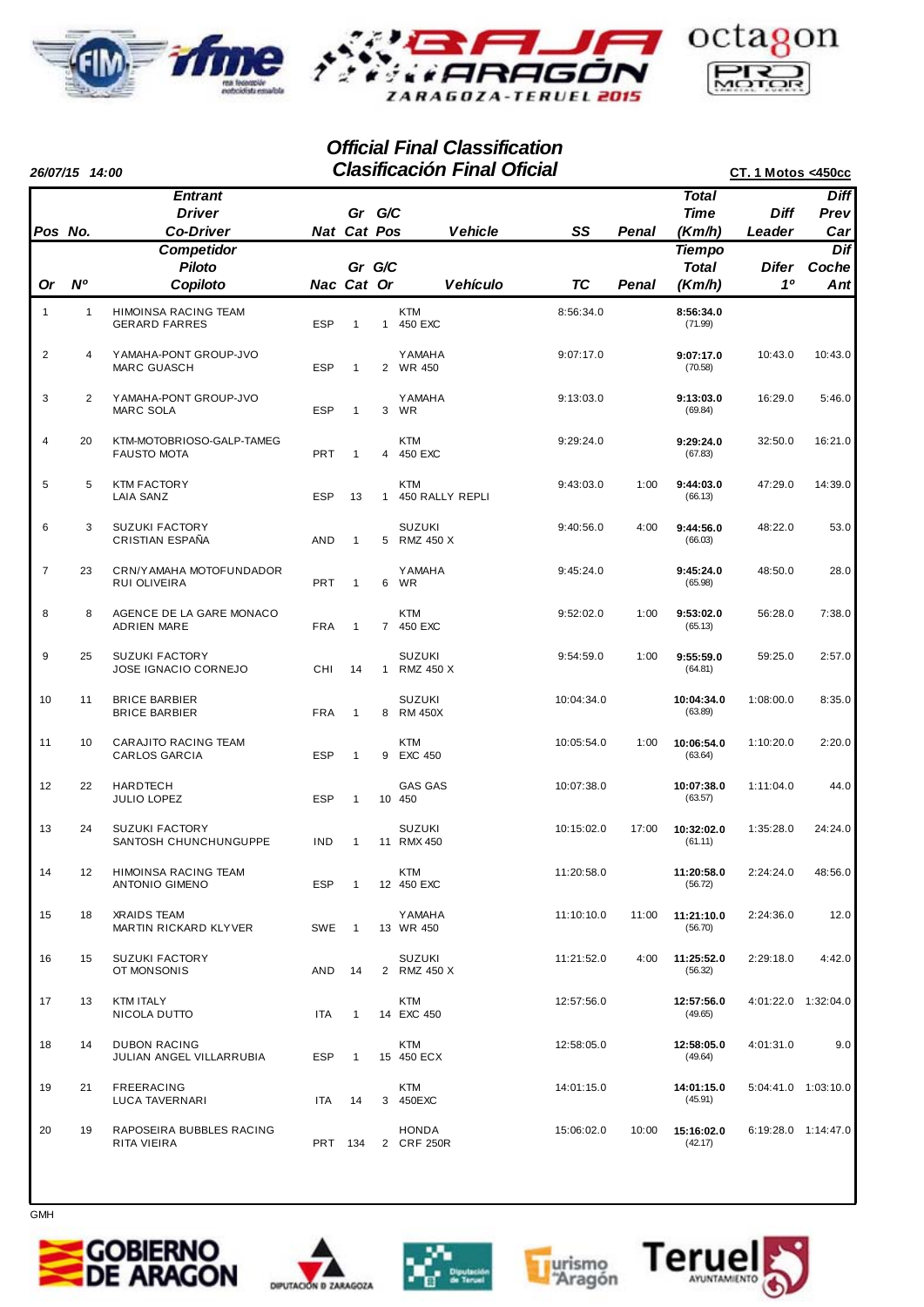



|                | 26/07/15 14:00 |                                                     |            |                       |                | <b>Clasificación Final Oficial</b> |            |              |                                         | <b>CT. 1 Motos &lt;450cc</b> |                            |
|----------------|----------------|-----------------------------------------------------|------------|-----------------------|----------------|------------------------------------|------------|--------------|-----------------------------------------|------------------------------|----------------------------|
| Pos No.        |                | <b>Entrant</b><br><b>Driver</b><br><b>Co-Driver</b> |            | Gr G/C<br>Nat Cat Pos |                | <b>Vehicle</b>                     | SS         | <b>Penal</b> | <b>Total</b><br><b>Time</b><br>(Km/h)   | <b>Diff</b><br>Leader        | <b>Diff</b><br>Prev<br>Car |
| 0r             | N <sup>o</sup> | <b>Competidor</b><br><b>Piloto</b><br>Copiloto      |            | Gr G/C<br>Nac Cat Or  |                | <b>Vehículo</b>                    | TC         | Penal        | <b>Tiempo</b><br><b>Total</b><br>(Km/h) | Difer<br>1 <sup>0</sup>      | Dif<br>Coche<br>Ant        |
| 1              | $\mathbf{1}$   | <b>HIMOINSA RACING TEAM</b><br><b>GERARD FARRES</b> | <b>ESP</b> | $\mathbf{1}$          | $\mathbf{1}$   | <b>KTM</b><br>450 EXC              | 8:56:34.0  |              | 8:56:34.0<br>(71.99)                    |                              |                            |
| 2              | 4              | YAMAHA-PONT GROUP-JVO<br><b>MARC GUASCH</b>         | <b>ESP</b> | 1                     |                | <b>YAMAHA</b><br>2 WR 450          | 9:07:17.0  |              | 9:07:17.0<br>(70.58)                    | 10:43.0                      | 10:43.0                    |
| 3              | 2              | YAMAHA-PONT GROUP-JVO<br><b>MARC SOLA</b>           | <b>ESP</b> | $\mathbf{1}$          | 3              | <b>Y AMAHA</b><br>WR               | 9:13:03.0  |              | 9:13:03.0<br>(69.84)                    | 16:29.0                      | 5:46.0                     |
| $\overline{4}$ | 20             | KTM-MOTOBRIOSO-GALP-TAMEG<br><b>FAUSTO MOTA</b>     | PRT        | $\mathbf{1}$          |                | <b>KTM</b><br>4 450 EXC            | 9:29:24.0  |              | 9:29:24.0<br>(67.83)                    | 32:50.0                      | 16:21.0                    |
| 5              | 5              | <b>KTM FACTORY</b><br>LAIA SANZ                     | <b>ESP</b> | 13                    | $\mathbf{1}$   | <b>KTM</b><br>450 RALLY REPLI      | 9:43:03.0  | 1:00         | 9:44:03.0<br>(66.13)                    | 47:29.0                      | 14:39.0                    |
| 6              | 3              | <b>SUZUKI FACTORY</b><br>CRISTIAN ESPAÑA            | AND        | $\mathbf{1}$          |                | <b>SUZUKI</b><br>5 RMZ 450 X       | 9:40:56.0  | 4:00         | 9:44:56.0<br>(66.03)                    | 48:22.0                      | 53.0                       |
| $\overline{7}$ | 23             | CRN/YAMAHA MOTOFUNDADOR<br>RUI OLIVEIRA             | PRT        | $\mathbf{1}$          | 6              | <b>Y AMAHA</b><br>WR               | 9:45:24.0  |              | 9:45:24.0<br>(65.98)                    | 48:50.0                      | 28.0                       |
| 8              | 8              | AGENCE DE LA GARE MONACO<br><b>ADRIEN MARE</b>      | <b>FRA</b> | $\mathbf{1}$          | $\overline{7}$ | <b>KTM</b><br>450 EXC              | 9:52:02.0  | 1:00         | 9:53:02.0<br>(65.13)                    | 56:28.0                      | 7:38.0                     |
| 9              | 25             | <b>SUZUKI FACTORY</b><br>JOSE IGNACIO CORNEJO       | CHI        | 14                    | $\mathbf{1}$   | SUZUKI<br>RMZ 450 X                | 9:54:59.0  | 1:00         | 9:55:59.0<br>(64.81)                    | 59:25.0                      | 2:57.0                     |
| 10             | 11             | <b>BRICE BARBIER</b><br><b>BRICE BARBIER</b>        | <b>FRA</b> | 1                     | 8              | <b>SUZUKI</b><br>RM 450X           | 10:04:34.0 |              | 10:04:34.0<br>(63.89)                   | 1:08:00.0                    | 8:35.0                     |
| 11             | 10             | CARAJITO RACING TEAM<br><b>CARLOS GARCIA</b>        | <b>ESP</b> | $\mathbf{1}$          | 9              | <b>KTM</b><br><b>EXC 450</b>       | 10:05:54.0 | 1:00         | 10:06:54.0<br>(63.64)                   | 1:10:20.0                    | 2:20.0                     |
| 12             | 22             | <b>HARDTECH</b><br>JULIO LOPEZ                      | <b>ESP</b> | 1                     |                | <b>GAS GAS</b><br>10 450           | 10:07:38.0 |              | 10:07:38.0<br>(63.57)                   | 1:11:04.0                    | 44.0                       |
| 13             | 24             | <b>SUZUKI FACTORY</b><br>SANTOSH CHUNCHUNGUPPE      | <b>IND</b> | $\mathbf{1}$          |                | SUZUKI<br>11 RMX 450               | 10:15:02.0 | 17:00        | 10:32:02.0<br>(61.11)                   | 1:35:28.0                    | 24:24.0                    |
| 14             | 12             | HIMOINSA RACING TEAM<br><b>ANTONIO GIMENO</b>       | <b>ESP</b> | -1                    |                | KTM<br>12 450 EXC                  | 11:20:58.0 |              | 11:20:58.0<br>(56.72)                   | 2:24:24.0                    | 48:56.0                    |
| 15             | 18             | <b>XRAIDS TEAM</b><br>MARTIN RICKARD KLYVER         | <b>SWE</b> | $\mathbf{1}$          |                | <b>Y AMAHA</b><br>13 WR 450        | 11:10:10.0 | 11:00        | 11:21:10.0<br>(56.70)                   | 2:24:36.0                    | 12.0                       |
| 16             | 15             | <b>SUZUKI FACTORY</b><br>OT MONSONIS                | AND        | 14                    |                | <b>SUZUKI</b><br>2 RMZ 450 X       | 11:21:52.0 | 4:00         | 11:25:52.0<br>(56.32)                   | 2:29:18.0                    | 4:42.0                     |
| 17             | 13             | KTM ITALY<br>NICOLA DUTTO                           | ITA        | $\mathbf{1}$          |                | <b>KTM</b><br>14 EXC 450           | 12:57:56.0 |              | 12:57:56.0<br>(49.65)                   |                              | 4:01:22.0 1:32:04.0        |
| 18             | 14             | <b>DUBON RACING</b><br>JULIAN ANGEL VILLARRUBIA     | ESP        | 1                     |                | <b>KTM</b><br>15 450 ECX           | 12:58:05.0 |              | 12:58:05.0<br>(49.64)                   | 4:01:31.0                    | 9.0                        |
| 19             | 21             | <b>FREERACING</b><br>LUCA TAVERNARI                 | <b>ITA</b> | 14                    |                | KTM<br>3 450EXC                    | 14:01:15.0 |              | 14:01:15.0<br>(45.91)                   |                              | 5:04:41.0 1:03:10.0        |
| 20             | 19             | RAPOSEIRA BUBBLES RACING<br>RITA VIEIRA             |            | PRT 134               |                | HONDA<br>2 CRF 250R                | 15:06:02.0 | 10:00        | 15:16:02.0<br>(42.17)                   |                              | $6:19:28.0$ 1:14:47.0      |









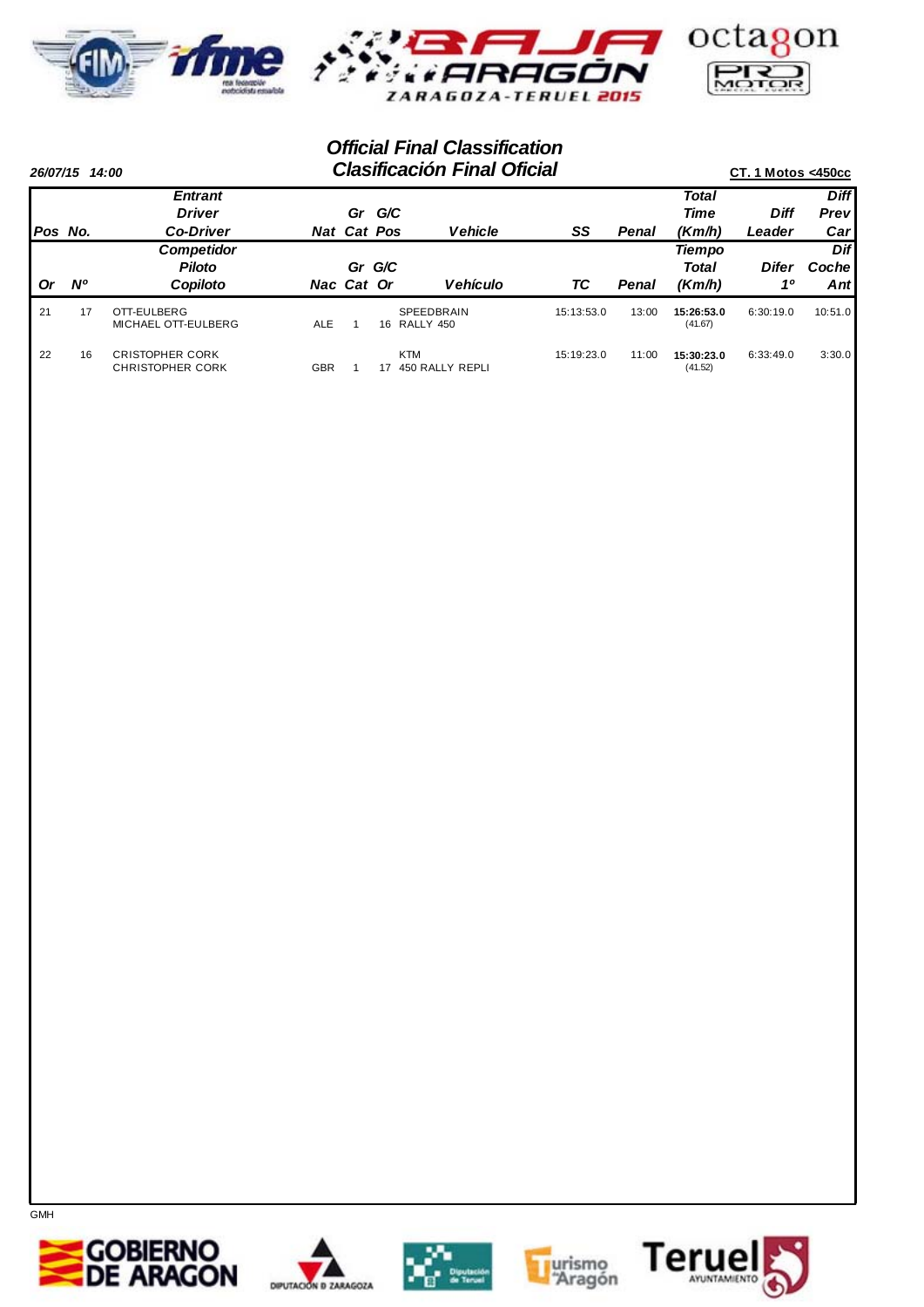



|          | 26/07/15 14:00 |                                                   | <b>Clasificación Final Oficial</b> |                    |        |                                   |            |       |                       |              |             |  |  |
|----------|----------------|---------------------------------------------------|------------------------------------|--------------------|--------|-----------------------------------|------------|-------|-----------------------|--------------|-------------|--|--|
|          |                | <b>Entrant</b>                                    |                                    |                    |        |                                   |            |       | <b>Total</b>          |              | <b>Diff</b> |  |  |
|          |                | <b>Driver</b>                                     |                                    | Gr                 | G/C    |                                   |            |       | <b>Time</b>           | Diff         | Prev        |  |  |
| IPos No. |                | <b>Co-Driver</b>                                  |                                    | <b>Nat Cat Pos</b> |        | <b>Vehicle</b>                    | SS         | Penal | (Km/h)                | Leader       | Car         |  |  |
|          |                | <b>Competidor</b>                                 |                                    |                    |        |                                   |            |       | <b>Tiempo</b>         |              | Dif         |  |  |
|          |                | <b>Piloto</b>                                     |                                    |                    | Gr G/C |                                   |            |       | <b>Total</b>          | <b>Difer</b> | Coche       |  |  |
| Or       | <b>N°</b>      | Copiloto                                          |                                    | Nac Cat Or         |        | <b>Vehículo</b>                   | ТC         | Penal | (Km/h)                | 10           | Antl        |  |  |
| 21       | 17             | OTT-EULBERG<br>MICHAEL OTT-EULBERG                | <b>ALE</b>                         |                    |        | <b>SPEEDBRAIN</b><br>16 RALLY 450 | 15:13:53.0 | 13:00 | 15:26:53.0<br>(41.67) | 6:30:19.0    | 10:51.0     |  |  |
| 22       | 16             | <b>CRISTOPHER CORK</b><br><b>CHRISTOPHER CORK</b> | <b>GBR</b>                         |                    | 17     | <b>KTM</b><br>450 RALLY REPLI     | 15:19:23.0 | 11:00 | 15:30:23.0<br>(41.52) | 6:33:49.0    | 3:30.0      |  |  |









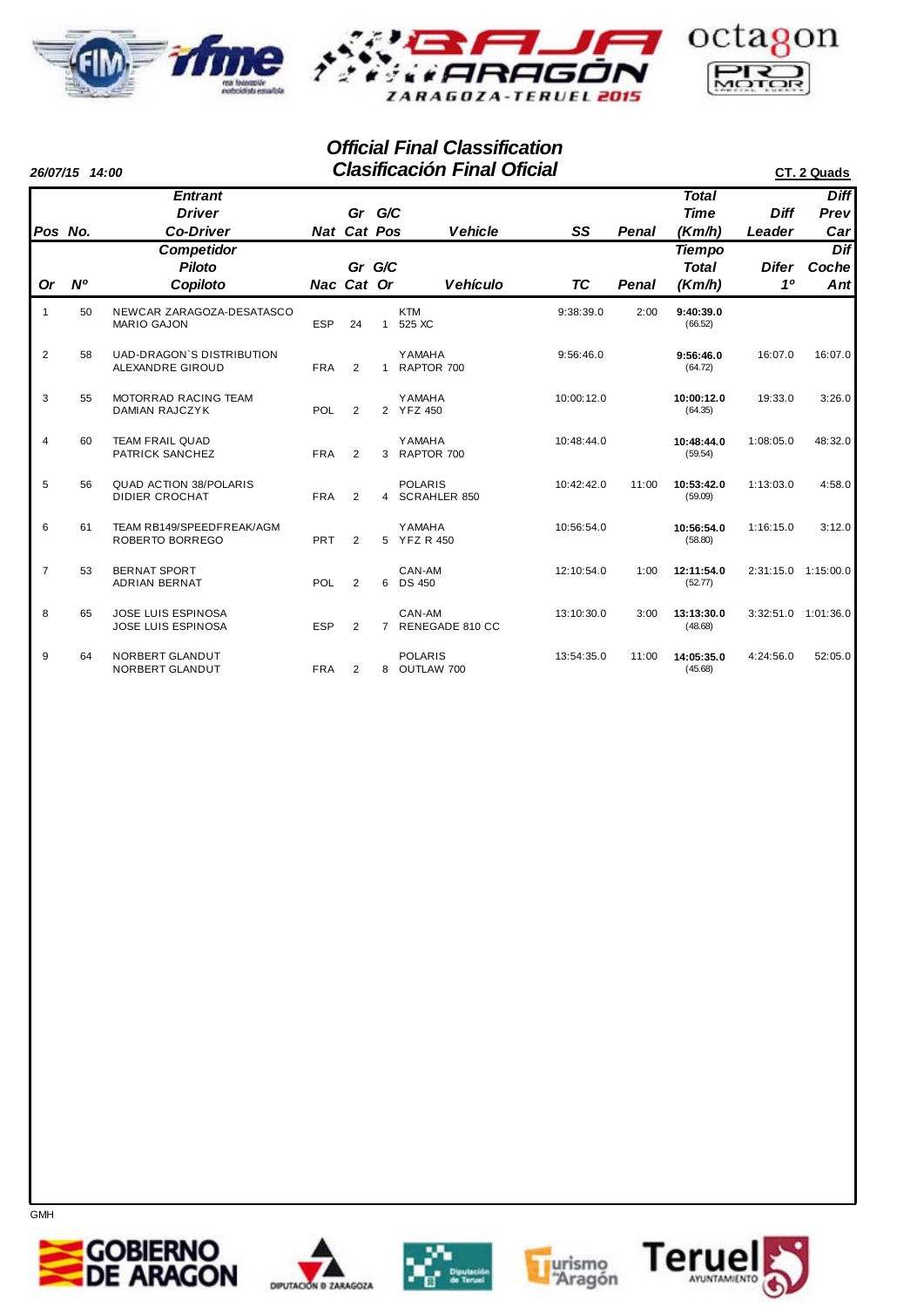



|                | 26/07/15 14:00 |                                                        |            |                       |                | <b>Clasificación Final Oficial</b>    | CT. 2 Quads |       |                                         |                       |                            |
|----------------|----------------|--------------------------------------------------------|------------|-----------------------|----------------|---------------------------------------|-------------|-------|-----------------------------------------|-----------------------|----------------------------|
| Pos No.        |                | <b>Entrant</b><br><b>Driver</b><br><b>Co-Driver</b>    |            | Gr G/C<br>Nat Cat Pos |                | <b>Vehicle</b>                        | SS          | Penal | <b>Total</b><br><b>Time</b><br>(Km/h)   | <b>Diff</b><br>Leader | <b>Diff</b><br>Prev<br>Car |
| <b>Or</b>      | <b>N°</b>      | <b>Competidor</b><br><b>Piloto</b><br>Copiloto         |            | Gr G/C<br>Nac Cat Or  |                | <b>Vehículo</b>                       | TC          | Penal | <b>Tiempo</b><br><b>Total</b><br>(Km/h) | Difer<br>10           | Dif<br>Coche<br>Ant        |
| $\mathbf{1}$   | 50             | NEWCAR ZARAGOZA-DESATASCO<br><b>MARIO GAJON</b>        | <b>ESP</b> | 24                    | $\mathbf{1}$   | <b>KTM</b><br>525 XC                  | 9:38:39.0   | 2:00  | 9:40:39.0<br>(66.52)                    |                       |                            |
| $\overline{2}$ | 58             | <b>UAD-DRAGON'S DISTRIBUTION</b><br>ALEXANDRE GIROUD   | <b>FRA</b> | $\overline{2}$        | $\overline{1}$ | <b>YAMAHA</b><br>RAPTOR 700           | 9:56:46.0   |       | 9:56:46.0<br>(64.72)                    | 16:07.0               | 16:07.0                    |
| 3              | 55             | MOTORRAD RACING TEAM<br><b>DAMIAN RAJCZYK</b>          | POL        | $\overline{2}$        |                | <b>YAMAHA</b><br>2 YFZ 450            | 10:00:12.0  |       | 10:00:12.0<br>(64.35)                   | 19:33.0               | 3:26.0                     |
| $\overline{4}$ | 60             | <b>TEAM FRAIL QUAD</b><br>PATRICK SANCHEZ              | <b>FRA</b> | $\overline{2}$        | 3              | <b>YAMAHA</b><br>RAPTOR 700           | 10:48:44.0  |       | 10:48:44.0<br>(59.54)                   | 1:08:05.0             | 48:32.0                    |
| 5              | 56             | <b>QUAD ACTION 38/POLARIS</b><br><b>DIDIER CROCHAT</b> | <b>FRA</b> | $\overline{2}$        | 4              | <b>POLARIS</b><br><b>SCRAHLER 850</b> | 10:42:42.0  | 11:00 | 10:53:42.0<br>(59.09)                   | 1:13:03.0             | 4:58.0                     |
| 6              | 61             | TEAM RB149/SPEEDFREAK/AGM<br>ROBERTO BORREGO           | PRT        | 2                     |                | <b>YAMAHA</b><br>5 YFZ R 450          | 10:56:54.0  |       | 10:56:54.0<br>(58.80)                   | 1:16:15.0             | 3:12.0                     |
| $\overline{7}$ | 53             | <b>BERNAT SPORT</b><br><b>ADRIAN BERNAT</b>            | POL        | $\overline{2}$        |                | CAN-AM<br>6 DS 450                    | 12:10:54.0  | 1:00  | 12:11:54.0<br>(52.77)                   | 2:31:15.0 1:15:00.0   |                            |
| 8              | 65             | <b>JOSE LUIS ESPINOSA</b><br><b>JOSE LUIS ESPINOSA</b> | <b>ESP</b> | $\overline{2}$        | $\overline{7}$ | CAN-AM<br>RENEGADE 810 CC             | 13:10:30.0  | 3:00  | 13:13:30.0<br>(48.68)                   | 3:32:51.0             | 1:01:36.0                  |
| 9              | 64             | NORBERT GLANDUT<br>NORBERT GLANDUT                     | <b>FRA</b> | $\overline{2}$        | 8              | <b>POLARIS</b><br>OUTLAW 700          | 13:54:35.0  | 11:00 | 14:05:35.0<br>(45.68)                   | 4:24:56.0             | 52:05.0                    |









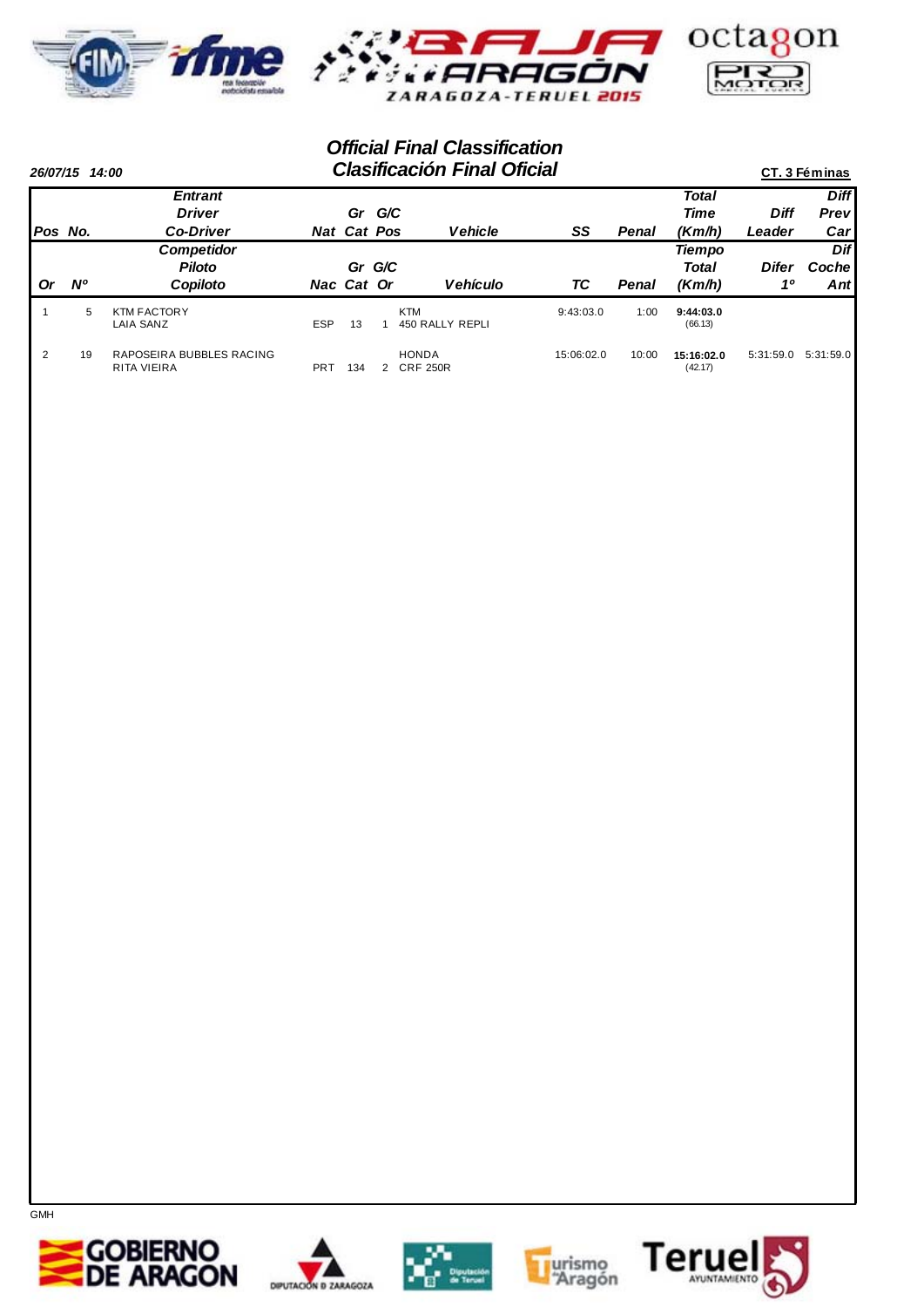



|                | 26/07/15 14:00 |                                         |            |                    |     | <b>Clasificación Final Oficial</b> |            |       |                       |              | CT. 3 Féminas |
|----------------|----------------|-----------------------------------------|------------|--------------------|-----|------------------------------------|------------|-------|-----------------------|--------------|---------------|
|                |                | <b>Entrant</b>                          |            |                    |     |                                    |            |       | <b>Total</b>          |              | <b>Diff</b>   |
|                |                | <b>Driver</b>                           |            | Gr                 | G/C |                                    |            |       | <b>Time</b>           | Diff         | Prev          |
| lPos No.       |                | <b>Co-Driver</b>                        |            | <b>Nat Cat Pos</b> |     | <b>Vehicle</b>                     | SS         | Penal | (Km/h)                | Leader       | Car           |
|                |                | Competidor                              |            |                    |     |                                    |            |       | <b>Tiempo</b>         |              | Dif           |
|                |                | <b>Piloto</b>                           |            | Gr G/C             |     |                                    |            |       | Total                 | <b>Difer</b> | Coche         |
| Or             | <b>N°</b>      | Copiloto                                |            | Nac Cat Or         |     | <b>Vehículo</b>                    | ТC         | Penal | (Km/h)                | 10           | Antl          |
|                | 5              | <b>KTM FACTORY</b><br><b>LAIA SANZ</b>  | <b>ESP</b> | 13                 |     | <b>KTM</b><br>450 RALLY REPLI      | 9:43:03.0  | 1:00  | 9:44:03.0<br>(66.13)  |              |               |
| $\overline{2}$ | 19             | RAPOSEIRA BUBBLES RACING<br>RITA VIEIRA | PRT        | 134                | 2   | <b>HONDA</b><br><b>CRF 250R</b>    | 15:06:02.0 | 10:00 | 15:16:02.0<br>(42.17) | 5:31:59.0    | 5:31:59.0     |









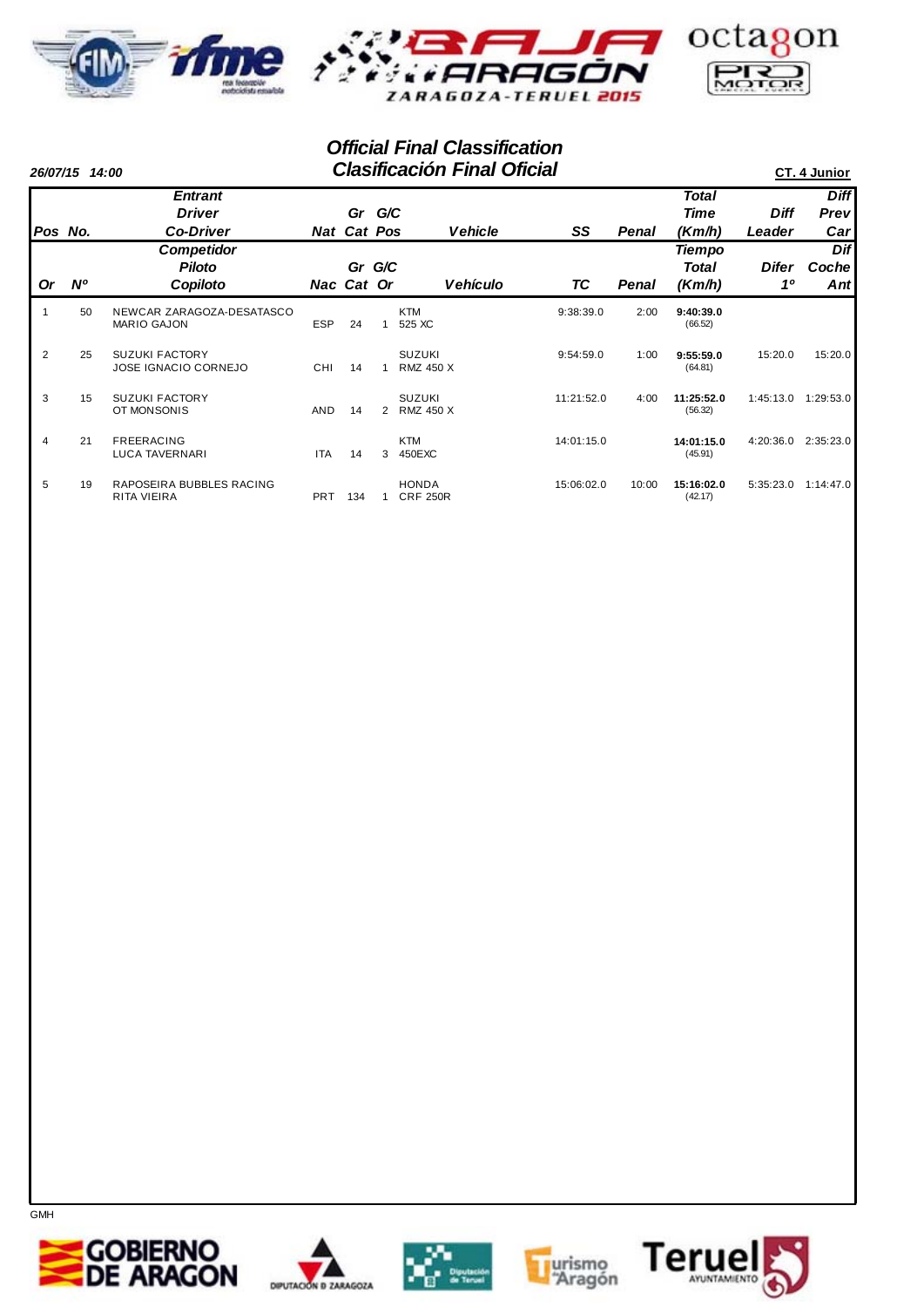



|                | 26/07/15 14:00 |                                                 |            |                      |                | <b>Clasificación Final Oficial</b> |            |       |                                  |             | CT. 4 Junior  |
|----------------|----------------|-------------------------------------------------|------------|----------------------|----------------|------------------------------------|------------|-------|----------------------------------|-------------|---------------|
|                |                | <b>Entrant</b>                                  |            |                      |                |                                    |            |       | <b>Total</b>                     |             | <b>Diff</b>   |
|                |                | <b>Driver</b>                                   |            | Gr                   | G/C            |                                    |            |       | <b>Time</b>                      | <b>Diff</b> | Prev          |
| Pos No.        |                | <b>Co-Driver</b>                                |            | <b>Nat Cat Pos</b>   |                | <b>Vehicle</b>                     | SS         | Penal | (Km/h)                           | Leader      | Carl<br>Dif   |
| <b>Or</b>      | N <sup>o</sup> | <b>Competidor</b><br><b>Piloto</b><br>Copiloto  |            | Gr G/C<br>Nac Cat Or |                | <b>Vehículo</b>                    | ТC         | Penal | <b>Tiempo</b><br>Total<br>(Km/h) | Difer<br>10 | Coche<br>Antl |
|                | 50             | NEWCAR ZARAGOZA-DESATASCO<br><b>MARIO GAJON</b> | <b>ESP</b> | 24                   | $\mathbf{1}$   | <b>KTM</b><br>525 XC               | 9:38:39.0  | 2:00  | 9:40:39.0<br>(66.52)             |             |               |
| $\overline{2}$ | 25             | <b>SUZUKI FACTORY</b><br>JOSE IGNACIO CORNEJO   | CHI        | 14                   | 1              | <b>SUZUKI</b><br><b>RMZ 450 X</b>  | 9:54:59.0  | 1:00  | 9:55:59.0<br>(64.81)             | 15:20.0     | 15:20.0       |
| 3              | 15             | <b>SUZUKI FACTORY</b><br>OT MONSONIS            | <b>AND</b> | 14                   | $\overline{2}$ | <b>SUZUKI</b><br><b>RMZ 450 X</b>  | 11:21:52.0 | 4:00  | 11:25:52.0<br>(56.32)            | 1:45:13.0   | 1:29:53.0     |
| $\overline{4}$ | 21             | <b>FREERACING</b><br><b>LUCA TAVERNARI</b>      | <b>ITA</b> | 14                   | 3              | <b>KTM</b><br>450EXC               | 14:01:15.0 |       | 14:01:15.0<br>(45.91)            | 4:20:36.0   | 2:35:23.0     |
| 5              | 19             | RAPOSEIRA BUBBLES RACING<br>RITA VIEIRA         | <b>PRT</b> | 134                  |                | <b>HONDA</b><br><b>CRF 250R</b>    | 15:06:02.0 | 10:00 | 15:16:02.0<br>(42.17)            | 5:35:23.0   | 1:14:47.0     |









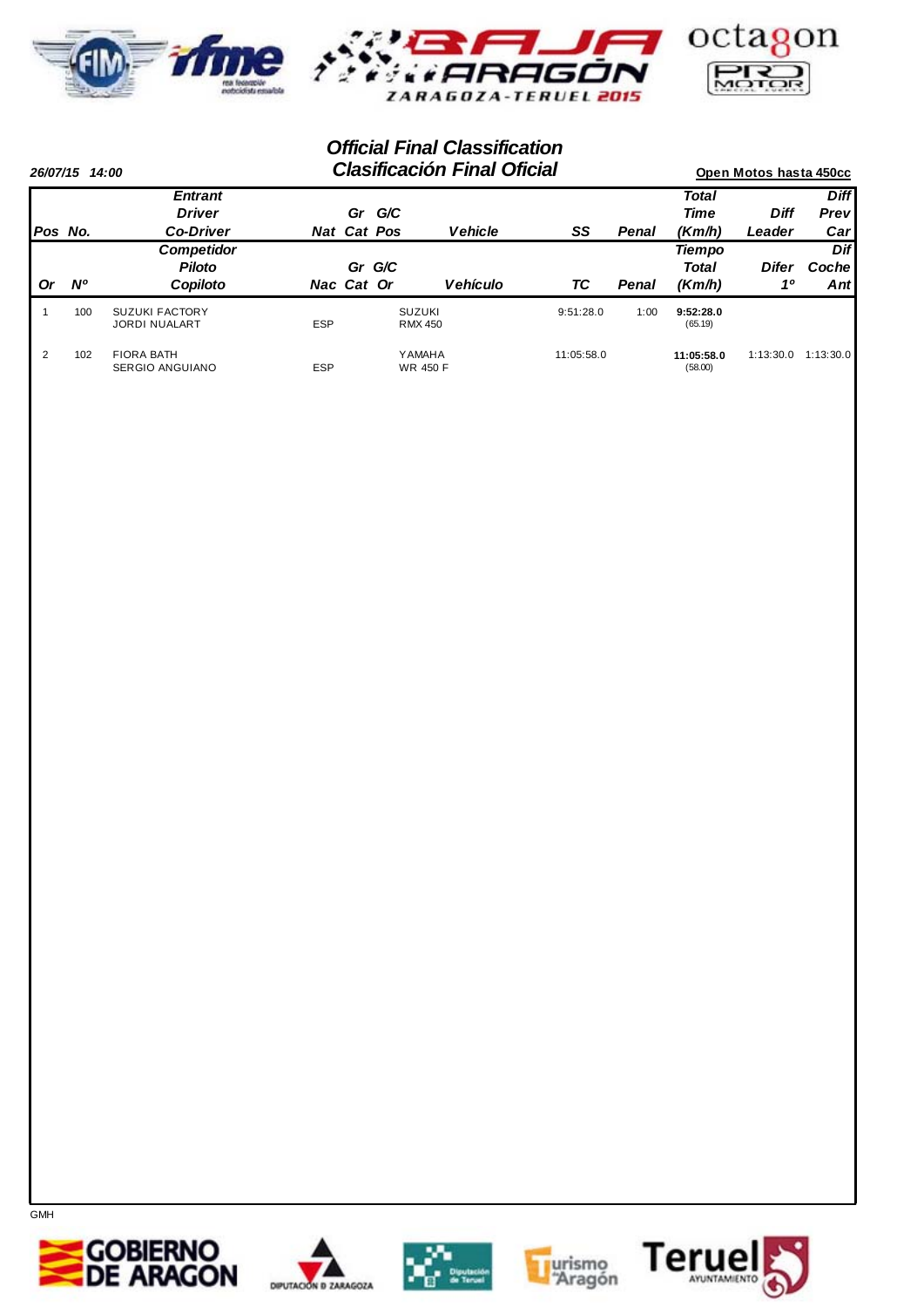



|                | 26/07/15 14:00 |                                               |                    |        |                                 | <b>Clasificación Final Oficial</b> |            |       |                       | Open Motos hasta 450cc |              |
|----------------|----------------|-----------------------------------------------|--------------------|--------|---------------------------------|------------------------------------|------------|-------|-----------------------|------------------------|--------------|
|                |                | <b>Entrant</b>                                |                    |        |                                 |                                    |            |       | <b>Total</b>          |                        | <b>Diff</b>  |
|                |                | <b>Driver</b>                                 |                    | Gr     | G/C                             |                                    |            |       | Time                  | <b>Diff</b>            | <b>Prevl</b> |
| <b>Pos No.</b> |                | <b>Co-Driver</b>                              | <b>Nat Cat Pos</b> |        |                                 | <b>Vehicle</b>                     | SS         | Penal | (Km/h)                | Leader                 | Car          |
|                |                | <b>Competidor</b>                             |                    |        |                                 |                                    |            |       | <b>Tiempo</b>         |                        | Dif          |
|                |                | <b>Piloto</b>                                 |                    | Gr G/C |                                 |                                    |            |       | Total                 | <b>Difer</b>           | Cochel       |
| <b>Or</b>      | <b>N°</b>      | Copiloto                                      | Nac Cat Or         |        |                                 | <b>Vehículo</b>                    | ТC         | Penal | (Km/h)                | 10                     | Antl         |
|                | 100            | <b>SUZUKI FACTORY</b><br><b>JORDI NUALART</b> | <b>ESP</b>         |        | <b>SUZUKI</b><br><b>RMX 450</b> |                                    | 9:51:28.0  | 1:00  | 9:52:28.0<br>(65.19)  |                        |              |
| 2              | 102            | <b>FIORA BATH</b><br><b>SERGIO ANGUIANO</b>   | <b>ESP</b>         |        | Y AMAHA<br><b>WR 450 F</b>      |                                    | 11:05:58.0 |       | 11:05:58.0<br>(58.00) | 1:13:30.0              | 1:13:30.0    |









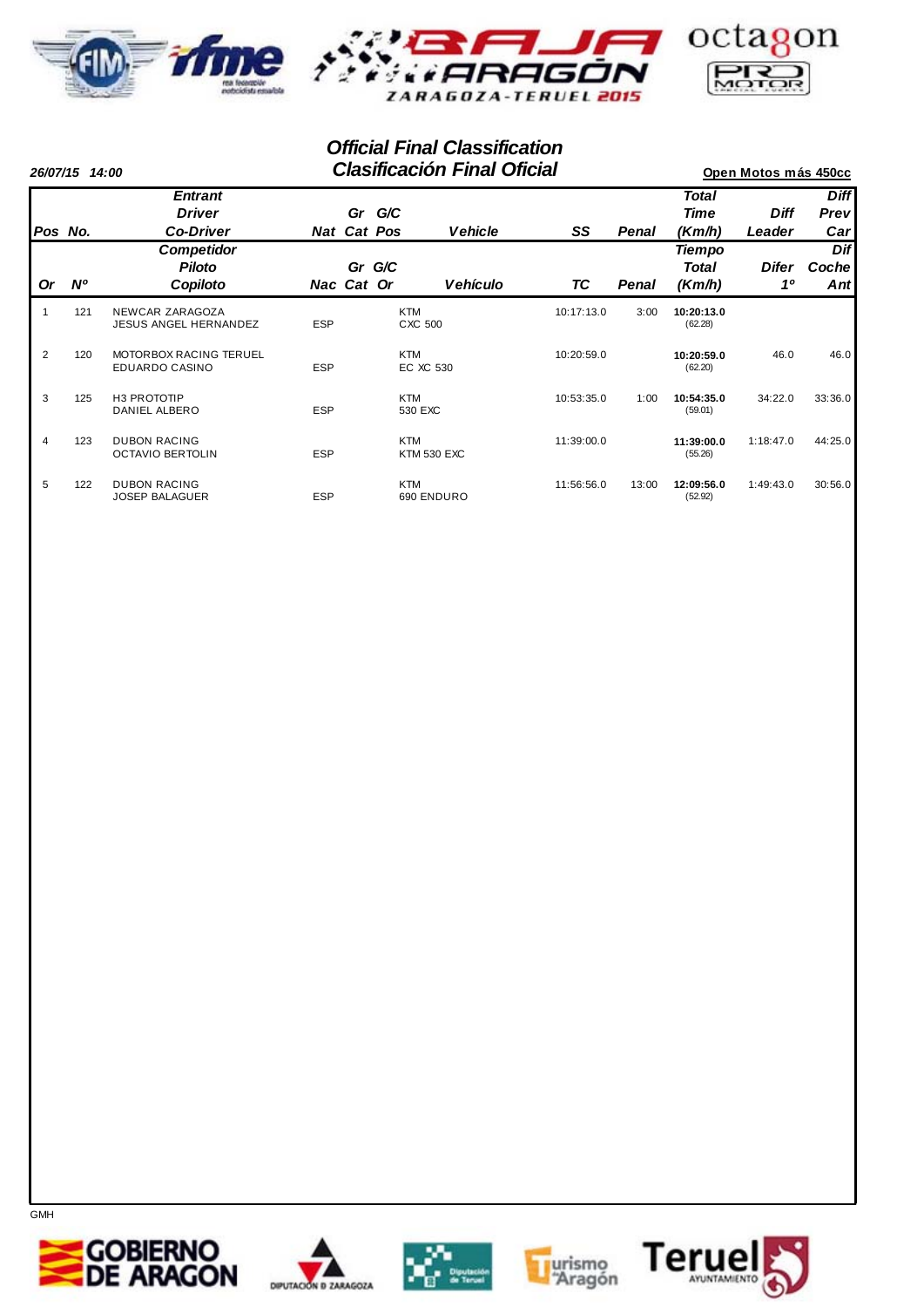



|                |             | <b>Clasificación Final Oficial</b><br>26/07/15 14:00   |            |                      |                       |                    |            |       |                                  | Open Motos más 450cc    |                      |
|----------------|-------------|--------------------------------------------------------|------------|----------------------|-----------------------|--------------------|------------|-------|----------------------------------|-------------------------|----------------------|
|                |             | <b>Entrant</b><br><b>Driver</b>                        |            | Gr                   | G/C                   |                    |            |       | Total<br><b>Time</b>             | <b>Diff</b>             | <b>Diff</b><br>Prev  |
| Pos No.        |             | <b>Co-Driver</b>                                       |            | <b>Nat Cat Pos</b>   |                       | <b>Vehicle</b>     | SS         | Penal | (Km/h)                           | Leader                  | Car                  |
| <b>Or</b>      | $N^{\rm o}$ | <b>Competidor</b><br><b>Piloto</b><br>Copiloto         |            | Gr G/C<br>Nac Cat Or |                       | <b>Vehículo</b>    | ТC         | Penal | <b>Tiempo</b><br>Total<br>(Km/h) | Difer<br>1 <sup>0</sup> | Dif<br>Coche<br>Antl |
|                | 121         | NEWCAR ZARAGOZA<br><b>JESUS ANGEL HERNANDEZ</b>        | <b>ESP</b> |                      | <b>KTM</b><br>CXC 500 |                    | 10:17:13.0 | 3:00  | 10:20:13.0<br>(62.28)            |                         |                      |
| $\overline{2}$ | 120         | <b>MOTORBOX RACING TERUEL</b><br><b>EDUARDO CASINO</b> | <b>ESP</b> |                      | <b>KTM</b>            | EC XC 530          | 10:20:59.0 |       | 10:20:59.0<br>(62.20)            | 46.0                    | 46.0                 |
| 3              | 125         | H3 PROTOTIP<br>DANIEL ALBERO                           | <b>ESP</b> |                      | <b>KTM</b><br>530 EXC |                    | 10:53:35.0 | 1:00  | 10:54:35.0<br>(59.01)            | 34:22.0                 | 33:36.0              |
| $\overline{4}$ | 123         | <b>DUBON RACING</b><br><b>OCTAVIO BERTOLIN</b>         | <b>ESP</b> |                      | <b>KTM</b>            | <b>KTM 530 EXC</b> | 11:39:00.0 |       | 11:39:00.0<br>(55.26)            | 1:18:47.0               | 44:25.0              |
| 5              | 122         | <b>DUBON RACING</b><br><b>JOSEP BALAGUER</b>           | <b>ESP</b> |                      | <b>KTM</b>            | 690 ENDURO         | 11:56:56.0 | 13:00 | 12:09:56.0<br>(52.92)            | 1:49:43.0               | 30:56.0              |







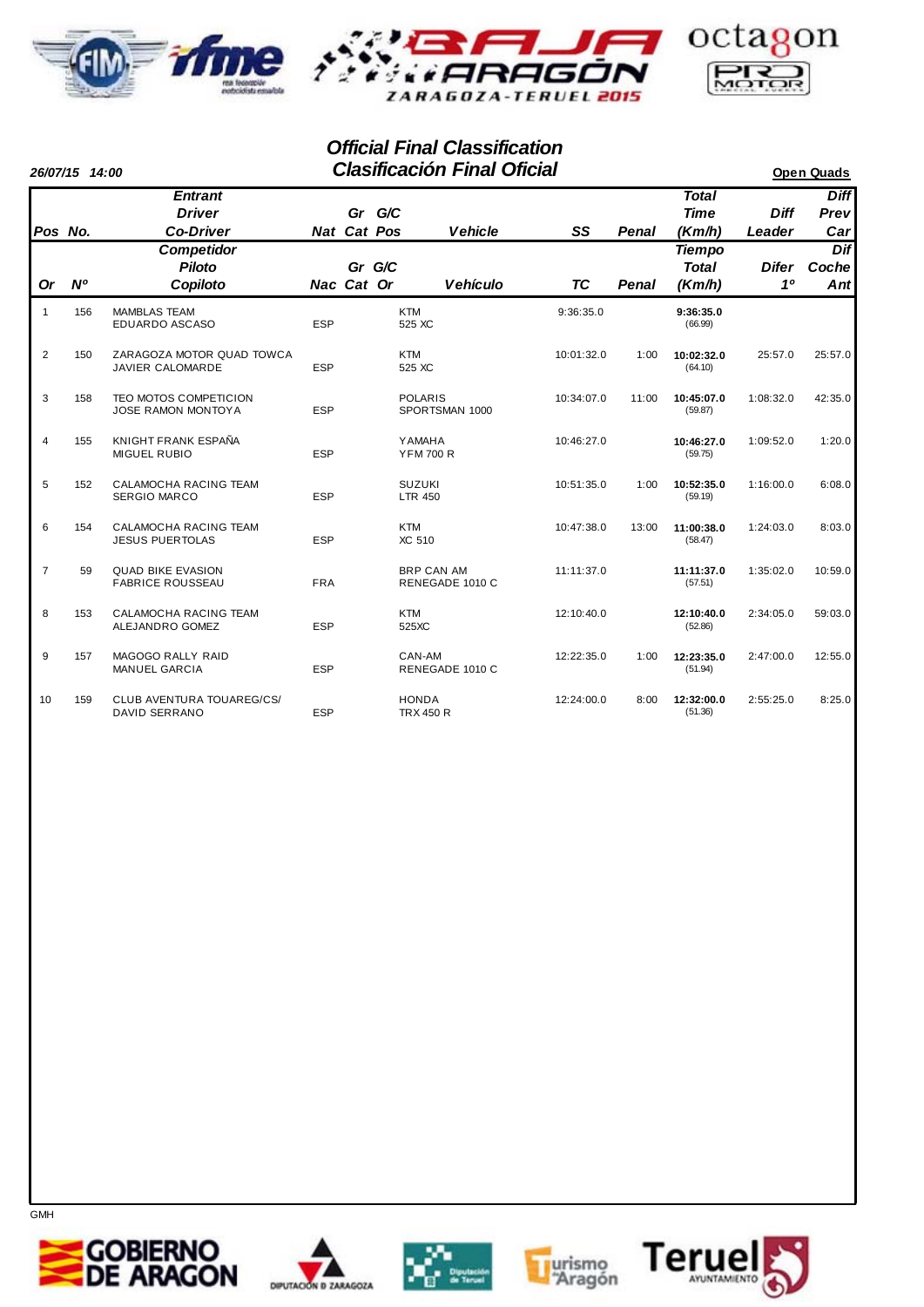



|                | 26/07/15 14:00 |                                                           |            |             |                                 | <b>Clasificación Final Oficial</b>   |            |              |                                         |                       | <b>Open Quads</b>          |
|----------------|----------------|-----------------------------------------------------------|------------|-------------|---------------------------------|--------------------------------------|------------|--------------|-----------------------------------------|-----------------------|----------------------------|
| Pos No.        |                | <b>Entrant</b><br><b>Driver</b><br><b>Co-Driver</b>       |            | Nat Cat Pos | Gr G/C                          | <b>Vehicle</b>                       | SS         | <b>Penal</b> | <b>Total</b><br><b>Time</b><br>(Km/h)   | <b>Diff</b><br>Leader | <b>Diff</b><br>Prev<br>Car |
| <b>Or</b>      | N <sup>o</sup> | <b>Competidor</b><br><b>Piloto</b><br>Copiloto            |            | Nac Cat Or  | Gr G/C                          | <b>Vehículo</b>                      | TC         | Penal        | <b>Tiempo</b><br><b>Total</b><br>(Km/h) | <b>Difer</b><br>10    | Dif<br>Coche<br>Ant        |
| 1              | 156            | <b>MAMBLAS TEAM</b><br>EDUARDO ASCASO                     | <b>ESP</b> |             | <b>KTM</b><br>525 XC            |                                      | 9:36:35.0  |              | 9:36:35.0<br>(66.99)                    |                       |                            |
| $\overline{2}$ | 150            | ZARAGOZA MOTOR QUAD TOWCA<br>JAVIER CALOMARDE             | <b>ESP</b> |             | <b>KTM</b><br>525 XC            |                                      | 10:01:32.0 | 1:00         | 10:02:32.0<br>(64.10)                   | 25:57.0               | 25:57.0                    |
| 3              | 158            | <b>TEO MOTOS COMPETICION</b><br><b>JOSE RAMON MONTOYA</b> | <b>ESP</b> |             |                                 | <b>POLARIS</b><br>SPORTSMAN 1000     | 10:34:07.0 | 11:00        | 10:45:07.0<br>(59.87)                   | 1:08:32.0             | 42:35.0                    |
| $\overline{4}$ | 155            | KNIGHT FRANK ESPAÑA<br><b>MIGUEL RUBIO</b>                | <b>ESP</b> |             | <b>YAMAHA</b>                   | <b>YFM 700 R</b>                     | 10:46:27.0 |              | 10:46:27.0<br>(59.75)                   | 1:09:52.0             | 1:20.0                     |
| 5              | 152            | CALAMOCHA RACING TEAM<br><b>SERGIO MARCO</b>              | <b>ESP</b> |             | <b>SUZUKI</b><br><b>LTR 450</b> |                                      | 10:51:35.0 | 1:00         | 10:52:35.0<br>(59.19)                   | 1:16:00.0             | 6:08.0                     |
| 6              | 154            | <b>CALAMOCHA RACING TEAM</b><br><b>JESUS PUERTOLAS</b>    | <b>ESP</b> |             | <b>KTM</b><br>XC 510            |                                      | 10:47:38.0 | 13:00        | 11:00:38.0<br>(58.47)                   | 1:24:03.0             | 8:03.0                     |
| $\overline{7}$ | 59             | <b>QUAD BIKE EVASION</b><br><b>FABRICE ROUSSEAU</b>       | <b>FRA</b> |             |                                 | <b>BRP CAN AM</b><br>RENEGADE 1010 C | 11:11:37.0 |              | 11:11:37.0<br>(57.51)                   | 1:35:02.0             | 10:59.0                    |
| 8              | 153            | <b>CALAMOCHA RACING TEAM</b><br>ALEJANDRO GOMEZ           | <b>ESP</b> |             | <b>KTM</b><br>525XC             |                                      | 12:10:40.0 |              | 12:10:40.0<br>(52.86)                   | 2:34:05.0             | 59:03.0                    |
| 9              | 157            | <b>MAGOGO RALLY RAID</b><br><b>MANUEL GARCIA</b>          | <b>ESP</b> |             | CAN-AM                          | RENEGADE 1010 C                      | 12:22:35.0 | 1:00         | 12:23:35.0<br>(51.94)                   | 2:47:00.0             | 12:55.0                    |
| 10             | 159            | CLUB AVENTURA TOUAREG/CS/<br><b>DAVID SERRANO</b>         | <b>ESP</b> |             | <b>HONDA</b>                    | <b>TRX 450 R</b>                     | 12:24:00.0 | 8:00         | 12:32:00.0<br>(51.36)                   | 2:55:25.0             | 8:25.0                     |









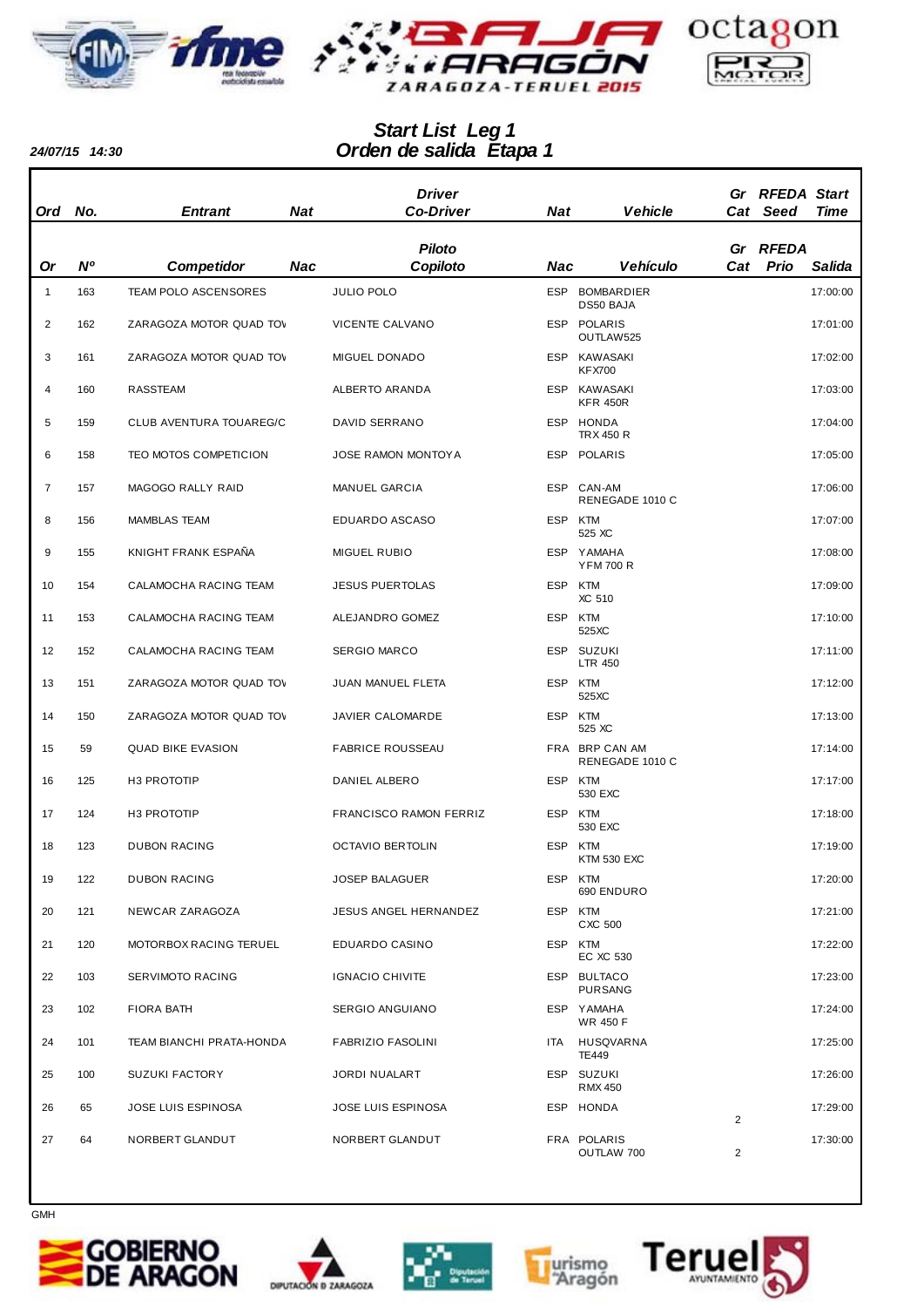



## *Orden de salida Etapa 1 Start List Leg 1*

*24/07/15 14:30*

|                |     |                          |            | <b>Driver</b>              |         |                                   |                | Gr RFEDA Start |             |
|----------------|-----|--------------------------|------------|----------------------------|---------|-----------------------------------|----------------|----------------|-------------|
| Ord            | No. | <b>Entrant</b>           | <b>Nat</b> | <b>Co-Driver</b>           | Nat     | <b>Vehicle</b>                    |                | Cat Seed       | <b>Time</b> |
|                |     |                          |            | <b>Piloto</b>              |         |                                   |                | Gr RFEDA       |             |
| <b>Or</b>      | N°  | <b>Competidor</b>        | Nac        | Copiloto                   | Nac     | <b>Vehículo</b>                   |                | Cat Prio       | Salida      |
| $\mathbf{1}$   | 163 | TEAM POLO ASCENSORES     |            | <b>JULIO POLO</b>          |         | ESP BOMBARDIER<br>DS50 BAJA       |                |                | 17:00:00    |
| 2              | 162 | ZARAGOZA MOTOR QUAD TOV  |            | VICENTE CALVANO            |         | ESP POLARIS<br>OUTLAW525          |                |                | 17:01:00    |
| 3              | 161 | ZARAGOZA MOTOR QUAD TOV  |            | MIGUEL DONADO              |         | ESP KAWASAKI<br><b>KFX700</b>     |                |                | 17:02:00    |
| 4              | 160 | RASSTEAM                 |            | ALBERTO ARANDA             |         | ESP KAWASAKI<br><b>KFR 450R</b>   |                |                | 17:03:00    |
| 5              | 159 | CLUB AVENTURA TOUAREG/C  |            | DAVID SERRANO              |         | ESP HONDA<br><b>TRX 450 R</b>     |                |                | 17:04:00    |
| 6              | 158 | TEO MOTOS COMPETICION    |            | <b>JOSE RAMON MONTOY A</b> |         | ESP POLARIS                       |                |                | 17:05:00    |
| $\overline{7}$ | 157 | MAGOGO RALLY RAID        |            | MANUEL GARCIA              |         | ESP CAN-AM<br>RENEGADE 1010 C     |                |                | 17:06:00    |
| 8              | 156 | <b>MAMBLAS TEAM</b>      |            | EDUARDO ASCASO             | ESP KTM | 525 XC                            |                |                | 17:07:00    |
| 9              | 155 | KNIGHT FRANK ESPAÑA      |            | <b>MIGUEL RUBIO</b>        |         | ESP YAMAHA<br><b>YFM 700 R</b>    |                |                | 17:08:00    |
| 10             | 154 | CALAMOCHA RACING TEAM    |            | <b>JESUS PUERTOLAS</b>     | ESP KTM | XC 510                            |                |                | 17:09:00    |
| 11             | 153 | CALAMOCHA RACING TEAM    |            | ALEJANDRO GOMEZ            | ESP KTM | 525XC                             |                |                | 17:10:00    |
| 12             | 152 | CALAMOCHA RACING TEAM    |            | <b>SERGIO MARCO</b>        |         | ESP SUZUKI<br><b>LTR 450</b>      |                |                | 17:11:00    |
| 13             | 151 | ZARAGOZA MOTOR QUAD TOV  |            | JUAN MANUEL FLETA          | ESP KTM | 525XC                             |                |                | 17:12:00    |
| 14             | 150 | ZARAGOZA MOTOR QUAD TOV  |            | JAVIER CALOMARDE           |         | ESP KTM<br>525 XC                 |                |                | 17:13:00    |
| 15             | 59  | <b>QUAD BIKE EVASION</b> |            | <b>FABRICE ROUSSEAU</b>    |         | FRA BRP CAN AM<br>RENEGADE 1010 C |                |                | 17:14:00    |
| 16             | 125 | H3 PROTOTIP              |            | DANIEL ALBERO              |         | ESP KTM<br>530 EXC                |                |                | 17:17:00    |
| 17             | 124 | H3 PROTOTIP              |            | FRANCISCO RAMON FERRIZ     | ESP KTM | 530 EXC                           |                |                | 17:18:00    |
| 18             | 123 | <b>DUBON RACING</b>      |            | <b>OCTAVIO BERTOLIN</b>    |         | ESP KTM<br><b>KTM 530 EXC</b>     |                |                | 17:19:00    |
| 19             | 122 | <b>DUBON RACING</b>      |            | <b>JOSEP BALAGUER</b>      |         | ESP KTM<br>690 ENDURO             |                |                | 17:20:00    |
| 20             | 121 | NEWCAR ZARAGOZA          |            | JESUS ANGEL HERNANDEZ      |         | ESP KTM<br>CXC 500                |                |                | 17:21:00    |
| 21             | 120 | MOTORBOX RACING TERUEL   |            | EDUARDO CASINO             | ESP KTM | EC XC 530                         |                |                | 17:22:00    |
| 22             | 103 | SERVIMOTO RACING         |            | <b>IGNACIO CHIVITE</b>     |         | ESP BULTACO<br><b>PURSANG</b>     |                |                | 17:23:00    |
| 23             | 102 | FIORA BATH               |            | SERGIO ANGUIANO            |         | ESP YAMAHA<br><b>WR 450 F</b>     |                |                | 17:24:00    |
| 24             | 101 | TEAM BIANCHI PRATA-HONDA |            | <b>FABRIZIO FASOLINI</b>   |         | ITA HUSQVARNA<br>TE449            |                |                | 17:25:00    |
| 25             | 100 | <b>SUZUKI FACTORY</b>    |            | JORDI NUALART              |         | ESP SUZUKI<br><b>RMX 450</b>      |                |                | 17:26:00    |
| 26             | 65  | JOSE LUIS ESPINOSA       |            | <b>JOSE LUIS ESPINOSA</b>  |         | ESP HONDA                         | 2              |                | 17:29:00    |
| 27             | 64  | NORBERT GLANDUT          |            | NORBERT GLANDUT            |         | FRA POLARIS<br>OUTLAW 700         | $\overline{2}$ |                | 17:30:00    |









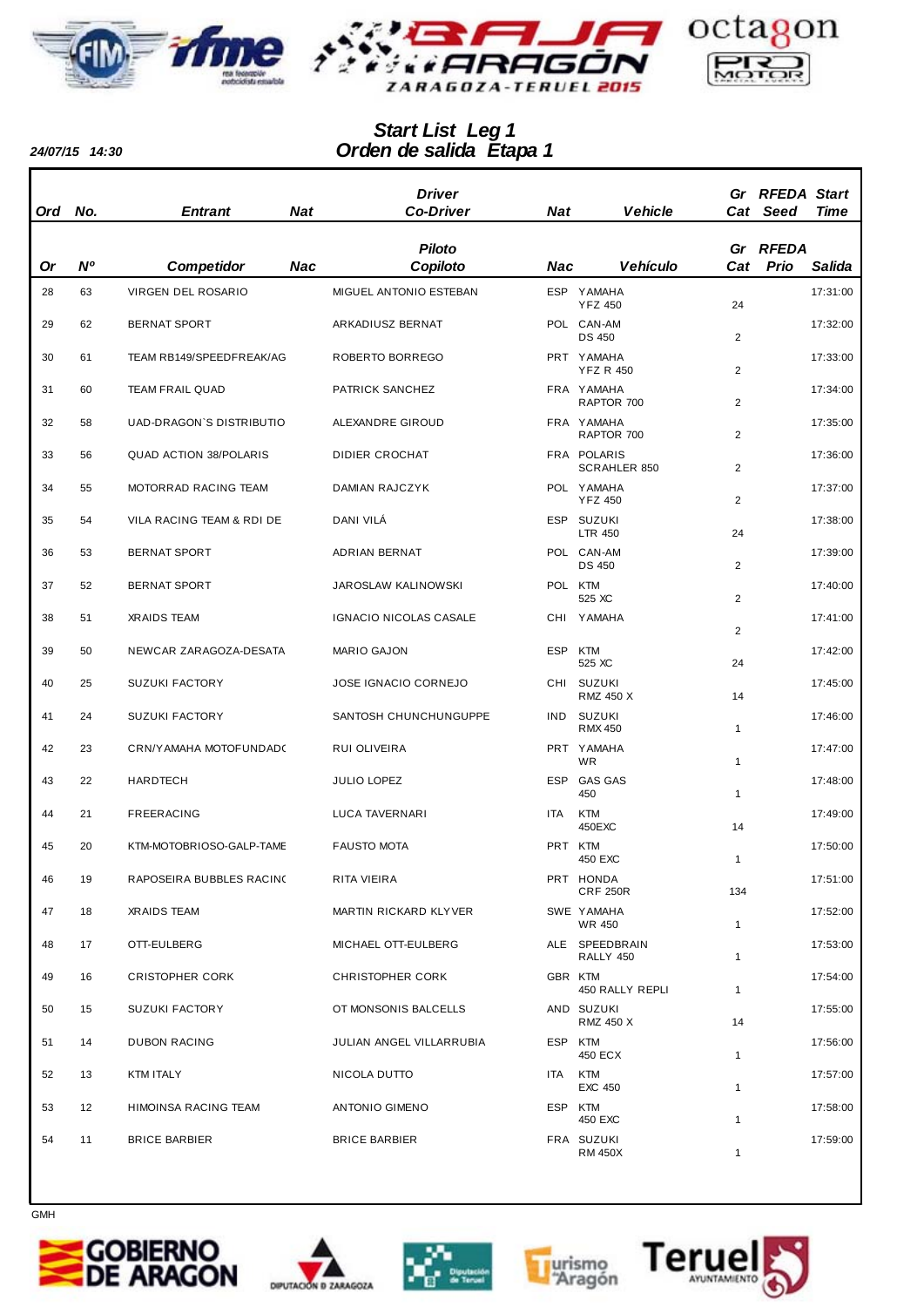



## *Orden de salida Etapa 1 Start List Leg 1*

*24/07/15 14:30*

| Ord | No.            | <b>Entrant</b>                | Nat | <b>Driver</b><br><b>Co-Driver</b> | Nat     | <b>Vehicle</b>                     |                | Gr RFEDA Start<br>Cat Seed | <b>Time</b> |
|-----|----------------|-------------------------------|-----|-----------------------------------|---------|------------------------------------|----------------|----------------------------|-------------|
|     |                |                               |     | <b>Piloto</b>                     |         |                                    |                | Gr RFEDA                   |             |
| Or  | N <sup>o</sup> | <b>Competidor</b>             | Nac | Copiloto                          | Nac     | <b>Vehículo</b>                    | Cat            | Prio                       | Salida      |
| 28  | 63             | VIRGEN DEL ROSARIO            |     | MIGUEL ANTONIO ESTEBAN            |         | ESP YAMAHA<br><b>YFZ 450</b>       | 24             |                            | 17:31:00    |
| 29  | 62             | <b>BERNAT SPORT</b>           |     | ARKADIUSZ BERNAT                  |         | POL CAN-AM<br><b>DS 450</b>        | $\overline{2}$ |                            | 17:32:00    |
| 30  | 61             | TEAM RB149/SPEEDFREAK/AG      |     | ROBERTO BORREGO                   |         | PRT YAMAHA<br><b>YFZ R 450</b>     | 2              |                            | 17:33:00    |
| 31  | 60             | <b>TEAM FRAIL QUAD</b>        |     | PATRICK SANCHEZ                   |         | FRA YAMAHA<br>RAPTOR 700           | $\overline{c}$ |                            | 17:34:00    |
| 32  | 58             | UAD-DRAGON'S DISTRIBUTIO      |     | ALEXANDRE GIROUD                  |         | FRA YAMAHA<br>RAPTOR 700           | 2              |                            | 17:35:00    |
| 33  | 56             | <b>QUAD ACTION 38/POLARIS</b> |     | <b>DIDIER CROCHAT</b>             |         | FRA POLARIS<br><b>SCRAHLER 850</b> | 2              |                            | 17:36:00    |
| 34  | 55             | MOTORRAD RACING TEAM          |     | <b>DAMIAN RAJCZYK</b>             |         | POL YAMAHA<br><b>YFZ 450</b>       | 2              |                            | 17:37:00    |
| 35  | 54             | VILA RACING TEAM & RDI DE     |     | DANI VILÁ                         |         | ESP SUZUKI<br><b>LTR 450</b>       | 24             |                            | 17:38:00    |
| 36  | 53             | <b>BERNAT SPORT</b>           |     | ADRIAN BERNAT                     |         | POL CAN-AM<br><b>DS 450</b>        | 2              |                            | 17:39:00    |
| 37  | 52             | <b>BERNAT SPORT</b>           |     | <b>JAROSLAW KALINOWSKI</b>        | POL KTM | 525 XC                             | 2              |                            | 17:40:00    |
| 38  | 51             | <b>XRAIDS TEAM</b>            |     | IGNACIO NICOLAS CASALE            |         | CHI YAMAHA                         | 2              |                            | 17:41:00    |
| 39  | 50             | NEWCAR ZARAGOZA-DESATA        |     | <b>MARIO GAJON</b>                | ESP KTM | 525 XC                             | 24             |                            | 17:42:00    |
| 40  | 25             | <b>SUZUKI FACTORY</b>         |     | <b>JOSE IGNACIO CORNEJO</b>       |         | CHI SUZUKI<br><b>RMZ 450 X</b>     | 14             |                            | 17:45:00    |
| 41  | 24             | <b>SUZUKI FACTORY</b>         |     | SANTOSH CHUNCHUNGUPPE             |         | IND SUZUKI<br><b>RMX 450</b>       | $\mathbf{1}$   |                            | 17:46:00    |
| 42  | 23             | CRN/YAMAHA MOTOFUNDAD(        |     | RUI OLIVEIRA                      |         | PRT YAMAHA<br><b>WR</b>            | $\mathbf{1}$   |                            | 17:47:00    |
| 43  | 22             | <b>HARDTECH</b>               |     | <b>JULIO LOPEZ</b>                |         | ESP GAS GAS<br>450                 | $\mathbf{1}$   |                            | 17:48:00    |
| 44  | 21             | FREERACING                    |     | <b>LUCA TAVERNARI</b>             | ITA     | <b>KTM</b><br>450EXC               | 14             |                            | 17:49:00    |
| 45  | 20             | KTM-MOTOBRIOSO-GALP-TAME      |     | <b>FAUSTO MOTA</b>                | PRT KTM | 450 EXC                            |                |                            | 17:50:00    |
| 46  | 19             | RAPOSEIRA BUBBLES RACINO      |     | RITA VIEIRA                       |         | PRT HONDA<br><b>CRF 250R</b>       | 134            |                            | 17:51:00    |
| 47  | 18             | <b>XRAIDS TEAM</b>            |     | MARTIN RICKARD KLYVER             |         | SWE YAMAHA<br>WR 450               | $\mathbf{1}$   |                            | 17:52:00    |
| 48  | 17             | OTT-EULBERG                   |     | MICHAEL OTT-EULBERG               |         | ALE SPEEDBRAIN<br>RALLY 450        | $\mathbf{1}$   |                            | 17:53:00    |
| 49  | 16             | <b>CRISTOPHER CORK</b>        |     | <b>CHRISTOPHER CORK</b>           | GBR KTM | 450 RALLY REPLI                    | $\mathbf{1}$   |                            | 17:54:00    |
| 50  | 15             | <b>SUZUKI FACTORY</b>         |     | OT MONSONIS BALCELLS              |         | AND SUZUKI<br>RMZ 450 X            | 14             |                            | 17:55:00    |
| 51  | 14             | <b>DUBON RACING</b>           |     | JULIAN ANGEL VILLARRUBIA          | ESP KTM | 450 ECX                            | $\mathbf{1}$   |                            | 17:56:00    |
| 52  | 13             | KTM ITALY                     |     | NICOLA DUTTO                      | ITA     | <b>KTM</b><br>EXC 450              | $\mathbf{1}$   |                            | 17:57:00    |
| 53  | 12             | HIMOINSA RACING TEAM          |     | ANTONIO GIMENO                    | ESP KTM | 450 EXC                            | $\mathbf{1}$   |                            | 17:58:00    |
| 54  | 11             | <b>BRICE BARBIER</b>          |     | <b>BRICE BARBIER</b>              |         | FRA SUZUKI<br><b>RM 450X</b>       | 1              |                            | 17:59:00    |









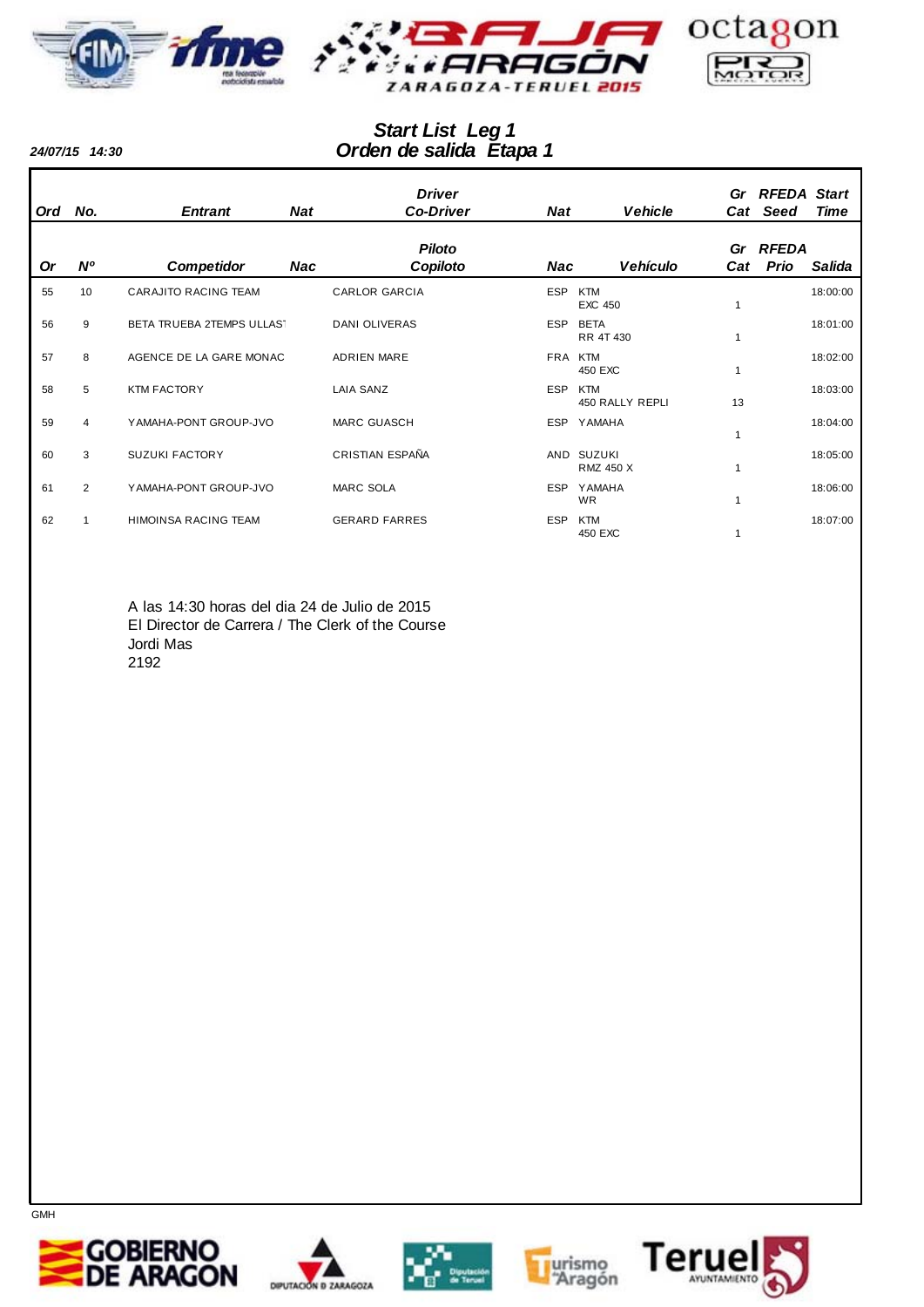



## *Orden de salida Etapa 1 Start List Leg 1*

*24/07/15 14:30*

| <b>Ord</b> | No.            | <b>Entrant</b>              | <b>Nat</b> | <b>Driver</b><br><b>Co-Driver</b> | Nat        | <b>Vehicle</b>                 | Cat | Gr RFEDA Start<br><b>Seed</b> | <b>Time</b> |
|------------|----------------|-----------------------------|------------|-----------------------------------|------------|--------------------------------|-----|-------------------------------|-------------|
|            |                |                             |            | <b>Piloto</b>                     |            |                                |     | Gr RFEDA                      |             |
| 0r         | $N^{\circ}$    | <b>Competidor</b>           | Nac        | Copiloto                          | Nac        | <b>Vehículo</b>                | Cat | Prio                          | Salida      |
| 55         | 10             | <b>CARAJITO RACING TEAM</b> |            | <b>CARLOR GARCIA</b>              | <b>ESP</b> | <b>KTM</b><br><b>EXC 450</b>   |     |                               | 18:00:00    |
| 56         | 9              | BETA TRUEBA 2TEMPS ULLAST   |            | <b>DANI OLIVERAS</b>              | <b>ESP</b> | <b>BETA</b><br>RR 4T 430       |     |                               | 18:01:00    |
| 57         | 8              | AGENCE DE LA GARE MONAC     |            | <b>ADRIEN MARE</b>                | <b>FRA</b> | KTM<br>450 EXC                 |     |                               | 18:02:00    |
| 58         | 5              | <b>KTM FACTORY</b>          |            | <b>LAIA SANZ</b>                  | <b>ESP</b> | <b>KTM</b><br>450 RALLY REPLI  | 13  |                               | 18:03:00    |
| 59         | 4              | YAMAHA-PONT GROUP-JVO       |            | <b>MARC GUASCH</b>                | <b>ESP</b> | YAMAHA                         | 1   |                               | 18:04:00    |
| 60         | 3              | <b>SUZUKI FACTORY</b>       |            | CRISTIAN ESPAÑA                   |            | AND SUZUKI<br><b>RMZ 450 X</b> |     |                               | 18:05:00    |
| 61         | $\overline{2}$ | YAMAHA-PONT GROUP-JVO       |            | <b>MARC SOLA</b>                  | <b>ESP</b> | <b>YAMAHA</b><br><b>WR</b>     |     |                               | 18:06:00    |
| 62         |                | <b>HIMOINSA RACING TEAM</b> |            | <b>GERARD FARRES</b>              | <b>ESP</b> | <b>KTM</b><br>450 EXC          |     |                               | 18:07:00    |

A las 14:30 horas del dia 24 de Julio de 2015 El Director de Carrera / The Clerk of the Course Jordi Mas 2192









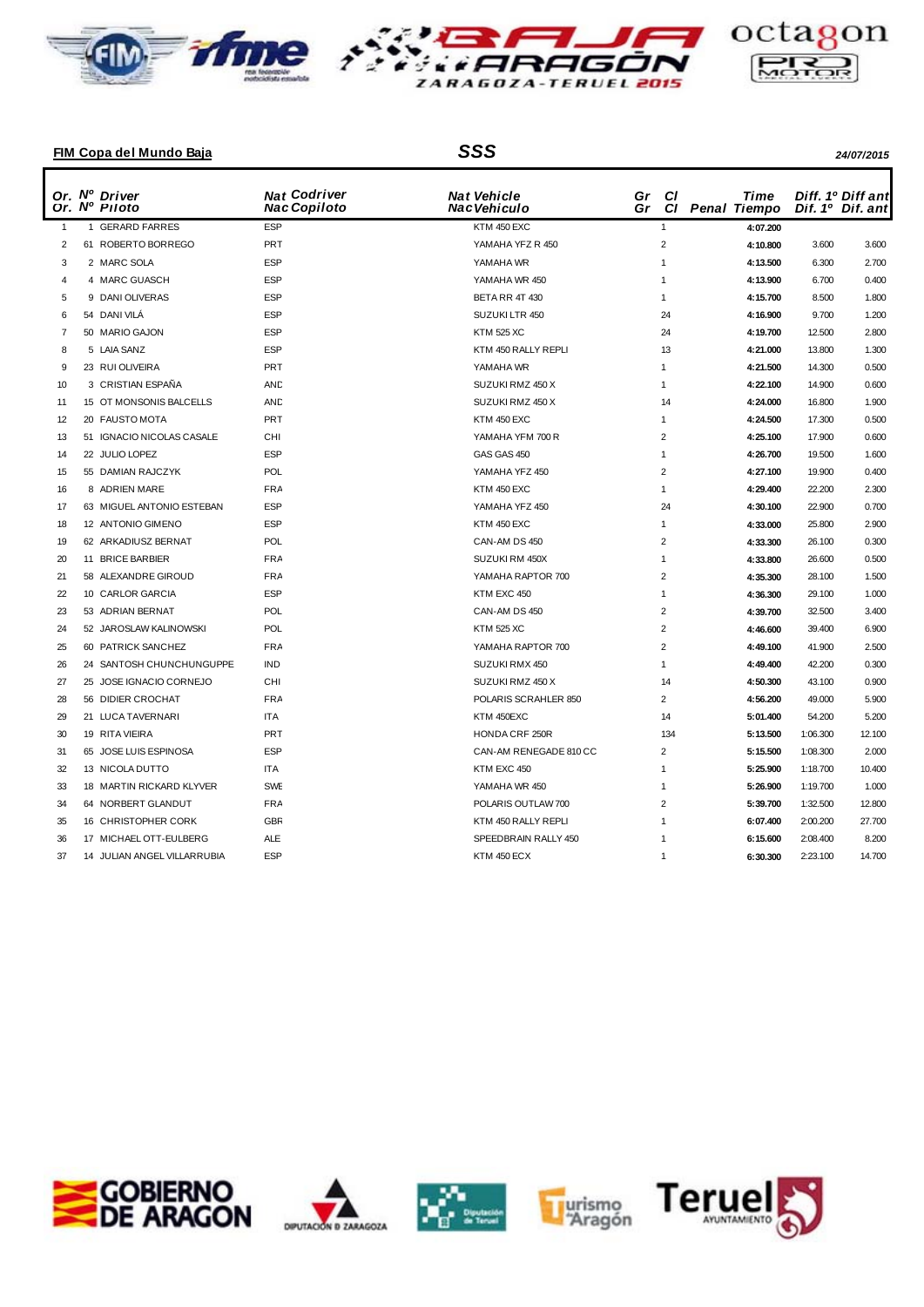





## **FIM Copa del Mundo Baja** *SSS 24/07/2015*

|                | Or. Nº Driver<br>Or. Nº Piloto | <b>Nat Codriver</b><br><b>Nac Copiloto</b> | <b>Nat Vehicle</b><br>Nac Vehiculo | Gr<br>Gr | <b>CI</b><br><b>CI</b> | Time<br><b>Penal Tiempo</b> |          | Diff. 1º Diff ant<br>Dif. 1º Dif. ant |
|----------------|--------------------------------|--------------------------------------------|------------------------------------|----------|------------------------|-----------------------------|----------|---------------------------------------|
| $\overline{1}$ | 1 GERARD FARRES                | <b>ESP</b>                                 | KTM 450 EXC                        |          | $\mathbf{1}$           | 4:07.200                    |          |                                       |
| 2              | 61 ROBERTO BORREGO             | <b>PRT</b>                                 | YAMAHA YFZ R 450                   |          | $\overline{2}$         | 4:10.800                    | 3.600    | 3.600                                 |
| 3              | 2 MARC SOLA                    | <b>ESP</b>                                 | YAMAHA WR                          |          | $\overline{1}$         | 4:13.500                    | 6.300    | 2.700                                 |
| $\overline{4}$ | 4 MARC GUASCH                  | <b>ESP</b>                                 | YAMAHA WR 450                      |          | $\overline{1}$         | 4:13.900                    | 6.700    | 0.400                                 |
| 5              | 9 DANI OLIVERAS                | <b>ESP</b>                                 | BETA RR 4T 430                     |          | $\mathbf{1}$           | 4:15.700                    | 8.500    | 1.800                                 |
| 6              | 54 DANI VILA                   | <b>ESP</b>                                 | SUZUKI LTR 450                     |          | 24                     | 4:16.900                    | 9.700    | 1.200                                 |
| 7              | 50 MARIO GAJON                 | <b>ESP</b>                                 | <b>KTM 525 XC</b>                  |          | 24                     | 4:19.700                    | 12.500   | 2.800                                 |
| 8              | 5 LAIA SANZ                    | ESP                                        | KTM 450 RALLY REPLI                |          | 13                     | 4:21.000                    | 13.800   | 1.300                                 |
| 9              | 23 RUI OLIVEIRA                | PRT                                        | YAMAHA WR                          |          | $\mathbf{1}$           | 4:21.500                    | 14.300   | 0.500                                 |
| 10             | 3 CRISTIAN ESPAÑA              | AND                                        | SUZUKI RMZ 450 X                   |          | $\overline{1}$         | 4:22.100                    | 14.900   | 0.600                                 |
| 11             | 15 OT MONSONIS BALCELLS        | AND                                        | SUZUKI RMZ 450 X                   |          | 14                     | 4:24.000                    | 16.800   | 1.900                                 |
| 12             | 20 FAUSTO MOTA                 | PRT                                        | KTM 450 EXC                        |          | $\mathbf{1}$           | 4:24.500                    | 17.300   | 0.500                                 |
| 13             | 51 IGNACIO NICOLAS CASALE      | CHI                                        | YAMAHA YFM 700 R                   |          | $\overline{2}$         | 4:25.100                    | 17.900   | 0.600                                 |
| 14             | 22 JULIO LOPEZ                 | <b>ESP</b>                                 | GAS GAS 450                        |          | $\mathbf{1}$           | 4:26.700                    | 19.500   | 1.600                                 |
| 15             | 55 DAMIAN RAJCZYK              | POL                                        | YAMAHA YFZ 450                     |          | $\overline{2}$         | 4:27.100                    | 19.900   | 0.400                                 |
| 16             | 8 ADRIEN MARE                  | FRA                                        | KTM 450 EXC                        |          | $\mathbf{1}$           | 4:29.400                    | 22.200   | 2.300                                 |
| 17             | 63 MIGUEL ANTONIO ESTEBAN      | ESP                                        | YAMAHA YFZ 450                     |          | 24                     | 4:30.100                    | 22.900   | 0.700                                 |
| 18             | 12 ANTONIO GIMENO              | <b>ESP</b>                                 | KTM 450 EXC                        |          | $\overline{1}$         | 4:33.000                    | 25.800   | 2.900                                 |
| 19             | 62 ARKADIUSZ BERNAT            | POL                                        | CAN-AM DS 450                      |          | $\overline{2}$         | 4:33.300                    | 26.100   | 0.300                                 |
| 20             | 11 BRICE BARBIER               | <b>FRA</b>                                 | SUZUKI RM 450X                     |          | $\overline{1}$         | 4:33.800                    | 26.600   | 0.500                                 |
| 21             | 58 ALEXANDRE GIROUD            | FRA                                        | YAMAHA RAPTOR 700                  |          | $\overline{2}$         | 4:35.300                    | 28.100   | 1.500                                 |
| 22             | 10 CARLOR GARCIA               | <b>ESP</b>                                 | KTM EXC 450                        |          | $\mathbf{1}$           | 4:36.300                    | 29.100   | 1.000                                 |
| 23             | 53 ADRIAN BERNAT               | POL                                        | CAN-AM DS 450                      |          | $\overline{2}$         | 4:39.700                    | 32.500   | 3.400                                 |
| 24             | 52 JAROSLAW KALINOWSKI         | POL                                        | <b>KTM 525 XC</b>                  |          | $\overline{2}$         | 4:46.600                    | 39.400   | 6.900                                 |
| 25             | 60 PATRICK SANCHEZ             | <b>FRA</b>                                 | YAMAHA RAPTOR 700                  |          | $\overline{2}$         | 4:49.100                    | 41.900   | 2.500                                 |
| 26             | 24 SANTOSH CHUNCHUNGUPPE       | <b>IND</b>                                 | SUZUKI RMX 450                     |          | $\overline{1}$         | 4:49.400                    | 42.200   | 0.300                                 |
| 27             | 25 JOSE IGNACIO CORNEJO        | CHI                                        | SUZUKI RMZ 450 X                   |          | 14                     | 4:50.300                    | 43.100   | 0.900                                 |
| 28             | 56 DIDIER CROCHAT              | FRA                                        | POLARIS SCRAHLER 850               |          | $\overline{2}$         | 4:56.200                    | 49.000   | 5.900                                 |
| 29             | 21 LUCA TAVERNARI              | <b>ITA</b>                                 | KTM 450EXC                         |          | 14                     | 5:01.400                    | 54.200   | 5.200                                 |
| 30             | 19 RITA VIEIRA                 | PRT                                        | HONDA CRF 250R                     |          | 134                    | 5:13.500                    | 1:06.300 | 12.100                                |
| 31             | 65 JOSE LUIS ESPINOSA          | <b>ESP</b>                                 | CAN-AM RENEGADE 810 CC             |          | $\overline{2}$         | 5:15.500                    | 1:08.300 | 2.000                                 |
| 32             | 13 NICOLA DUTTO                | <b>ITA</b>                                 | KTM EXC 450                        |          | $\overline{1}$         | 5:25.900                    | 1:18.700 | 10.400                                |
| 33             | 18 MARTIN RICKARD KLYVER       | <b>SWE</b>                                 | YAMAHA WR 450                      |          | 1                      | 5:26.900                    | 1:19.700 | 1.000                                 |
| 34             | 64 NORBERT GLANDUT             | <b>FRA</b>                                 | POLARIS OUTLAW 700                 |          | $\overline{2}$         | 5:39.700                    | 1:32.500 | 12.800                                |
| 35             | 16 CHRISTOPHER CORK            | <b>GBR</b>                                 | KTM 450 RALLY REPLI                |          | $\mathbf{1}$           | 6:07.400                    | 2:00.200 | 27.700                                |
| 36             | 17 MICHAEL OTT-EULBERG         | <b>ALE</b>                                 | SPEEDBRAIN RALLY 450               |          | 1                      | 6:15.600                    | 2:08.400 | 8.200                                 |
| 37             | 14 JULIAN ANGEL VILLARRUBIA    | ESP                                        | KTM 450 ECX                        |          | $\overline{1}$         | 6:30.300                    | 2:23.100 | 14.700                                |
|                |                                |                                            |                                    |          |                        |                             |          |                                       |









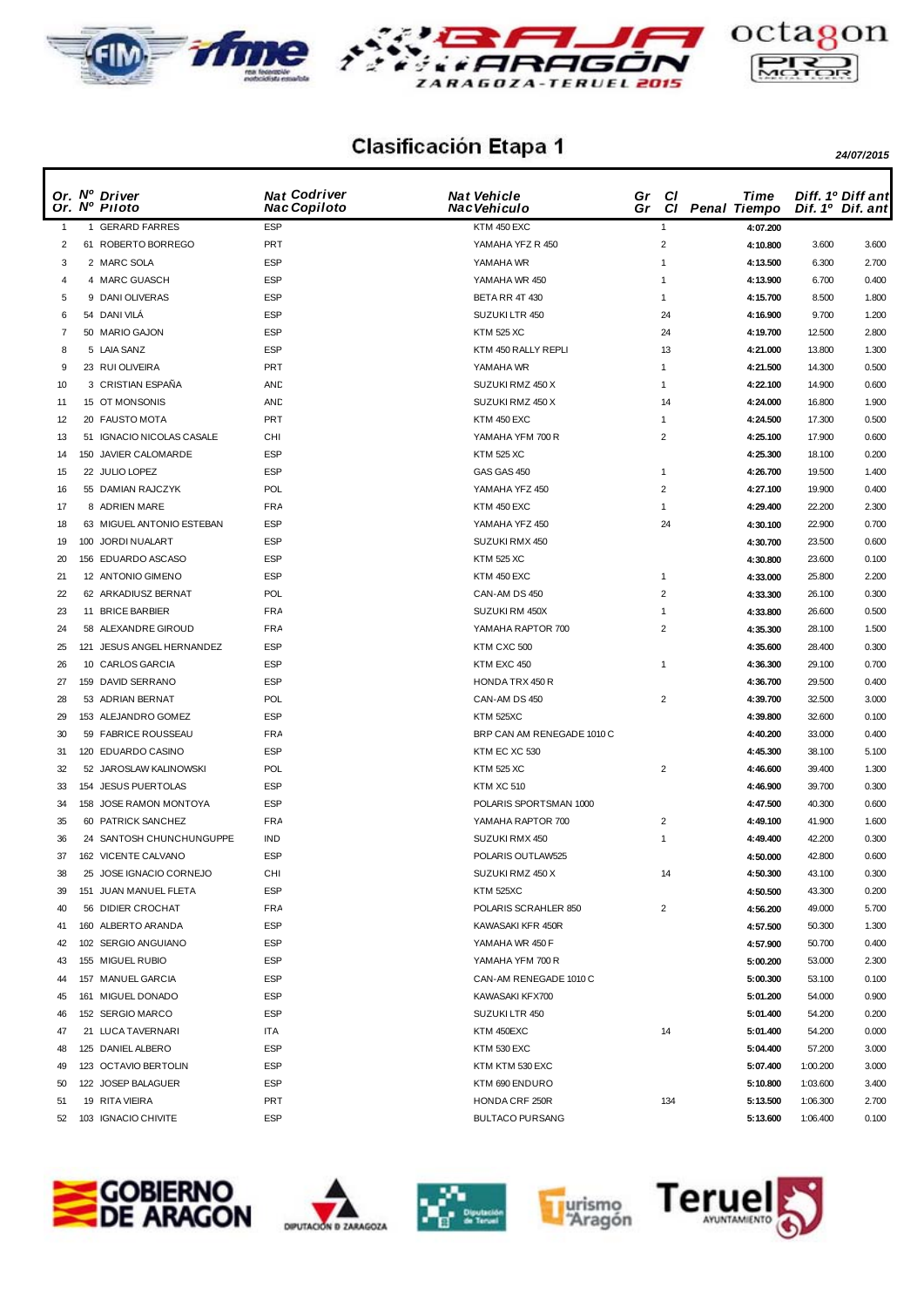





## **Clasificación Etapa 1** 24/07/2015

|              | Or. Nº Driver<br>Or. Nº Piloto | <b>Nat Codriver</b><br><b>Nac Copiloto</b> | <b>Nat Vehicle</b><br>Nac Vehiculo | Gr<br>Gr | <b>CI</b>      | Time<br>Cl Penal Tiempo |          | Diff. 1º Diff ant<br>Dif. 1º Dif. ant |
|--------------|--------------------------------|--------------------------------------------|------------------------------------|----------|----------------|-------------------------|----------|---------------------------------------|
| $\mathbf{1}$ | 1 GERARD FARRES                | <b>ESP</b>                                 | KTM 450 EXC                        |          | $\mathbf{1}$   | 4:07.200                |          |                                       |
| 2            | 61 ROBERTO BORREGO             | PRT                                        | YAMAHA YFZ R 450                   |          | $\overline{2}$ | 4:10.800                | 3.600    | 3.600                                 |
| 3            | 2 MARC SOLA                    | <b>ESP</b>                                 | YAMAHA WR                          |          | $\overline{1}$ | 4:13.500                | 6.300    | 2.700                                 |
| 4            | 4 MARC GUASCH                  | <b>ESP</b>                                 | YAMAHA WR 450                      |          | $\overline{1}$ | 4:13.900                | 6.700    | 0.400                                 |
| 5            | 9 DANI OLIVERAS                | <b>ESP</b>                                 | BETA RR 4T 430                     |          | $\mathbf{1}$   | 4:15.700                | 8.500    | 1.800                                 |
| 6            | 54 DANI VILA                   | <b>ESP</b>                                 | SUZUKI LTR 450                     |          | 24             | 4:16.900                | 9.700    | 1.200                                 |
| 7            | 50 MARIO GAJON                 | <b>ESP</b>                                 | <b>KTM 525 XC</b>                  |          | 24             | 4:19.700                | 12.500   | 2.800                                 |
| 8            | 5 LAIA SANZ                    | <b>ESP</b>                                 | KTM 450 RALLY REPLI                |          | 13             | 4:21.000                | 13.800   | 1.300                                 |
| 9            | 23 RUI OLIVEIRA                | <b>PRT</b>                                 | YAMAHA WR                          |          | $\mathbf{1}$   | 4:21.500                | 14.300   | 0.500                                 |
| 10           | 3 CRISTIAN ESPAÑA              | AND                                        | SUZUKI RMZ 450 X                   |          | $\mathbf{1}$   | 4:22.100                | 14.900   | 0.600                                 |
| 11           | 15 OT MONSONIS                 | AND                                        | SUZUKI RMZ 450 X                   |          | 14             | 4:24.000                | 16.800   | 1.900                                 |
| 12           | 20 FAUSTO MOTA                 | <b>PRT</b>                                 | KTM 450 EXC                        |          | $\mathbf{1}$   | 4:24.500                | 17.300   | 0.500                                 |
| 13           | 51 IGNACIO NICOLAS CASALE      | CHI                                        | YAMAHA YFM 700 R                   |          | $\overline{2}$ | 4:25.100                | 17.900   | 0.600                                 |
| 14           | 150 JAVIER CALOMARDE           | <b>ESP</b>                                 | <b>KTM 525 XC</b>                  |          |                | 4:25.300                | 18.100   | 0.200                                 |
| 15           | 22 JULIO LOPEZ                 | <b>ESP</b>                                 | GAS GAS 450                        |          | $\mathbf{1}$   | 4:26.700                | 19.500   | 1.400                                 |
| 16           | 55 DAMIAN RAJCZYK              | POL                                        | YAMAHA YFZ 450                     |          | $\overline{2}$ | 4:27.100                | 19.900   | 0.400                                 |
| 17           | 8 ADRIEN MARE                  | <b>FRA</b>                                 | KTM 450 EXC                        |          | $\mathbf{1}$   | 4:29.400                | 22.200   | 2.300                                 |
| 18           | 63 MIGUEL ANTONIO ESTEBAN      | <b>ESP</b>                                 | YAMAHA YFZ 450                     |          | 24             | 4:30.100                | 22.900   | 0.700                                 |
| 19           | 100 JORDI NUALART              | <b>ESP</b>                                 | SUZUKI RMX 450                     |          |                | 4:30.700                | 23.500   | 0.600                                 |
| 20           | 156 EDUARDO ASCASO             | <b>ESP</b>                                 | <b>KTM 525 XC</b>                  |          |                | 4:30.800                | 23.600   | 0.100                                 |
| 21           | 12 ANTONIO GIMENO              | <b>ESP</b>                                 | KTM 450 EXC                        |          | $\mathbf{1}$   | 4:33.000                | 25.800   | 2.200                                 |
| 22           | 62 ARKADIUSZ BERNAT            | POL                                        | CAN-AM DS 450                      |          | $\overline{2}$ | 4:33.300                | 26.100   | 0.300                                 |
| 23           | 11 BRICE BARBIER               | <b>FRA</b>                                 | SUZUKI RM 450X                     |          | $\mathbf{1}$   |                         |          | 0.500                                 |
|              |                                | <b>FRA</b>                                 | YAMAHA RAPTOR 700                  |          | $\overline{2}$ | 4:33.800                | 26.600   |                                       |
| 24           | 58 ALEXANDRE GIROUD            |                                            |                                    |          |                | 4:35.300                | 28.100   | 1.500                                 |
| 25           | 121 JESUS ANGEL HERNANDEZ      | <b>ESP</b>                                 | KTM CXC 500                        |          |                | 4:35.600                | 28.400   | 0.300                                 |
| 26           | 10 CARLOS GARCIA               | <b>ESP</b>                                 | KTM EXC 450                        |          | $\mathbf{1}$   | 4:36.300                | 29.100   | 0.700                                 |
| 27           | 159 DAVID SERRANO              | <b>ESP</b>                                 | HONDA TRX 450 R                    |          |                | 4:36.700                | 29.500   | 0.400                                 |
| 28           | 53 ADRIAN BERNAT               | POL                                        | CAN-AM DS 450                      |          | $\overline{2}$ | 4:39.700                | 32.500   | 3.000                                 |
| 29           | 153 ALEJANDRO GOMEZ            | <b>ESP</b>                                 | <b>KTM 525XC</b>                   |          |                | 4:39.800                | 32.600   | 0.100                                 |
| 30           | 59 FABRICE ROUSSEAU            | FRA                                        | BRP CAN AM RENEGADE 1010 C         |          |                | 4:40.200                | 33.000   | 0.400                                 |
| 31           | 120 EDUARDO CASINO             | <b>ESP</b>                                 | KTM EC XC 530                      |          |                | 4:45.300                | 38.100   | 5.100                                 |
| 32           | 52 JAROSLAW KALINOWSKI         | POL                                        | <b>KTM 525 XC</b>                  |          | $\overline{2}$ | 4:46.600                | 39.400   | 1.300                                 |
| 33           | 154 JESUS PUERTOLAS            | <b>ESP</b>                                 | <b>KTM XC 510</b>                  |          |                | 4:46.900                | 39.700   | 0.300                                 |
| 34           | 158 JOSE RAMON MONTOYA         | <b>ESP</b>                                 | POLARIS SPORTSMAN 1000             |          |                | 4:47.500                | 40.300   | 0.600                                 |
| 35           | 60 PATRICK SANCHEZ             | <b>FRA</b>                                 | YAMAHA RAPTOR 700                  |          | $\overline{2}$ | 4:49.100                | 41.900   | 1.600                                 |
| 36           | 24 SANTOSH CHUNCHUNGUPPE       | IND                                        | SUZUKI RMX 450                     |          | $\mathbf{1}$   | 4:49.400                | 42.200   | 0.300                                 |
| 37           | 162 VICENTE CALVANO            | <b>ESP</b>                                 | POLARIS OUTLAW525                  |          |                | 4:50.000                | 42.800   | 0.600                                 |
| 38           | 25 JOSE IGNACIO CORNEJO        | CHI                                        | SUZUKI RMZ 450 X                   |          | 14             | 4:50.300                | 43.100   | 0.300                                 |
| 39           | 151 JUAN MANUEL FLETA          | <b>ESP</b>                                 | <b>KTM 525XC</b>                   |          |                | 4:50.500                | 43.300   | 0.200                                 |
| 40           | 56 DIDIER CROCHAT              | <b>FRA</b>                                 | POLARIS SCRAHLER 850               |          | $\overline{2}$ | 4:56.200                | 49.000   | 5.700                                 |
| 41           | 160 ALBERTO ARANDA             | <b>ESP</b>                                 | KAWASAKI KFR 450R                  |          |                | 4:57.500                | 50.300   | 1.300                                 |
| 42           | 102 SERGIO ANGUIANO            | <b>ESP</b>                                 | YAMAHA WR 450 F                    |          |                | 4:57.900                | 50.700   | 0.400                                 |
| 43           | 155 MIGUEL RUBIO               | <b>ESP</b>                                 | YAMAHA YFM 700 R                   |          |                | 5:00.200                | 53.000   | 2.300                                 |
| 44           | 157 MANUEL GARCIA              | <b>ESP</b>                                 | CAN-AM RENEGADE 1010 C             |          |                | 5:00.300                | 53.100   | 0.100                                 |
| 45           | 161 MIGUEL DONADO              | <b>ESP</b>                                 | KAWASAKI KFX700                    |          |                | 5:01.200                | 54.000   | 0.900                                 |
| 46           | 152 SERGIO MARCO               | <b>ESP</b>                                 | SUZUKI LTR 450                     |          |                | 5:01.400                | 54.200   | 0.200                                 |
| 47           | 21 LUCA TAVERNARI              | ITA                                        | KTM 450EXC                         |          | 14             | 5:01.400                | 54.200   | 0.000                                 |
| 48           | 125 DANIEL ALBERO              | <b>ESP</b>                                 | KTM 530 EXC                        |          |                | 5:04.400                | 57.200   | 3.000                                 |
| 49           | 123 OCTAVIO BERTOLIN           | <b>ESP</b>                                 | KTM KTM 530 EXC                    |          |                | 5:07.400                | 1:00.200 | 3.000                                 |
| 50           | 122 JOSEP BALAGUER             | <b>ESP</b>                                 | KTM 690 ENDURO                     |          |                | 5:10.800                | 1:03.600 | 3.400                                 |
| 51           | 19 RITA VIEIRA                 | PRT                                        | HONDA CRF 250R                     |          | 134            | 5:13.500                | 1:06.300 | 2.700                                 |
| 52           | 103 IGNACIO CHIVITE            | <b>ESP</b>                                 | <b>BULTACO PURSANG</b>             |          |                | 5:13.600                | 1:06.400 | 0.100                                 |









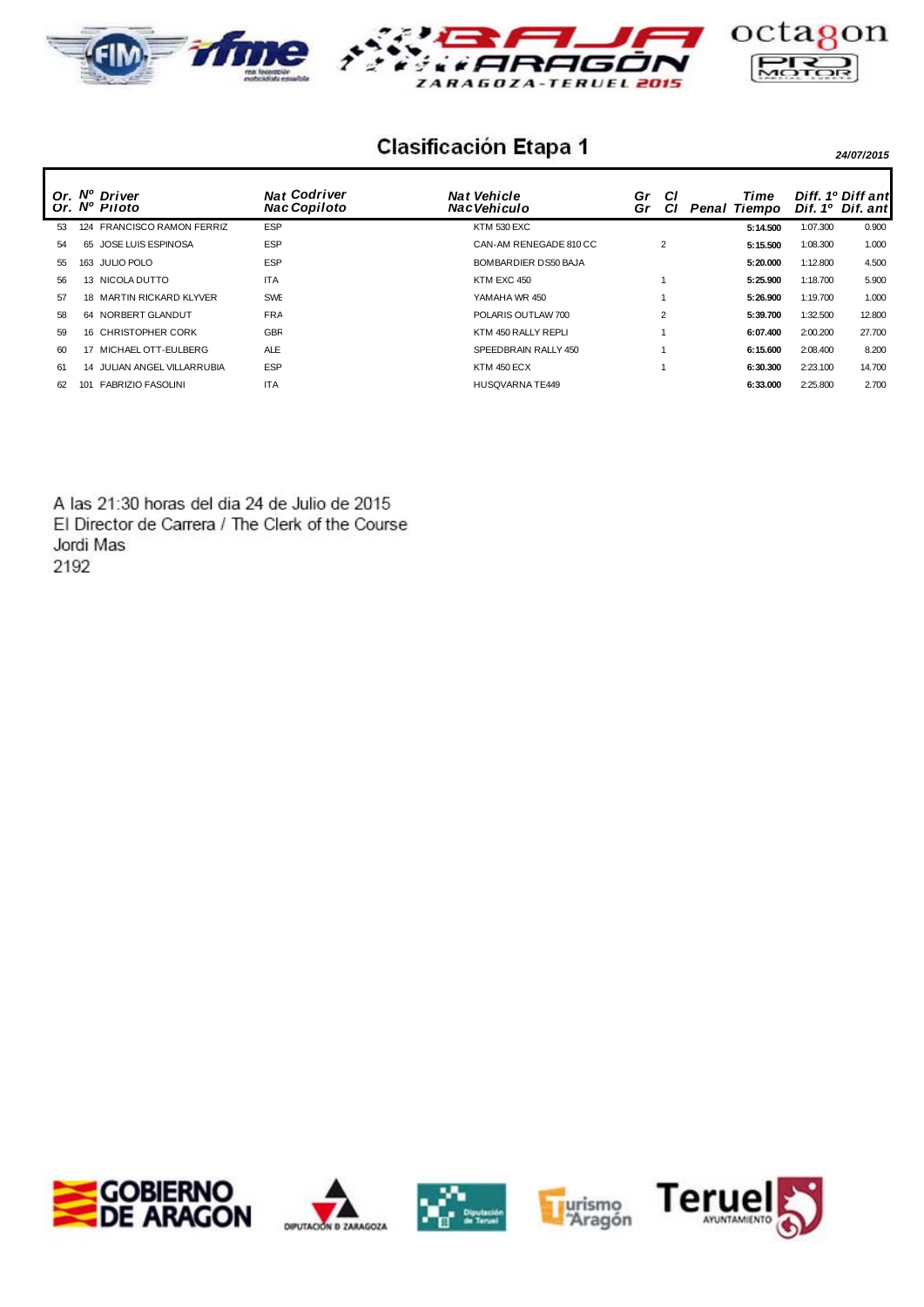





## **Clasificación Etapa 1** 24/07/2015

Or. Nº Driver Nat Codriver Nat Vehicle Gr Cl Time Diff. 1<sup>v</sup><br>Or. Nº Piloto Nac Copiloto Nac Vehiculo Gr Cl Penal Tiempo Dif. 1<sup>o</sup> *Nat* Vehicle **Report Constructs**<br> *Pac* Vehiculo **Paral** Gr *Nat Dif. ant* Diff. 1º Diff ant 53 124 FRANCISCO RAMON FERRIZ ESP KTM 530 EXC **5:14.500** 1:07.300 0.900 54 65 JOSE LUIS ESPINOSA ESP CAN-AM RENEGADE 810 CC 2 **5:15.500** 1:08.300 1.000 55 163 JULIO POLO ESP BOMBARDIER DS50 BAJA **5:20.000** 1:12.800 4.500 56 13 NICOLA DUTTO ITA KTM EXC 450 1 **5:25.900** 1:18.700 5.900 57 18 MARTIN RICKARD KLYVER SWE YAMAHA WR 450 1 **5:26.900** 1:19.700 1.000 58 64 NORBERT GLANDUT FRA POLARIS OUTLAW 700 2 **5:39.700** 1:32.500 12.800 59 16 CHRISTOPHER CORK GBR KTM 450 RALLY REPLI 1 **6:07.400** 2:00.200 27.700 60 17 MICHAEL OTT-EULBERG ALE SPEEDBRAIN RALLY 450 1 **6:15.600** 2:08.400 8.200 61 14 JULIAN ANGEL VILLARRUBIA ESP KTM 450 ECX 1 **6:30.300** 2:23.100 14.700 62 101 FABRIZIO FASOLINI ITA HUSQVARNA TE449 **6:33.000** 2:25.800 2.700

A las 21:30 horas del dia 24 de Julio de 2015 El Director de Carrera / The Clerk of the Course Jordi Mas 2192









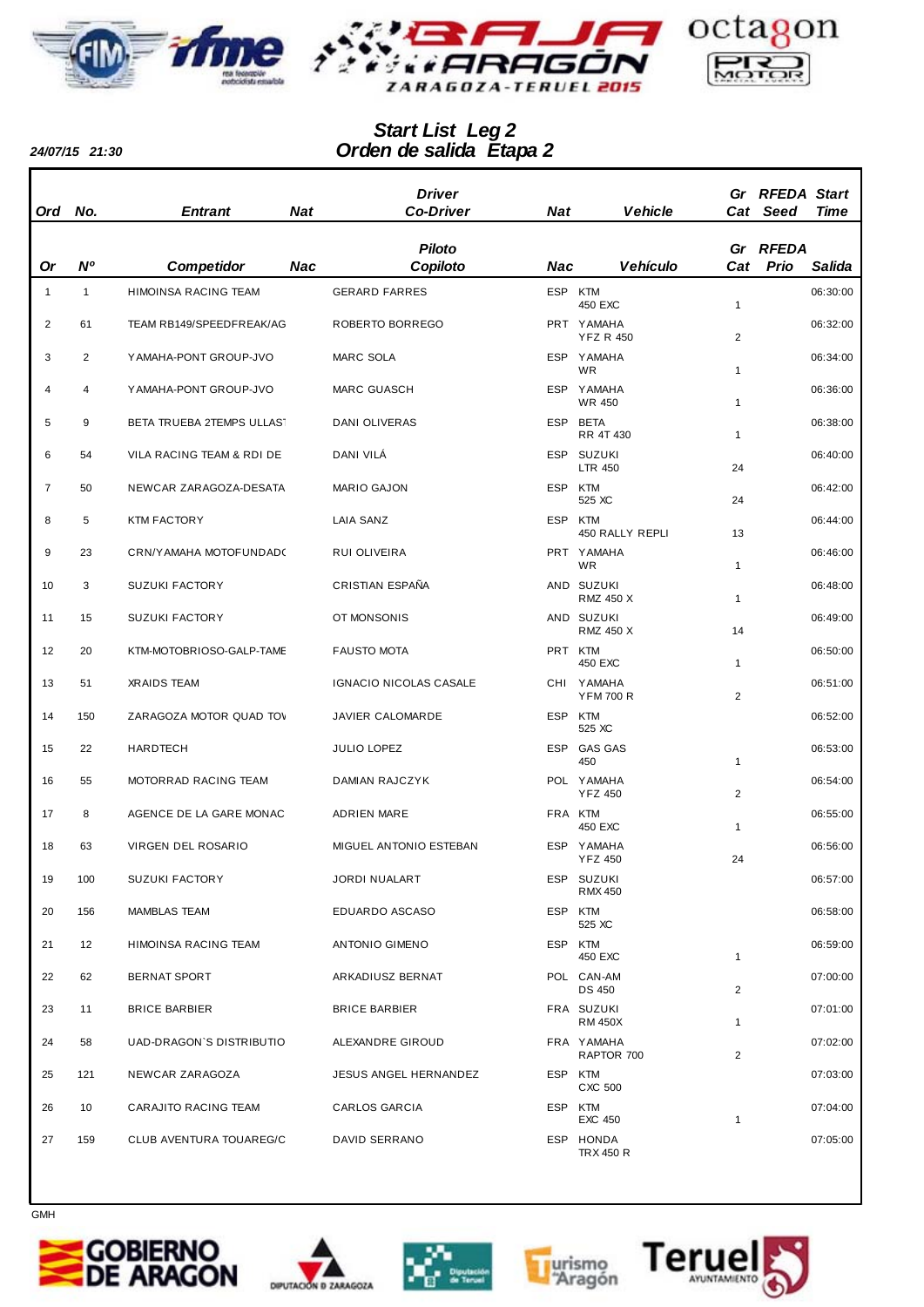



## *Orden de salida Etapa 2 Start List Leg 2*

*24/07/15 21:30*

|                |              |                           |            | <b>Driver</b>          |            |                                |                | Gr RFEDA Start |          |
|----------------|--------------|---------------------------|------------|------------------------|------------|--------------------------------|----------------|----------------|----------|
| <b>Ord</b>     | No.          | <b>Entrant</b>            | <b>Nat</b> | <b>Co-Driver</b>       | <b>Nat</b> | <b>Vehicle</b>                 |                | Cat Seed       | Time     |
|                |              |                           |            | <b>Piloto</b>          |            |                                |                | Gr RFEDA       |          |
| Or             | N°           | <b>Competidor</b>         | <b>Nac</b> | Copiloto               | Nac        | <b>Vehículo</b>                | Cat            | Prio           | Salida   |
| $\mathbf{1}$   | $\mathbf{1}$ | HIMOINSA RACING TEAM      |            | <b>GERARD FARRES</b>   | ESP KTM    | 450 EXC                        | 1              |                | 06:30:00 |
| $\overline{2}$ | 61           | TEAM RB149/SPEEDFREAK/AG  |            | ROBERTO BORREGO        |            | PRT YAMAHA<br><b>YFZ R 450</b> | 2              |                | 06:32:00 |
| 3              | 2            | YAMAHA-PONT GROUP-JVO     |            | MARC SOLA              |            | ESP YAMAHA<br>WR               | 1              |                | 06:34:00 |
| 4              | 4            | YAMAHA-PONT GROUP-JVO     |            | <b>MARC GUASCH</b>     |            | ESP YAMAHA<br>WR 450           | 1              |                | 06:36:00 |
| 5              | 9            | BETA TRUEBA 2TEMPS ULLAST |            | <b>DANI OLIVERAS</b>   | <b>ESP</b> | <b>BETA</b><br>RR 4T 430       | 1              |                | 06:38:00 |
| 6              | 54           | VILA RACING TEAM & RDI DE |            | DANI VILÁ              |            | ESP SUZUKI<br><b>LTR 450</b>   | 24             |                | 06:40:00 |
| $\overline{7}$ | 50           | NEWCAR ZARAGOZA-DESATA    |            | <b>MARIO GAJON</b>     | ESP KTM    | 525 XC                         | 24             |                | 06:42:00 |
| 8              | 5            | <b>KTM FACTORY</b>        |            | LAIA SANZ              | <b>ESP</b> | KTM<br>450 RALLY REPLI         | 13             |                | 06:44:00 |
| 9              | 23           | CRN/YAMAHA MOTOFUNDAD(    |            | RUI OLIVEIRA           |            | PRT YAMAHA<br>WR               | 1              |                | 06:46:00 |
| 10             | 3            | <b>SUZUKI FACTORY</b>     |            | CRISTIAN ESPAÑA        |            | AND SUZUKI<br><b>RMZ 450 X</b> | 1              |                | 06:48:00 |
| 11             | 15           | <b>SUZUKI FACTORY</b>     |            | OT MONSONIS            |            | AND SUZUKI<br><b>RMZ 450 X</b> | 14             |                | 06:49:00 |
| 12             | 20           | KTM-MOTOBRIOSO-GALP-TAME  |            | <b>FAUSTO MOTA</b>     | PRT KTM    | 450 EXC                        | 1              |                | 06:50:00 |
| 13             | 51           | <b>XRAIDS TEAM</b>        |            | IGNACIO NICOLAS CASALE |            | CHI YAMAHA<br><b>YFM 700 R</b> | 2              |                | 06:51:00 |
| 14             | 150          | ZARAGOZA MOTOR QUAD TOV   |            | JAVIER CALOMARDE       | ESP KTM    | 525 XC                         |                |                | 06:52:00 |
| 15             | 22           | HARDTECH                  |            | JULIO LOPEZ            |            | ESP GAS GAS<br>450             | 1              |                | 06:53:00 |
| 16             | 55           | MOTORRAD RACING TEAM      |            | DAMIAN RAJCZYK         |            | POL YAMAHA<br><b>YFZ 450</b>   | $\overline{2}$ |                | 06:54:00 |
| 17             | 8            | AGENCE DE LA GARE MONAC   |            | <b>ADRIEN MARE</b>     | FRA KTM    | 450 EXC                        | 1              |                | 06:55:00 |
| 18             | 63           | <b>VIRGEN DEL ROSARIO</b> |            | MIGUEL ANTONIO ESTEBAN |            | ESP YAMAHA<br>Y F Z 450        | 24             |                | 06:56:00 |
| 19             | 100          | <b>SUZUKI FACTORY</b>     |            | JORDI NUALART          |            | ESP SUZUKI<br><b>RMX 450</b>   |                |                | 06:57:00 |
| 20             | 156          | MAMBLAS TEAM              |            | EDUARDO ASCASO         | ESP KTM    | 525 XC                         |                |                | 06:58:00 |
| 21             | 12           | HIMOINSA RACING TEAM      |            | <b>ANTONIO GIMENO</b>  | ESP KTM    | 450 EXC                        | $\mathbf{1}$   |                | 06:59:00 |
| 22             | 62           | <b>BERNAT SPORT</b>       |            | ARKADIUSZ BERNAT       |            | POL CAN-AM<br><b>DS 450</b>    | $\overline{2}$ |                | 07:00:00 |
| 23             | 11           | <b>BRICE BARBIER</b>      |            | <b>BRICE BARBIER</b>   |            | FRA SUZUKI<br><b>RM 450X</b>   | $\mathbf{1}$   |                | 07:01:00 |
| 24             | 58           | UAD-DRAGON'S DISTRIBUTIO  |            | ALEXANDRE GIROUD       |            | FRA YAMAHA<br>RAPTOR 700       | $\overline{2}$ |                | 07:02:00 |
| 25             | 121          | NEWCAR ZARAGOZA           |            | JESUS ANGEL HERNANDEZ  | ESP KTM    | CXC 500                        |                |                | 07:03:00 |
| 26             | 10           | CARAJITO RACING TEAM      |            | CARLOS GARCIA          | ESP KTM    | <b>EXC 450</b>                 | 1              |                | 07:04:00 |
| 27             | 159          | CLUB AVENTURA TOUAREG/C   |            | DAVID SERRANO          |            | ESP HONDA<br>TRX 450 R         |                |                | 07:05:00 |











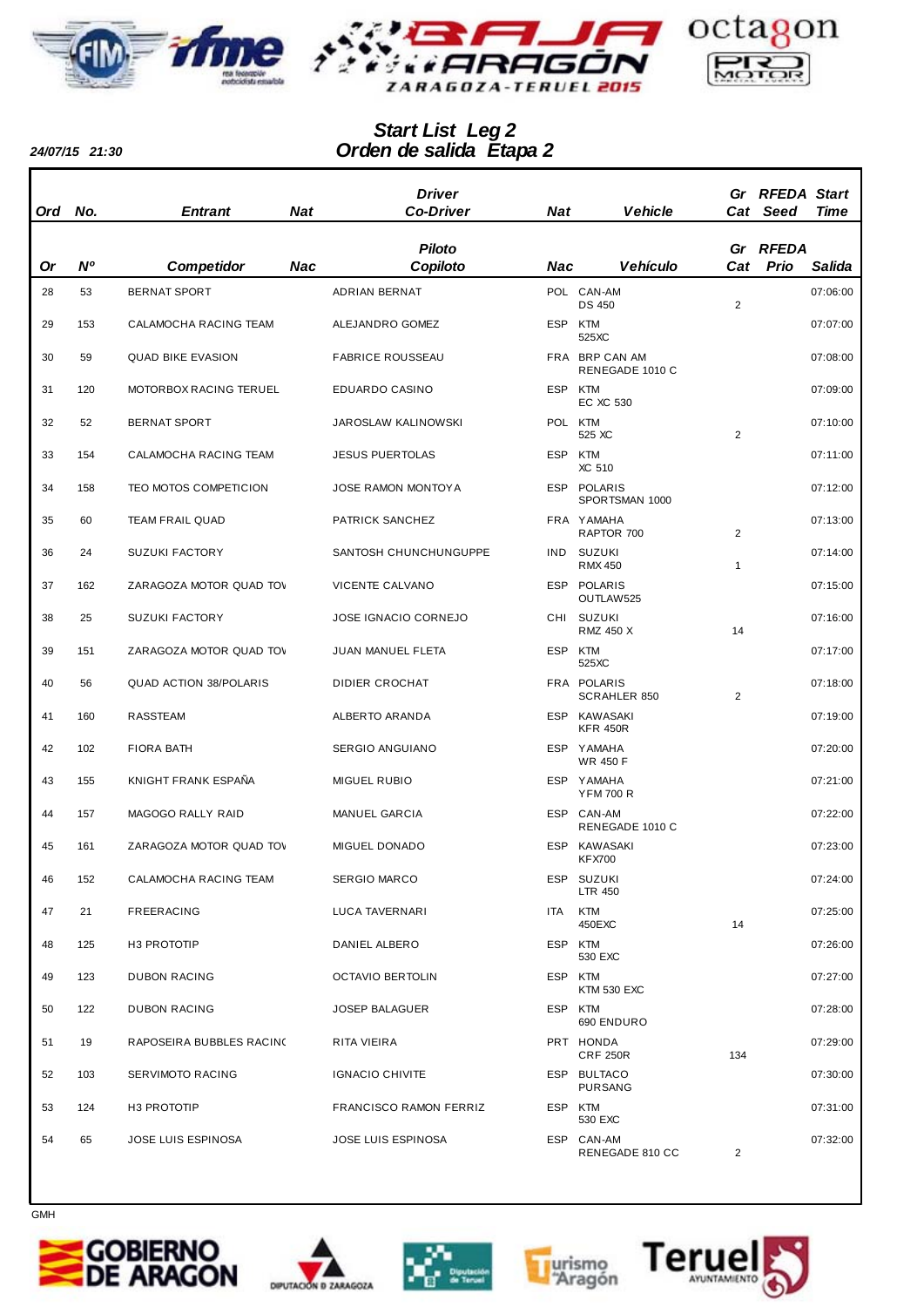



## *Orden de salida Etapa 2 Start List Leg 2*

*24/07/15 21:30*

| Ord | No.            | <b>Entrant</b>                | Nat        | <b>Driver</b><br><b>Co-Driver</b> | Nat     | <b>Vehicle</b>                     |                | Gr RFEDA Start<br>Cat Seed | Time     |
|-----|----------------|-------------------------------|------------|-----------------------------------|---------|------------------------------------|----------------|----------------------------|----------|
|     |                |                               |            | <b>Piloto</b>                     |         |                                    |                | Gr RFEDA                   |          |
| Or  | N <sup>o</sup> | <b>Competidor</b>             | <b>Nac</b> | Copiloto                          | Nac     | <b>Vehículo</b>                    | Cat            | Prio                       | Salida   |
| 28  | 53             | <b>BERNAT SPORT</b>           |            | ADRIAN BERNAT                     |         | POL CAN-AM<br><b>DS 450</b>        | 2              |                            | 07:06:00 |
| 29  | 153            | <b>CALAMOCHA RACING TEAM</b>  |            | ALEJANDRO GOMEZ                   | ESP KTM | 525XC                              |                |                            | 07:07:00 |
| 30  | 59             | <b>QUAD BIKE EVASION</b>      |            | <b>FABRICE ROUSSEAU</b>           |         | FRA BRP CAN AM<br>RENEGADE 1010 C  |                |                            | 07:08:00 |
| 31  | 120            | MOTORBOX RACING TERUEL        |            | EDUARDO CASINO                    | ESP KTM | EC XC 530                          |                |                            | 07:09:00 |
| 32  | 52             | <b>BERNAT SPORT</b>           |            | JAROSLAW KALINOWSKI               | POL KTM | 525 XC                             | 2              |                            | 07:10:00 |
| 33  | 154            | CALAMOCHA RACING TEAM         |            | <b>JESUS PUERTOLAS</b>            | ESP KTM | XC 510                             |                |                            | 07:11:00 |
| 34  | 158            | TEO MOTOS COMPETICION         |            | <b>JOSE RAMON MONTOY A</b>        |         | ESP POLARIS<br>SPORTSMAN 1000      |                |                            | 07:12:00 |
| 35  | 60             | <b>TEAM FRAIL QUAD</b>        |            | PATRICK SANCHEZ                   |         | FRA YAMAHA<br>RAPTOR 700           | 2              |                            | 07:13:00 |
| 36  | 24             | <b>SUZUKI FACTORY</b>         |            | SANTOSH CHUNCHUNGUPPE             | IND.    | SUZUKI<br><b>RMX 450</b>           | 1              |                            | 07:14:00 |
| 37  | 162            | ZARAGOZA MOTOR QUAD TOV       |            | VICENTE CALVANO                   |         | ESP POLARIS<br>OUTLAW525           |                |                            | 07:15:00 |
| 38  | 25             | <b>SUZUKI FACTORY</b>         |            | <b>JOSE IGNACIO CORNEJO</b>       |         | CHI SUZUKI<br><b>RMZ 450 X</b>     | 14             |                            | 07:16:00 |
| 39  | 151            | ZARAGOZA MOTOR QUAD TOV       |            | JUAN MANUEL FLETA                 | ESP KTM | 525XC                              |                |                            | 07:17:00 |
| 40  | 56             | <b>QUAD ACTION 38/POLARIS</b> |            | <b>DIDIER CROCHAT</b>             |         | FRA POLARIS<br><b>SCRAHLER 850</b> | 2              |                            | 07:18:00 |
| 41  | 160            | RASSTEAM                      |            | ALBERTO ARANDA                    |         | ESP KAWASAKI<br><b>KFR 450R</b>    |                |                            | 07:19:00 |
| 42  | 102            | <b>FIORA BATH</b>             |            | SERGIO ANGUIANO                   |         | ESP YAMAHA<br><b>WR 450 F</b>      |                |                            | 07:20:00 |
| 43  | 155            | KNIGHT FRANK ESPAÑA           |            | <b>MIGUEL RUBIO</b>               |         | ESP YAMAHA<br><b>YFM 700 R</b>     |                |                            | 07:21:00 |
| 44  | 157            | MAGOGO RALLY RAID             |            | MANUEL GARCIA                     |         | ESP CAN-AM<br>RENEGADE 1010 C      |                |                            | 07:22:00 |
| 45  | 161            | ZARAGOZA MOTOR QUAD TOV       |            | MIGUEL DONADO                     |         | ESP KAWASAKI<br><b>KFX700</b>      |                |                            | 07:23:00 |
| 46  | 152            | CALAMOCHA RACING TEAM         |            | <b>SERGIO MARCO</b>               |         | ESP SUZUKI<br><b>LTR 450</b>       |                |                            | 07:24:00 |
| 47  | 21             | FREERACING                    |            | LUCA TAVERNARI                    | ITA     | KTM<br>450EXC                      | 14             |                            | 07:25:00 |
| 48  | 125            | H3 PROTOTIP                   |            | DANIEL ALBERO                     |         | ESP KTM<br>530 EXC                 |                |                            | 07:26:00 |
| 49  | 123            | <b>DUBON RACING</b>           |            | <b>OCTAVIO BERTOLIN</b>           |         | ESP KTM<br>KTM 530 EXC             |                |                            | 07:27:00 |
| 50  | 122            | <b>DUBON RACING</b>           |            | <b>JOSEP BALAGUER</b>             | ESP KTM | 690 ENDURO                         |                |                            | 07:28:00 |
| 51  | 19             | RAPOSEIRA BUBBLES RACINO      |            | RITA VIEIRA                       |         | PRT HONDA<br><b>CRF 250R</b>       | 134            |                            | 07:29:00 |
| 52  | 103            | SERVIMOTO RACING              |            | <b>IGNACIO CHIVITE</b>            |         | ESP BULTACO<br><b>PURSANG</b>      |                |                            | 07:30:00 |
| 53  | 124            | <b>H3 PROTOTIP</b>            |            | FRANCISCO RAMON FERRIZ            |         | ESP KTM<br>530 EXC                 |                |                            | 07:31:00 |
| 54  | 65             | JOSE LUIS ESPINOSA            |            | JOSE LUIS ESPINOSA                |         | ESP CAN-AM<br>RENEGADE 810 CC      | $\overline{2}$ |                            | 07:32:00 |









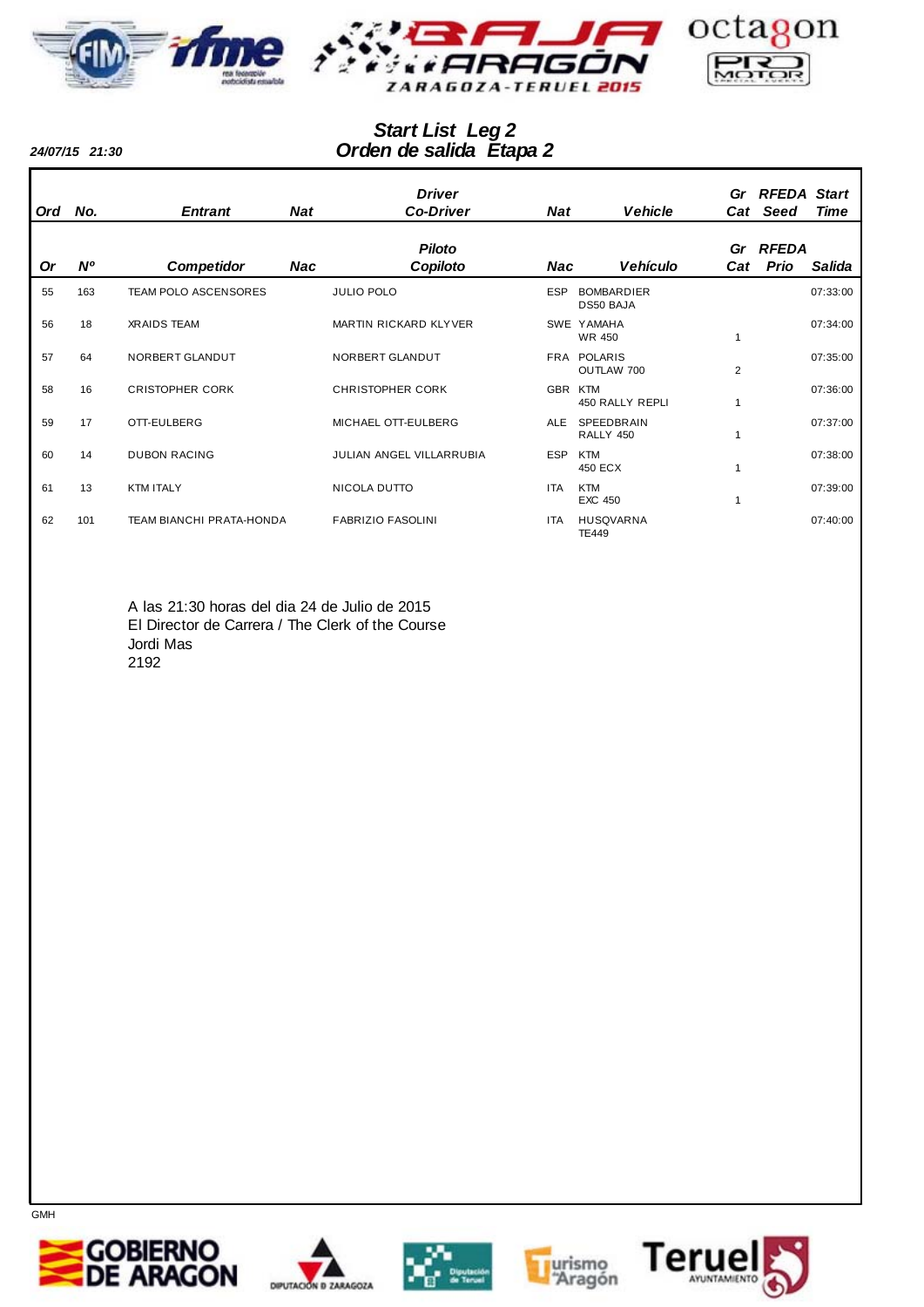



## *Orden de salida Etapa 2 Start List Leg 2*

*24/07/15 21:30*

| Ord       | No.         | <b>Entrant</b>                  | Nat | <b>Driver</b><br><b>Co-Driver</b> | <b>Nat</b> | <b>Vehicle</b>                   | Cat            | Gr RFEDA Start<br><b>Seed</b> | <b>Time</b> |
|-----------|-------------|---------------------------------|-----|-----------------------------------|------------|----------------------------------|----------------|-------------------------------|-------------|
|           |             |                                 |     | <b>Piloto</b>                     |            |                                  |                | Gr RFEDA                      |             |
| <b>Or</b> | $N^{\rm o}$ | <b>Competidor</b>               | Nac | Copiloto                          | Nac        | <b>Vehículo</b>                  | Cat            | Prio                          | Salida      |
| 55        | 163         | TEAM POLO ASCENSORES            |     | <b>JULIO POLO</b>                 | <b>ESP</b> | <b>BOMBARDIER</b><br>DS50 BAJA   |                |                               | 07:33:00    |
| 56        | 18          | <b>XRAIDS TEAM</b>              |     | MARTIN RICKARD KLYVER             |            | SWE YAMAHA<br><b>WR 450</b>      |                |                               | 07:34:00    |
| 57        | 64          | NORBERT GLANDUT                 |     | NORBERT GLANDUT                   |            | FRA POLARIS<br>OUTLAW 700        | $\overline{2}$ |                               | 07:35:00    |
| 58        | 16          | <b>CRISTOPHER CORK</b>          |     | <b>CHRISTOPHER CORK</b>           | GBR        | KTM<br>450 RALLY REPLI           |                |                               | 07:36:00    |
| 59        | 17          | OTT-EULBERG                     |     | MICHAEL OTT-EULBERG               | <b>ALE</b> | SPEEDBRAIN<br>RALLY 450          |                |                               | 07:37:00    |
| 60        | 14          | <b>DUBON RACING</b>             |     | JULIAN ANGEL VILLARRUBIA          | <b>ESP</b> | <b>KTM</b><br>450 ECX            |                |                               | 07:38:00    |
| 61        | 13          | <b>KTM ITALY</b>                |     | NICOLA DUTTO                      | <b>ITA</b> | <b>KTM</b><br><b>EXC 450</b>     |                |                               | 07:39:00    |
| 62        | 101         | <b>TEAM BIANCHI PRATA-HONDA</b> |     | <b>FABRIZIO FASOLINI</b>          | <b>ITA</b> | <b>HUSQVARNA</b><br><b>TE449</b> |                |                               | 07:40:00    |

A las 21:30 horas del dia 24 de Julio de 2015 El Director de Carrera / The Clerk of the Course Jordi Mas 2192









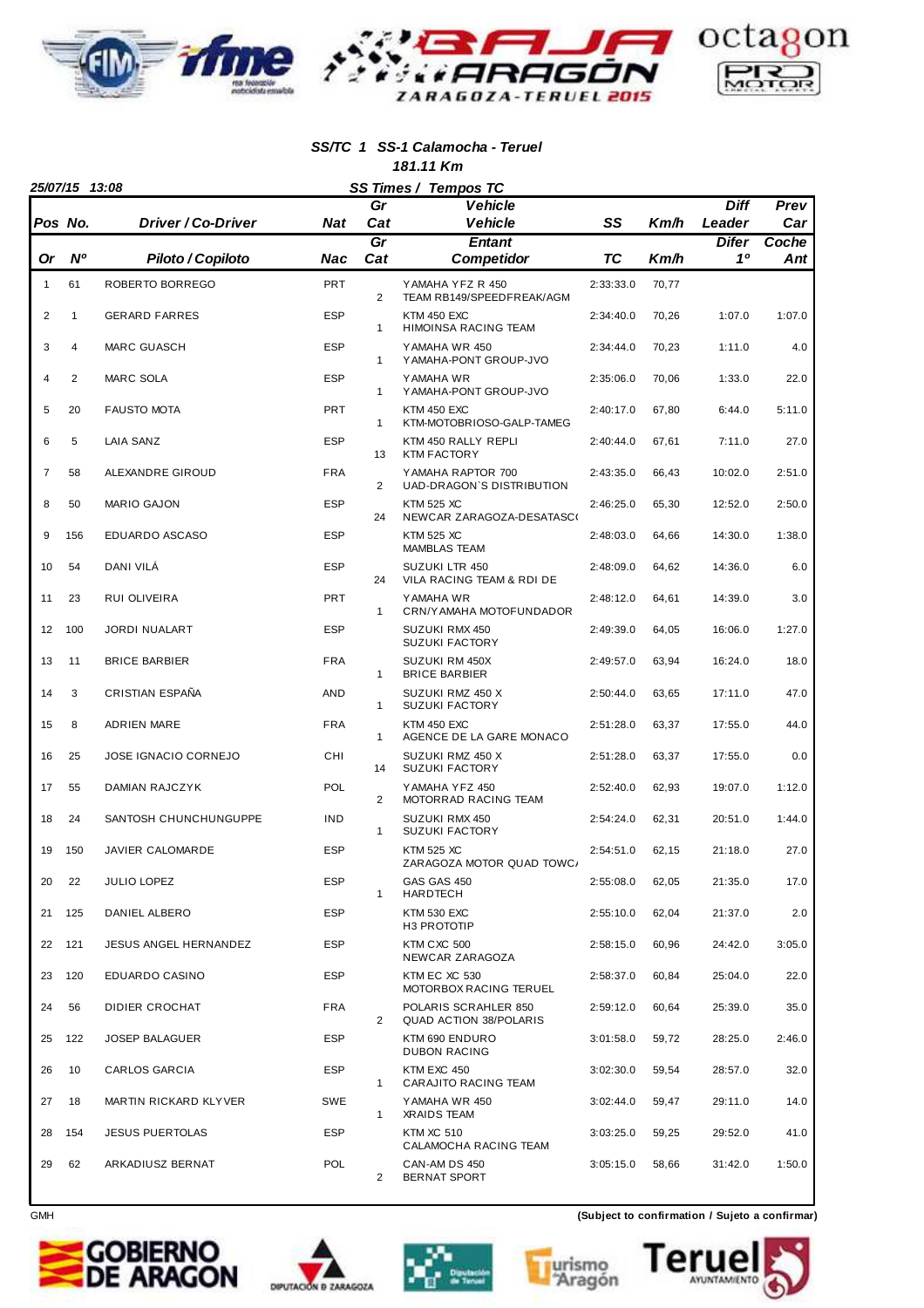

#### **SS/TC 1 SS-1 Calamocha - Teruel 181.11 Km**

|                | 25/07/15 13:08 |                           | SS Times / Tempos TC |                |                                                       |           |       |                 |              |
|----------------|----------------|---------------------------|----------------------|----------------|-------------------------------------------------------|-----------|-------|-----------------|--------------|
|                |                |                           |                      | Gr             | <b>Vehicle</b>                                        |           |       | <b>Diff</b>     | Prev         |
| Pos No.        |                | <b>Driver / Co-Driver</b> | <b>Nat</b>           | Cat<br>Gr      | <b>Vehicle</b><br><b>Entant</b>                       | SS        | Km/h  | Leader<br>Difer | Car<br>Coche |
| 0r             | <b>N°</b>      | Piloto / Copiloto         | Nac                  | Cat            | <b>Competidor</b>                                     | <b>TC</b> | Km/h  | 10              | Ant          |
| $\mathbf{1}$   | 61             | ROBERTO BORREGO           | <b>PRT</b>           | $\overline{2}$ | YAMAHA YFZ R 450<br>TEAM RB149/SPEEDFREAK/AGM         | 2:33:33.0 | 70,77 |                 |              |
| 2              | 1              | <b>GERARD FARRES</b>      | <b>ESP</b>           | $\mathbf{1}$   | <b>KTM 450 EXC</b><br>HIMOINSA RACING TEAM            | 2:34:40.0 | 70,26 | 1:07.0          | 1:07.0       |
| 3              | 4              | <b>MARC GUASCH</b>        | <b>ESP</b>           | $\mathbf{1}$   | YAMAHA WR 450<br>Y AMAHA-PONT GROUP-JVO               | 2:34:44.0 | 70,23 | 1:11.0          | 4.0          |
| 4              | $\overline{2}$ | <b>MARC SOLA</b>          | <b>ESP</b>           | 1              | Y AMAHA WR<br>Y AMAHA-PONT GROUP-JVO                  | 2:35:06.0 | 70,06 | 1:33.0          | 22.0         |
| 5              | 20             | <b>FAUSTO MOTA</b>        | <b>PRT</b>           | $\mathbf{1}$   | KTM 450 EXC<br>KTM-MOTOBRIOSO-GALP-TAMEG              | 2:40:17.0 | 67,80 | 6:44.0          | 5:11.0       |
| 6              | 5              | LAIA SANZ                 | <b>ESP</b>           | 13             | KTM 450 RALLY REPLI<br><b>KTM FACTORY</b>             | 2:40:44.0 | 67,61 | 7:11.0          | 27.0         |
| $\overline{7}$ | 58             | ALEXANDRE GIROUD          | <b>FRA</b>           | 2              | YAMAHA RAPTOR 700<br>UAD-DRAGON'S DISTRIBUTION        | 2:43:35.0 | 66,43 | 10:02.0         | 2:51.0       |
| 8              | 50             | <b>MARIO GAJON</b>        | <b>ESP</b>           | 24             | <b>KTM 525 XC</b><br>NEWCAR ZARAGOZA-DESATASCO        | 2:46:25.0 | 65,30 | 12:52.0         | 2:50.0       |
| 9              | 156            | EDUARDO ASCASO            | <b>ESP</b>           |                | <b>KTM 525 XC</b><br><b>MAMBLAS TEAM</b>              | 2:48:03.0 | 64,66 | 14:30.0         | 1:38.0       |
| 10             | 54             | DANI VILA                 | <b>ESP</b>           | 24             | <b>SUZUKI LTR 450</b><br>VILA RACING TEAM & RDI DE    | 2:48:09.0 | 64,62 | 14:36.0         | 6.0          |
| 11             | 23             | RUI OLIVEIRA              | <b>PRT</b>           | $\mathbf{1}$   | YAMAHA WR<br>CRN/Y AMAHA MOTOFUNDADOR                 | 2:48:12.0 | 64,61 | 14:39.0         | 3.0          |
| 12             | 100            | <b>JORDI NUALART</b>      | <b>ESP</b>           |                | SUZUKI RMX 450<br><b>SUZUKI FACTORY</b>               | 2:49:39.0 | 64,05 | 16:06.0         | 1:27.0       |
| 13             | 11             | <b>BRICE BARBIER</b>      | <b>FRA</b>           | 1              | SUZUKI RM 450X<br><b>BRICE BARBIER</b>                | 2:49:57.0 | 63,94 | 16:24.0         | 18.0         |
| 14             | 3              | CRISTIAN ESPAÑA           | AND                  | $\mathbf{1}$   | SUZUKI RMZ 450 X<br><b>SUZUKI FACTORY</b>             | 2:50:44.0 | 63,65 | 17:11.0         | 47.0         |
| 15             | 8              | <b>ADRIEN MARE</b>        | <b>FRA</b>           | $\mathbf{1}$   | <b>KTM 450 EXC</b><br>AGENCE DE LA GARE MONACO        | 2:51:28.0 | 63,37 | 17:55.0         | 44.0         |
| 16             | 25             | JOSE IGNACIO CORNEJO      | CHI                  | 14             | SUZUKI RMZ 450 X<br><b>SUZUKI FACTORY</b>             | 2:51:28.0 | 63,37 | 17:55.0         | 0.0          |
| 17             | 55             | <b>DAMIAN RAJCZYK</b>     | <b>POL</b>           | 2              | YAMAHA YFZ 450<br>MOTORRAD RACING TEAM                | 2:52:40.0 | 62,93 | 19:07.0         | 1:12.0       |
| 18             | 24             | SANTOSH CHUNCHUNGUPPE     | <b>IND</b>           | $\mathbf{1}$   | SUZUKI RMX 450<br><b>SUZUKI FACTORY</b>               | 2:54:24.0 | 62,31 | 20:51.0         | 1:44.0       |
| 19             | 150            | <b>JAVIER CALOMARDE</b>   | <b>ESP</b>           |                | <b>KTM 525 XC</b><br>ZARAGOZA MOTOR QUAD TOWC/        | 2:54:51.0 | 62,15 | 21:18.0         | 27.0         |
| 20             | 22             | <b>JULIO LOPEZ</b>        | <b>ESP</b>           | $\mathbf{1}$   | GAS GAS 450<br>HARDTECH                               | 2:55:08.0 | 62,05 | 21:35.0         | 17.0         |
| 21             | 125            | DANIEL ALBERO             | <b>ESP</b>           |                | <b>KTM 530 EXC</b><br>H3 PROTOTIP                     | 2:55:10.0 | 62,04 | 21:37.0         | 2.0          |
| 22             | 121            | JESUS ANGEL HERNANDEZ     | <b>ESP</b>           |                | KTM CXC 500<br>NEWCAR ZARAGOZA                        | 2:58:15.0 | 60,96 | 24:42.0         | 3:05.0       |
| 23             | 120            | EDUARDO CASINO            | <b>ESP</b>           |                | KTM EC XC 530<br>MOTORBOX RACING TERUEL               | 2:58:37.0 | 60,84 | 25:04.0         | 22.0         |
| 24             | 56             | <b>DIDIER CROCHAT</b>     | <b>FRA</b>           | 2              | POLARIS SCRAHLER 850<br><b>QUAD ACTION 38/POLARIS</b> | 2:59:12.0 | 60,64 | 25:39.0         | 35.0         |
| 25             | 122            | <b>JOSEP BALAGUER</b>     | <b>ESP</b>           |                | KTM 690 ENDURO<br><b>DUBON RACING</b>                 | 3:01:58.0 | 59,72 | 28:25.0         | 2:46.0       |
| 26             | 10             | CARLOS GARCIA             | <b>ESP</b>           | $\mathbf{1}$   | KTM EXC 450<br>CARAJITO RACING TEAM                   | 3:02:30.0 | 59,54 | 28:57.0         | 32.0         |
| 27             | 18             | MARTIN RICKARD KLYVER     | SWE                  | 1              | YAMAHA WR 450<br><b>XRAIDS TEAM</b>                   | 3:02:44.0 | 59,47 | 29:11.0         | 14.0         |
| 28             | 154            | <b>JESUS PUERTOLAS</b>    | <b>ESP</b>           |                | <b>KTM XC 510</b><br>CALAMOCHA RACING TEAM            | 3:03:25.0 | 59,25 | 29:52.0         | 41.0         |
| 29             | 62             | ARKADIUSZ BERNAT          | <b>POL</b>           | $\overline{2}$ | CAN-AM DS 450<br><b>BERNAT SPORT</b>                  | 3:05:15.0 | 58,66 | 31:42.0         | 1:50.0       |









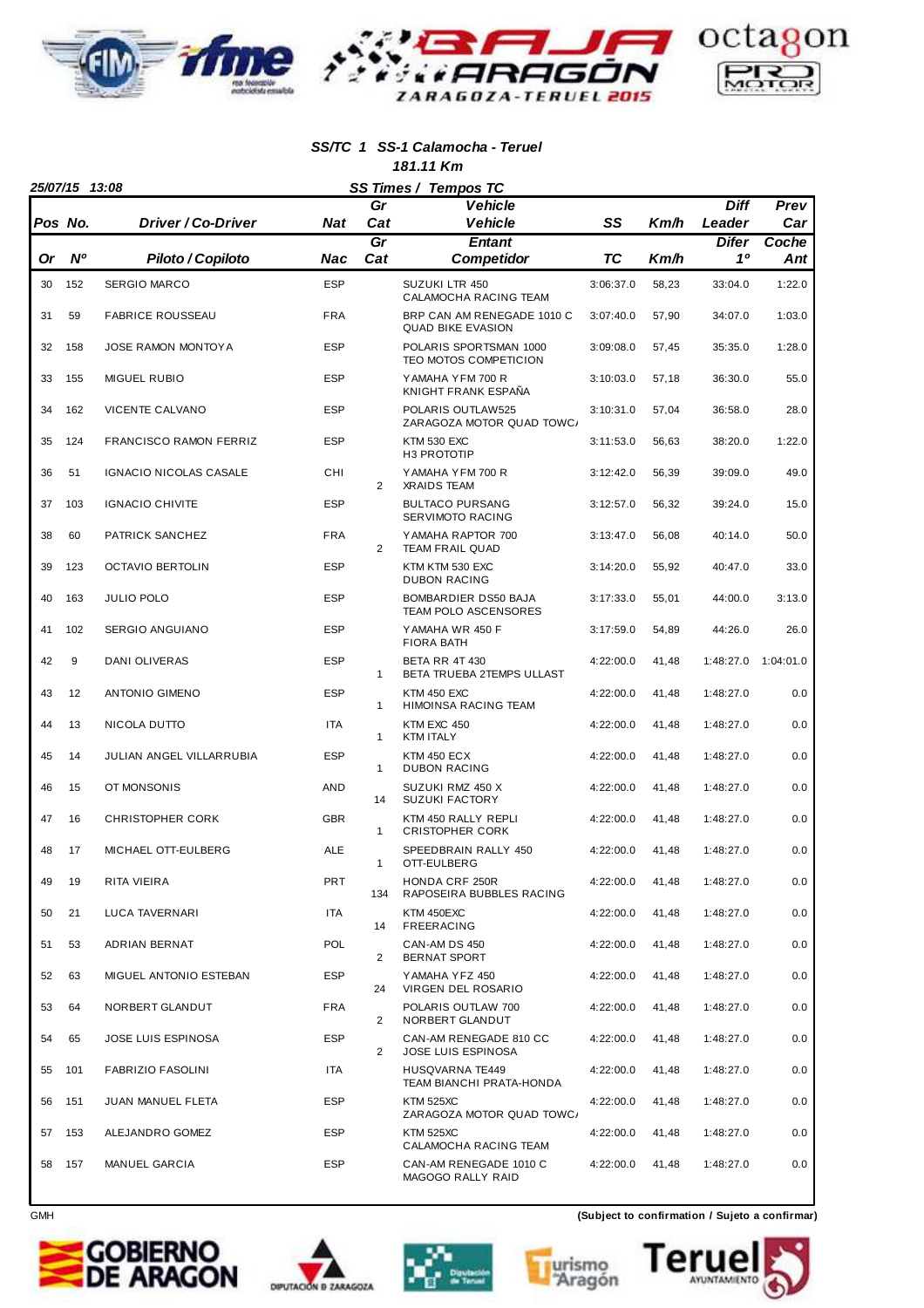

#### **SS/TC 1 SS-1 Calamocha - Teruel 181.11 Km**

|    | 25/07/15 13:08 |                               |            | SS Times / Tempos TC |                                                        |           |       |             |           |
|----|----------------|-------------------------------|------------|----------------------|--------------------------------------------------------|-----------|-------|-------------|-----------|
|    |                |                               |            | Gr                   | <b>Vehicle</b>                                         |           |       | <b>Diff</b> | Prev      |
|    | Pos No.        | Driver / Co-Driver            | <b>Nat</b> | Cat                  | <b>Vehicle</b>                                         | SS        | Km/h  | Leader      | Car       |
|    |                |                               |            | $\overline{Gr}$      | <b>Entant</b>                                          |           |       | Difer       | Coche     |
| Or | <b>N°</b>      | Piloto / Copiloto             | Nac        | Cat                  | Competidor                                             | ТC        | Km/h  | 10          | Ant       |
| 30 | 152            | <b>SERGIO MARCO</b>           | <b>ESP</b> |                      | SUZUKI LTR 450<br>CALAMOCHA RACING TEAM                | 3:06:37.0 | 58,23 | 33:04.0     | 1:22.0    |
| 31 | 59             | <b>FABRICE ROUSSEAU</b>       | <b>FRA</b> |                      | BRP CAN AM RENEGADE 1010 C<br><b>QUAD BIKE EVASION</b> | 3:07:40.0 | 57,90 | 34:07.0     | 1:03.0    |
| 32 | 158            | JOSE RAMON MONTOY A           | <b>ESP</b> |                      | POLARIS SPORTSMAN 1000<br>TEO MOTOS COMPETICION        | 3:09:08.0 | 57,45 | 35:35.0     | 1:28.0    |
| 33 | 155            | <b>MIGUEL RUBIO</b>           | <b>ESP</b> |                      | YAMAHA YFM 700 R<br>KNIGHT FRANK ESPAÑA                | 3:10:03.0 | 57,18 | 36:30.0     | 55.0      |
| 34 | 162            | VICENTE CALVANO               | <b>ESP</b> |                      | POLARIS OUTLAW525<br>ZARAGOZA MOTOR QUAD TOWC/         | 3:10:31.0 | 57,04 | 36:58.0     | 28.0      |
| 35 | 124            | <b>FRANCISCO RAMON FERRIZ</b> | <b>ESP</b> |                      | <b>KTM 530 EXC</b><br>H3 PROTOTIP                      | 3:11:53.0 | 56,63 | 38:20.0     | 1:22.0    |
| 36 | 51             | IGNACIO NICOLAS CASALE        | CHI        | 2                    | YAMAHA YFM 700 R<br><b>XRAIDS TEAM</b>                 | 3:12:42.0 | 56,39 | 39:09.0     | 49.0      |
| 37 | 103            | <b>IGNACIO CHIVITE</b>        | <b>ESP</b> |                      | <b>BULTACO PURSANG</b><br>SERVIMOTO RACING             | 3:12:57.0 | 56,32 | 39:24.0     | 15.0      |
| 38 | 60             | PATRICK SANCHEZ               | <b>FRA</b> | 2                    | YAMAHA RAPTOR 700<br><b>TEAM FRAIL QUAD</b>            | 3:13:47.0 | 56,08 | 40:14.0     | 50.0      |
| 39 | 123            | <b>OCTAVIO BERTOLIN</b>       | <b>ESP</b> |                      | KTM KTM 530 EXC<br><b>DUBON RACING</b>                 | 3:14:20.0 | 55,92 | 40:47.0     | 33.0      |
| 40 | 163            | <b>JULIO POLO</b>             | <b>ESP</b> |                      | BOMBARDIER DS50 BAJA<br>TEAM POLO ASCENSORES           | 3:17:33.0 | 55,01 | 44:00.0     | 3:13.0    |
| 41 | 102            | SERGIO ANGUIANO               | <b>ESP</b> |                      | YAMAHA WR 450 F<br><b>FIORA BATH</b>                   | 3:17:59.0 | 54,89 | 44:26.0     | 26.0      |
| 42 | 9              | DANI OLIVERAS                 | <b>ESP</b> | $\mathbf{1}$         | <b>BETA RR 4T 430</b><br>BETA TRUEBA 2TEMPS ULLAST     | 4:22:00.0 | 41,48 | 1:48:27.0   | 1:04:01.0 |
| 43 | 12             | <b>ANTONIO GIMENO</b>         | <b>ESP</b> | 1                    | KTM 450 EXC<br>HIMOINSA RACING TEAM                    | 4:22:00.0 | 41,48 | 1:48:27.0   | 0.0       |
| 44 | 13             | NICOLA DUTTO                  | <b>ITA</b> | $\mathbf{1}$         | KTM EXC 450<br><b>KTM ITALY</b>                        | 4:22:00.0 | 41,48 | 1:48:27.0   | 0.0       |
| 45 | 14             | JULIAN ANGEL VILLARRUBIA      | <b>ESP</b> | $\mathbf{1}$         | <b>KTM 450 ECX</b><br><b>DUBON RACING</b>              | 4:22:00.0 | 41,48 | 1:48:27.0   | 0.0       |
| 46 | 15             | OT MONSONIS                   | <b>AND</b> | 14                   | SUZUKI RMZ 450 X<br><b>SUZUKI FACTORY</b>              | 4:22:00.0 | 41,48 | 1:48:27.0   | 0.0       |
| 47 | 16             | <b>CHRISTOPHER CORK</b>       | <b>GBR</b> | $\mathbf{1}$         | KTM 450 RALLY REPLI<br><b>CRISTOPHER CORK</b>          | 4:22:00.0 | 41,48 | 1:48:27.0   | 0.0       |
| 48 | 17             | MICHAEL OTT-EULBERG           | <b>ALE</b> | $\mathbf{1}$         | SPEEDBRAIN RALLY 450<br>OTT-EULBERG                    | 4:22:00.0 | 41,48 | 1:48:27.0   | 0.0       |
| 49 | 19             | RITA VIEIRA                   | <b>PRT</b> | 134                  | HONDA CRF 250R<br>RAPOSEIRA BUBBLES RACING             | 4:22:00.0 | 41,48 | 1:48:27.0   | 0.0       |
| 50 | 21             | LUCA TAVERNARI                | ITA        | 14                   | KTM 450EXC<br>FREERACING                               | 4:22:00.0 | 41,48 | 1:48:27.0   | 0.0       |
| 51 | 53             | ADRIAN BERNAT                 | POL        | $\overline{2}$       | CAN-AM DS 450<br>BERNAT SPORT                          | 4:22:00.0 | 41,48 | 1:48:27.0   | 0.0       |
| 52 | 63             | MIGUEL ANTONIO ESTEBAN        | <b>ESP</b> | 24                   | YAMAHA YFZ 450<br>VIRGEN DEL ROSARIO                   | 4:22:00.0 | 41,48 | 1:48:27.0   | 0.0       |
| 53 | 64             | NORBERT GLANDUT               | <b>FRA</b> | 2                    | POLARIS OUTLAW 700<br>NORBERT GLANDUT                  | 4:22:00.0 | 41,48 | 1:48:27.0   | 0.0       |
| 54 | 65             | JOSE LUIS ESPINOSA            | <b>ESP</b> | $\overline{2}$       | CAN-AM RENEGADE 810 CC<br>JOSE LUIS ESPINOSA           | 4:22:00.0 | 41,48 | 1:48:27.0   | 0.0       |
| 55 | 101            | <b>FABRIZIO FASOLINI</b>      | <b>ITA</b> |                      | <b>HUSQVARNA TE449</b><br>TEAM BIANCHI PRATA-HONDA     | 4:22:00.0 | 41,48 | 1:48:27.0   | 0.0       |
| 56 | 151            | JUAN MANUEL FLETA             | <b>ESP</b> |                      | <b>KTM 525XC</b><br>ZARAGOZA MOTOR QUAD TOWC/          | 4:22:00.0 | 41,48 | 1:48:27.0   | 0.0       |
| 57 | 153            | ALEJANDRO GOMEZ               | <b>ESP</b> |                      | <b>KTM 525XC</b><br>CALAMOCHA RACING TEAM              | 4:22:00.0 | 41,48 | 1:48:27.0   | 0.0       |
| 58 | 157            | MANUEL GARCIA                 | <b>ESP</b> |                      | CAN-AM RENEGADE 1010 C<br>MAGOGO RALLY RAID            | 4:22:00.0 | 41,48 | 1:48:27.0   | 0.0       |









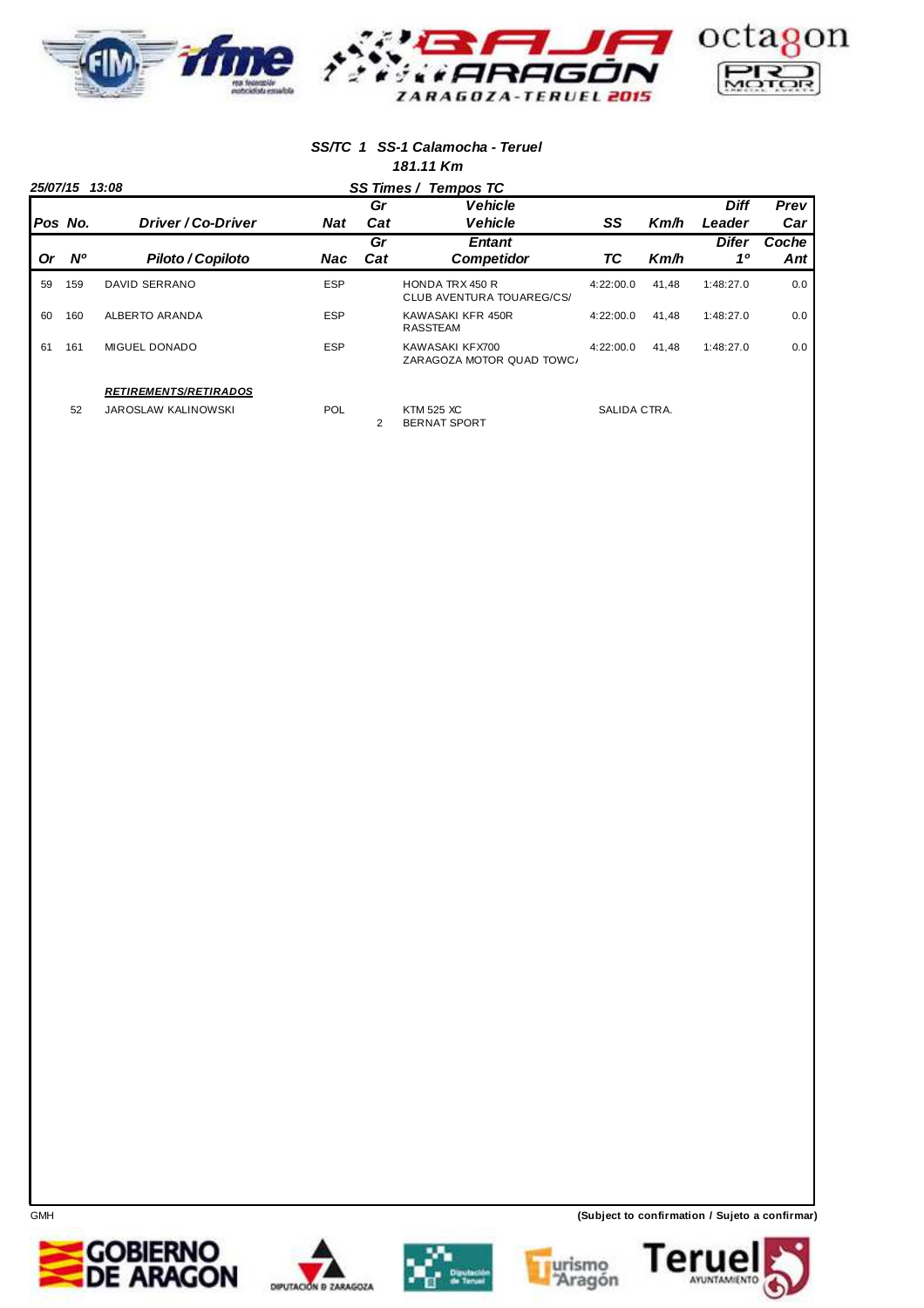

#### **SS/TC 1 SS-1 Calamocha - Teruel 181.11 Km**

|         | 25/07/15 13:08 |                              |            |           | SS Times / Tempos TC                                |              |       |                       |              |
|---------|----------------|------------------------------|------------|-----------|-----------------------------------------------------|--------------|-------|-----------------------|--------------|
| Pos No. |                | Driver / Co-Driver           | <b>Nat</b> | Gr<br>Cat | <b>Vehicle</b><br><b>Vehicle</b>                    | SS           | Km/h  | <b>Diff</b><br>Leader | Prev<br>Car  |
| Or      | <b>N°</b>      | <b>Piloto / Copiloto</b>     | Nac        | Gr<br>Cat | <b>Entant</b><br><b>Competidor</b>                  | ТC           | Km/h  | <b>Difer</b><br>10    | Coche<br>Ant |
| 59      | 159            | DAVID SERRANO                | <b>ESP</b> |           | <b>HONDA TRX 450 R</b><br>CLUB AVENTURA TOUAREG/CS/ | 4:22:00.0    | 41.48 | 1:48:27.0             | 0.0          |
| 60      | 160            | ALBERTO ARANDA               | <b>ESP</b> |           | KAWASAKI KFR 450R<br><b>RASSTEAM</b>                | 4:22:00.0    | 41,48 | 1:48:27.0             | 0.0          |
| 61      | 161            | <b>MIGUEL DONADO</b>         | <b>ESP</b> |           | KAWASAKI KFX700<br>ZARAGOZA MOTOR QUAD TOWC/        | 4:22:00.0    | 41.48 | 1:48:27.0             | 0.0          |
|         |                | <b>RETIREMENTS/RETIRADOS</b> |            |           |                                                     |              |       |                       |              |
|         | 52             | <b>JAROSLAW KALINOWSKI</b>   | <b>POL</b> | 2         | <b>KTM 525 XC</b><br><b>BERNAT SPORT</b>            | SALIDA CTRA. |       |                       |              |

**GOBIERNO<br>DE ARAGON** 







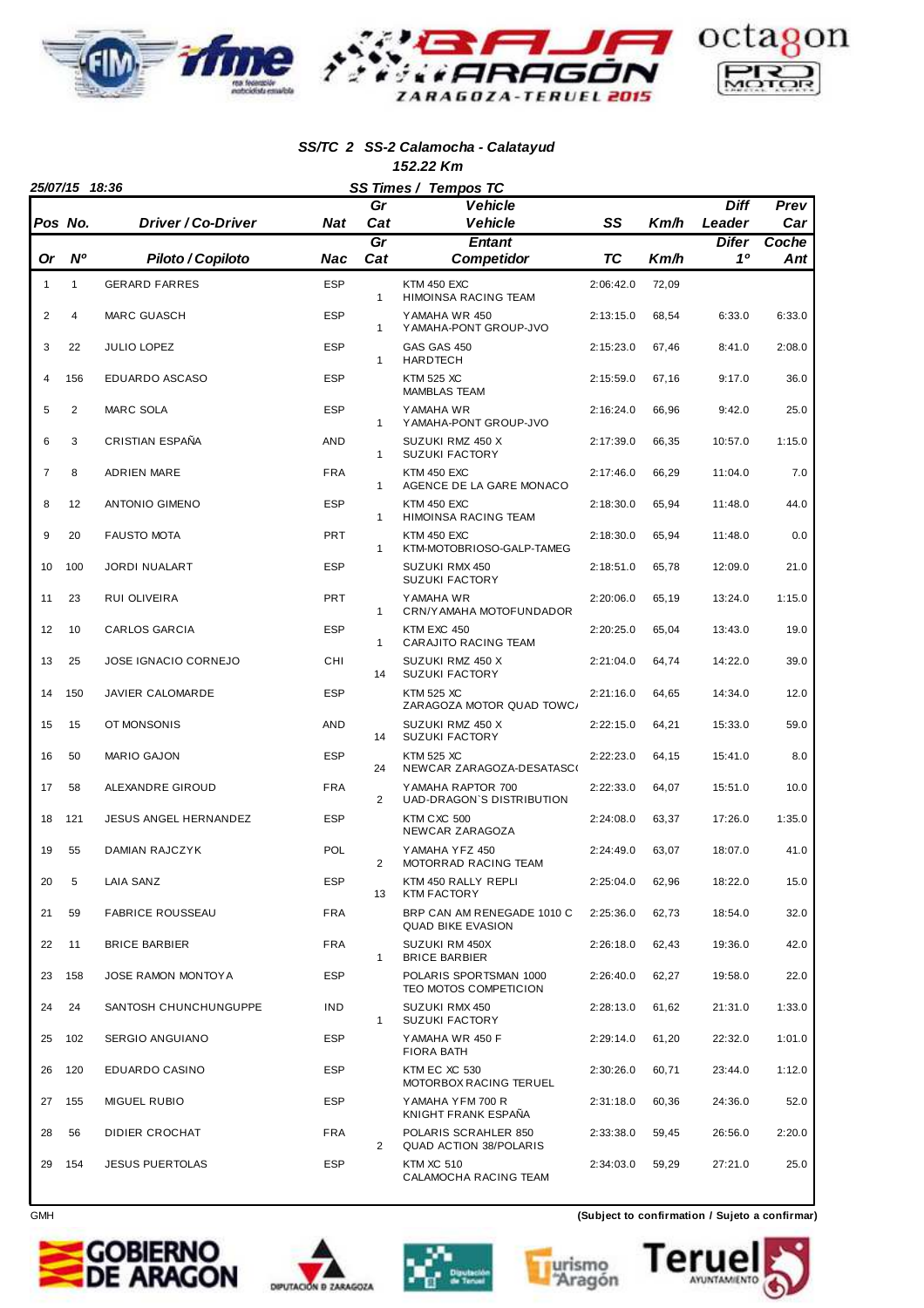

#### **SS/TC 2 SS-2 Calamocha - Calatayud 152.22 Km**

|                | 25/07/15 18:36 |                           |            | SS Times / Tempos TC |                                                                 |           |       |             |              |
|----------------|----------------|---------------------------|------------|----------------------|-----------------------------------------------------------------|-----------|-------|-------------|--------------|
|                |                |                           |            | Gr                   | <b>Vehicle</b>                                                  |           |       | <b>Diff</b> | Prev         |
|                | Pos No.        | <i>Driver / Co-Driver</i> | <b>Nat</b> | Cat                  | <b>Vehicle</b>                                                  | SS        | Km/h  | Leader      | Car          |
| Or             | <b>N°</b>      | Piloto / Copiloto         | Nac        | Gr<br>Cat            | <b>Entant</b><br><b>Competidor</b>                              | <b>TC</b> | Km/h  | Difer<br>10 | Coche<br>Ant |
| 1              | 1              | <b>GERARD FARRES</b>      | <b>ESP</b> |                      | <b>KTM 450 EXC</b>                                              | 2:06:42.0 | 72,09 |             |              |
| $\overline{2}$ | 4              | <b>MARC GUASCH</b>        | <b>ESP</b> | $\mathbf{1}$         | HIMOINSA RACING TEAM<br>YAMAHA WR 450<br>Y AMAHA-PONT GROUP-JVO | 2:13:15.0 | 68,54 | 6:33.0      | 6:33.0       |
| 3              | 22             | JULIO LOPEZ               | <b>ESP</b> | 1                    | GAS GAS 450                                                     | 2:15:23.0 | 67,46 | 8:41.0      | 2:08.0       |
| 4              | 156            | EDUARDO ASCASO            | <b>ESP</b> | $\mathbf{1}$         | <b>HARDTECH</b><br><b>KTM 525 XC</b><br><b>MAMBLAS TEAM</b>     | 2:15:59.0 | 67,16 | 9:17.0      | 36.0         |
| 5              | 2              | <b>MARC SOLA</b>          | <b>ESP</b> | 1                    | YAMAHA WR<br>Y AMAHA-PONT GROUP-JVO                             | 2:16:24.0 | 66,96 | 9:42.0      | 25.0         |
| 6              | 3              | <b>CRISTIAN ESPAÑA</b>    | <b>AND</b> | $\mathbf{1}$         | SUZUKI RMZ 450 X<br><b>SUZUKI FACTORY</b>                       | 2:17:39.0 | 66,35 | 10:57.0     | 1:15.0       |
| 7              | 8              | <b>ADRIEN MARE</b>        | <b>FRA</b> | 1                    | <b>KTM 450 EXC</b><br>AGENCE DE LA GARE MONACO                  | 2:17:46.0 | 66,29 | 11:04.0     | 7.0          |
| 8              | 12             | <b>ANTONIO GIMENO</b>     | <b>ESP</b> | $\mathbf{1}$         | KTM 450 EXC<br><b>HIMOINSA RACING TEAM</b>                      | 2:18:30.0 | 65,94 | 11:48.0     | 44.0         |
| 9              | 20             | <b>FAUSTO MOTA</b>        | <b>PRT</b> | $\mathbf{1}$         | KTM 450 EXC<br>KTM-MOTOBRIOSO-GALP-TAMEG                        | 2:18:30.0 | 65,94 | 11:48.0     | 0.0          |
| 10             | 100            | <b>JORDI NUALART</b>      | <b>ESP</b> |                      | SUZUKI RMX 450<br><b>SUZUKI FACTORY</b>                         | 2:18:51.0 | 65,78 | 12:09.0     | 21.0         |
| 11             | 23             | RUI OLIVEIRA              | <b>PRT</b> | $\mathbf{1}$         | YAMAHA WR<br>CRN/Y AMAHA MOTOFUNDADOR                           | 2:20:06.0 | 65,19 | 13:24.0     | 1:15.0       |
| 12             | 10             | CARLOS GARCIA             | <b>ESP</b> | $\mathbf{1}$         | KTM EXC 450<br>CARAJITO RACING TEAM                             | 2:20:25.0 | 65,04 | 13:43.0     | 19.0         |
| 13             | 25             | JOSE IGNACIO CORNEJO      | CHI        | 14                   | SUZUKI RMZ 450 X<br><b>SUZUKI FACTORY</b>                       | 2:21:04.0 | 64,74 | 14:22.0     | 39.0         |
| 14             | 150            | JAVIER CALOMARDE          | <b>ESP</b> |                      | <b>KTM 525 XC</b><br>ZARAGOZA MOTOR QUAD TOWC/                  | 2:21:16.0 | 64,65 | 14:34.0     | 12.0         |
| 15             | 15             | OT MONSONIS               | <b>AND</b> | 14                   | SUZUKI RMZ 450 X<br><b>SUZUKI FACTORY</b>                       | 2:22:15.0 | 64,21 | 15:33.0     | 59.0         |
| 16             | 50             | <b>MARIO GAJON</b>        | <b>ESP</b> | 24                   | <b>KTM 525 XC</b><br>NEWCAR ZARAGOZA-DESATASCO                  | 2:22:23.0 | 64,15 | 15:41.0     | 8.0          |
| 17             | 58             | ALEXANDRE GIROUD          | <b>FRA</b> | $\overline{2}$       | YAMAHA RAPTOR 700<br>UAD-DRAGON'S DISTRIBUTION                  | 2:22:33.0 | 64,07 | 15:51.0     | 10.0         |
| 18             | 121            | JESUS ANGEL HERNANDEZ     | <b>ESP</b> |                      | KTM CXC 500<br>NEWCAR ZARAGOZA                                  | 2:24:08.0 | 63,37 | 17:26.0     | 1:35.0       |
| 19             | 55             | <b>DAMIAN RAJCZYK</b>     | <b>POL</b> | 2                    | YAMAHA YFZ 450<br>MOTORRAD RACING TEAM                          | 2:24:49.0 | 63,07 | 18:07.0     | 41.0         |
| 20             | 5              | LAIA SANZ                 | ESP        | 13                   | KTM 450 RALLY REPLI<br><b>KTM FACTORY</b>                       | 2:25:04.0 | 62,96 | 18:22.0     | 15.0         |
| 21             | 59             | <b>FABRICE ROUSSEAU</b>   | <b>FRA</b> |                      | BRP CAN AM RENEGADE 1010 C<br><b>QUAD BIKE EVASION</b>          | 2:25:36.0 | 62,73 | 18:54.0     | 32.0         |
| 22             | 11             | <b>BRICE BARBIER</b>      | <b>FRA</b> | $\mathbf{1}$         | SUZUKI RM 450X<br><b>BRICE BARBIER</b>                          | 2:26:18.0 | 62,43 | 19:36.0     | 42.0         |
| 23             | 158            | JOSE RAMON MONTOYA        | <b>ESP</b> |                      | POLARIS SPORTSMAN 1000<br>TEO MOTOS COMPETICION                 | 2:26:40.0 | 62,27 | 19:58.0     | 22.0         |
| 24             | 24             | SANTOSH CHUNCHUNGUPPE     | <b>IND</b> | $\mathbf{1}$         | SUZUKI RMX 450<br><b>SUZUKI FACTORY</b>                         | 2:28:13.0 | 61,62 | 21:31.0     | 1:33.0       |
| 25             | 102            | SERGIO ANGUIANO           | <b>ESP</b> |                      | YAMAHA WR 450 F<br><b>FIORA BATH</b>                            | 2:29:14.0 | 61,20 | 22:32.0     | 1:01.0       |
| 26             | 120            | EDUARDO CASINO            | <b>ESP</b> |                      | KTM EC XC 530<br>MOTORBOX RACING TERUEL                         | 2:30:26.0 | 60,71 | 23:44.0     | 1:12.0       |
| 27             | 155            | <b>MIGUEL RUBIO</b>       | <b>ESP</b> |                      | YAMAHA YFM 700 R<br>KNIGHT FRANK ESPAÑA                         | 2:31:18.0 | 60,36 | 24:36.0     | 52.0         |
| 28             | 56             | DIDIER CROCHAT            | FRA        | $\overline{2}$       | POLARIS SCRAHLER 850<br><b>QUAD ACTION 38/POLARIS</b>           | 2:33:38.0 | 59,45 | 26:56.0     | 2:20.0       |
| 29             | 154            | <b>JESUS PUERTOLAS</b>    | <b>ESP</b> |                      | <b>KTM XC 510</b><br>CALAMOCHA RACING TEAM                      | 2:34:03.0 | 59,29 | 27:21.0     | 25.0         |









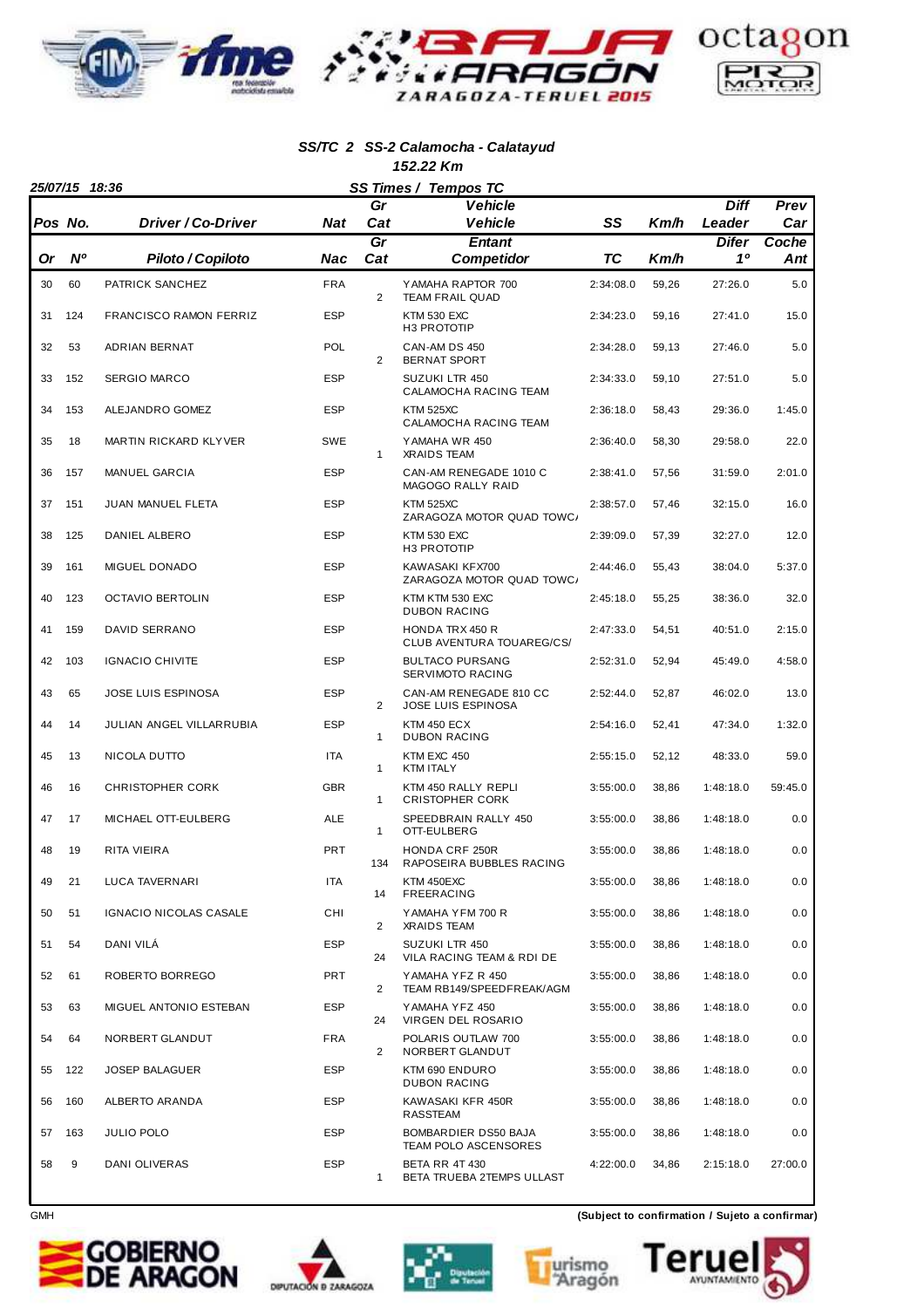

#### **SS/TC 2 SS-2 Calamocha - Calatayud 152.22 Km**

| 25/07/15 18:36<br>SS Times / Tempos TC |           |                               |            |                |                                                     |           |       |             |              |
|----------------------------------------|-----------|-------------------------------|------------|----------------|-----------------------------------------------------|-----------|-------|-------------|--------------|
|                                        |           |                               |            | Gr             | <b>Vehicle</b>                                      |           |       | <b>Diff</b> | Prev         |
|                                        | Pos No.   | Driver / Co-Driver            | <b>Nat</b> | Cat            | <b>Vehicle</b>                                      | SS        | Km/h  | Leader      | Car          |
| Or                                     | <b>N°</b> | Piloto / Copiloto             | Nac        | Gr<br>Cat      | <b>Entant</b><br><b>Competidor</b>                  | ТC        | Km/h  | Difer<br>10 | Coche<br>Ant |
| 30                                     | 60        | PATRICK SANCHEZ               | <b>FRA</b> | 2              | YAMAHA RAPTOR 700<br><b>TEAM FRAIL QUAD</b>         | 2:34:08.0 | 59,26 | 27:26.0     | 5.0          |
| 31                                     | 124       | <b>FRANCISCO RAMON FERRIZ</b> | <b>ESP</b> |                | KTM 530 EXC<br>H3 PROTOTIP                          | 2:34:23.0 | 59,16 | 27:41.0     | 15.0         |
| 32                                     | 53        | ADRIAN BERNAT                 | POL        | 2              | CAN-AM DS 450<br><b>BERNAT SPORT</b>                | 2:34:28.0 | 59,13 | 27:46.0     | 5.0          |
| 33                                     | 152       | <b>SERGIO MARCO</b>           | <b>ESP</b> |                | SUZUKI LTR 450<br>CALAMOCHA RACING TEAM             | 2:34:33.0 | 59,10 | 27:51.0     | 5.0          |
| 34                                     | 153       | ALEJANDRO GOMEZ               | <b>ESP</b> |                | <b>KTM 525XC</b><br>CALAMOCHA RACING TEAM           | 2:36:18.0 | 58,43 | 29:36.0     | 1:45.0       |
| 35                                     | 18        | MARTIN RICKARD KLYVER         | <b>SWE</b> | $\mathbf{1}$   | YAMAHA WR 450<br><b>XRAIDS TEAM</b>                 | 2:36:40.0 | 58,30 | 29:58.0     | 22.0         |
| 36                                     | 157       | MANUEL GARCIA                 | <b>ESP</b> |                | CAN-AM RENEGADE 1010 C<br>MAGOGO RALLY RAID         | 2:38:41.0 | 57,56 | 31:59.0     | 2:01.0       |
| 37                                     | 151       | JUAN MANUEL FLETA             | <b>ESP</b> |                | <b>KTM 525XC</b><br>ZARAGOZA MOTOR QUAD TOWC/       | 2:38:57.0 | 57,46 | 32:15.0     | 16.0         |
| 38                                     | 125       | DANIEL ALBERO                 | <b>ESP</b> |                | <b>KTM 530 EXC</b><br>H3 PROTOTIP                   | 2:39:09.0 | 57,39 | 32:27.0     | 12.0         |
| 39                                     | 161       | <b>MIGUEL DONADO</b>          | <b>ESP</b> |                | KAWASAKI KFX700<br>ZARAGOZA MOTOR QUAD TOWC/        | 2:44:46.0 | 55,43 | 38:04.0     | 5:37.0       |
| 40                                     | 123       | <b>OCTAVIO BERTOLIN</b>       | <b>ESP</b> |                | KTM KTM 530 EXC<br><b>DUBON RACING</b>              | 2:45:18.0 | 55,25 | 38:36.0     | 32.0         |
| 41                                     | 159       | DAVID SERRANO                 | <b>ESP</b> |                | <b>HONDA TRX 450 R</b><br>CLUB AVENTURA TOUAREG/CS/ | 2:47:33.0 | 54,51 | 40:51.0     | 2:15.0       |
| 42                                     | 103       | <b>IGNACIO CHIVITE</b>        | <b>ESP</b> |                | <b>BULTACO PURSANG</b><br>SERVIMOTO RACING          | 2:52:31.0 | 52,94 | 45:49.0     | 4:58.0       |
| 43                                     | 65        | <b>JOSE LUIS ESPINOSA</b>     | <b>ESP</b> | $\overline{2}$ | CAN-AM RENEGADE 810 CC<br>JOSE LUIS ESPINOSA        | 2:52:44.0 | 52,87 | 46:02.0     | 13.0         |
| 44                                     | 14        | JULIAN ANGEL VILLARRUBIA      | <b>ESP</b> | $\mathbf{1}$   | <b>KTM 450 ECX</b><br><b>DUBON RACING</b>           | 2:54:16.0 | 52,41 | 47:34.0     | 1:32.0       |
| 45                                     | 13        | NICOLA DUTTO                  | <b>ITA</b> | $\mathbf{1}$   | KTM EXC 450<br><b>KTM ITALY</b>                     | 2:55:15.0 | 52,12 | 48:33.0     | 59.0         |
| 46                                     | 16        | <b>CHRISTOPHER CORK</b>       | <b>GBR</b> | $\mathbf{1}$   | KTM 450 RALLY REPLI<br><b>CRISTOPHER CORK</b>       | 3:55:00.0 | 38,86 | 1:48:18.0   | 59:45.0      |
| 47                                     | 17        | MICHAEL OTT-EULBERG           | <b>ALE</b> | $\mathbf{1}$   | SPEEDBRAIN RALLY 450<br>OTT-EULBERG                 | 3:55:00.0 | 38,86 | 1:48:18.0   | 0.0          |
| 48                                     | 19        | RITA VIEIRA                   | <b>PRT</b> | 134            | <b>HONDA CRF 250R</b><br>RAPOSEIRA BUBBLES RACING   | 3:55:00.0 | 38,86 | 1:48:18.0   | 0.0          |
| 49                                     | 21        | LUCA TAVERNARI                | <b>ITA</b> | 14             | KTM 450EXC<br><b>FREERACING</b>                     | 3:55:00.0 | 38,86 | 1:48:18.0   | 0.0          |
| 50                                     | 51        | IGNACIO NICOLAS CASALE        | CHI        | $\overline{2}$ | YAMAHA YFM 700 R<br><b>XRAIDS TEAM</b>              | 3:55:00.0 | 38,86 | 1:48:18.0   | 0.0          |
| 51                                     | 54        | DANI VILA                     | <b>ESP</b> | 24             | SUZUKI LTR 450<br>VILA RACING TEAM & RDI DE         | 3:55:00.0 | 38,86 | 1:48:18.0   | 0.0          |
| 52                                     | 61        | ROBERTO BORREGO               | PRT        | $\overline{2}$ | YAMAHA YFZ R 450<br>TEAM RB149/SPEEDFREAK/AGM       | 3:55:00.0 | 38,86 | 1:48:18.0   | 0.0          |
| 53                                     | 63        | MIGUEL ANTONIO ESTEBAN        | <b>ESP</b> | 24             | YAMAHA YFZ 450<br>VIRGEN DEL ROSARIO                | 3:55:00.0 | 38,86 | 1:48:18.0   | 0.0          |
| 54                                     | 64        | NORBERT GLANDUT               | <b>FRA</b> | $\overline{2}$ | POLARIS OUTLAW 700<br>NORBERT GLANDUT               | 3:55:00.0 | 38,86 | 1:48:18.0   | 0.0          |
| 55                                     | 122       | <b>JOSEP BALAGUER</b>         | <b>ESP</b> |                | KTM 690 ENDURO<br><b>DUBON RACING</b>               | 3:55:00.0 | 38,86 | 1:48:18.0   | 0.0          |
| 56                                     | 160       | ALBERTO ARANDA                | <b>ESP</b> |                | KAWASAKI KFR 450R<br>RASSTEAM                       | 3:55:00.0 | 38,86 | 1:48:18.0   | 0.0          |
| 57                                     | 163       | JULIO POLO                    | <b>ESP</b> |                | BOMBARDIER DS50 BAJA<br>TEAM POLO ASCENSORES        | 3:55:00.0 | 38,86 | 1:48:18.0   | 0.0          |
| 58                                     | 9         | DANI OLIVERAS                 | <b>ESP</b> | 1              | <b>BETA RR 4T 430</b><br>BETA TRUEBA 2TEMPS ULLAST  | 4:22:00.0 | 34,86 | 2:15:18.0   | 27:00.0      |









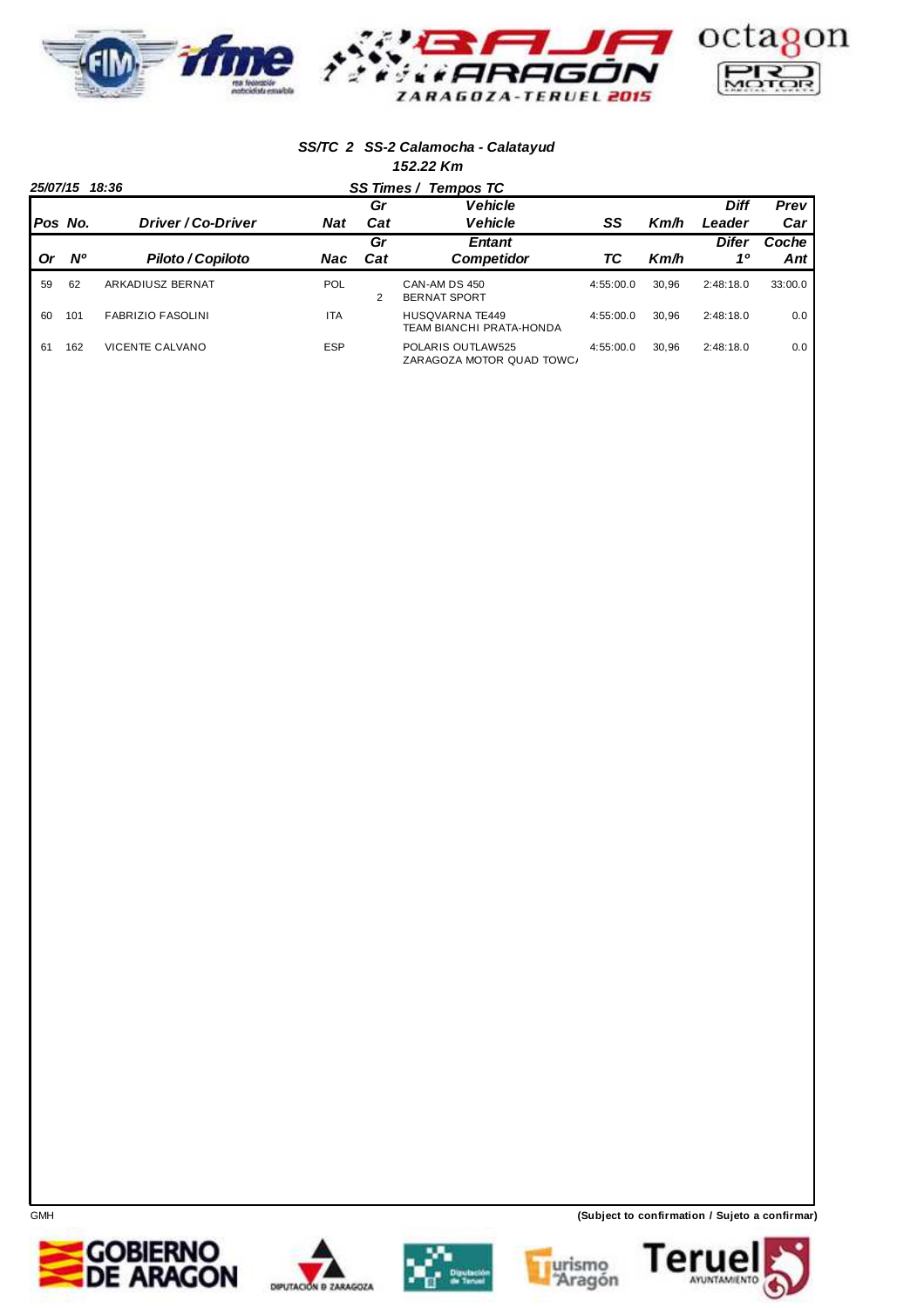

#### **SS/TC 2 SS-2 Calamocha - Calatayud 152.22 Km**

|           | 25/07/15 18:36 |                          |            |     | SS Times / Tempos TC                               |           |       |             |         |
|-----------|----------------|--------------------------|------------|-----|----------------------------------------------------|-----------|-------|-------------|---------|
|           |                |                          |            | Gr  | <b>Vehicle</b>                                     |           |       | <b>Diff</b> | Prev    |
|           | Pos No.        | Driver / Co-Driver       | <b>Nat</b> | Cat | <b>Vehicle</b>                                     | SS        | Km/h  | Leader      | Car     |
|           |                |                          |            | Gr  | <b>Entant</b>                                      |           |       | Difer       | Coche   |
| <b>Or</b> | <b>N°</b>      | Piloto / Copiloto        | Nac        | Cat | <b>Competidor</b>                                  | ТC        | Km/h  | 10          | Ant     |
| 59        | 62             | ARKADIUSZ BERNAT         | <b>POL</b> | 2   | CAN-AM DS 450<br><b>BERNAT SPORT</b>               | 4:55:00.0 | 30.96 | 2:48:18.0   | 33:00.0 |
| 60        | 101            | <b>FABRIZIO FASOLINI</b> | <b>ITA</b> |     | <b>HUSQVARNA TE449</b><br>TEAM BIANCHI PRATA-HONDA | 4:55:00.0 | 30.96 | 2:48:18.0   | 0.0     |
| 61        | 162            | <b>VICENTE CALVANO</b>   | <b>ESP</b> |     | POLARIS OUTLAW525<br>ZARAGOZA MOTOR QUAD TOWC/     | 4:55:00.0 | 30.96 | 2:48:18.0   | 0.0     |









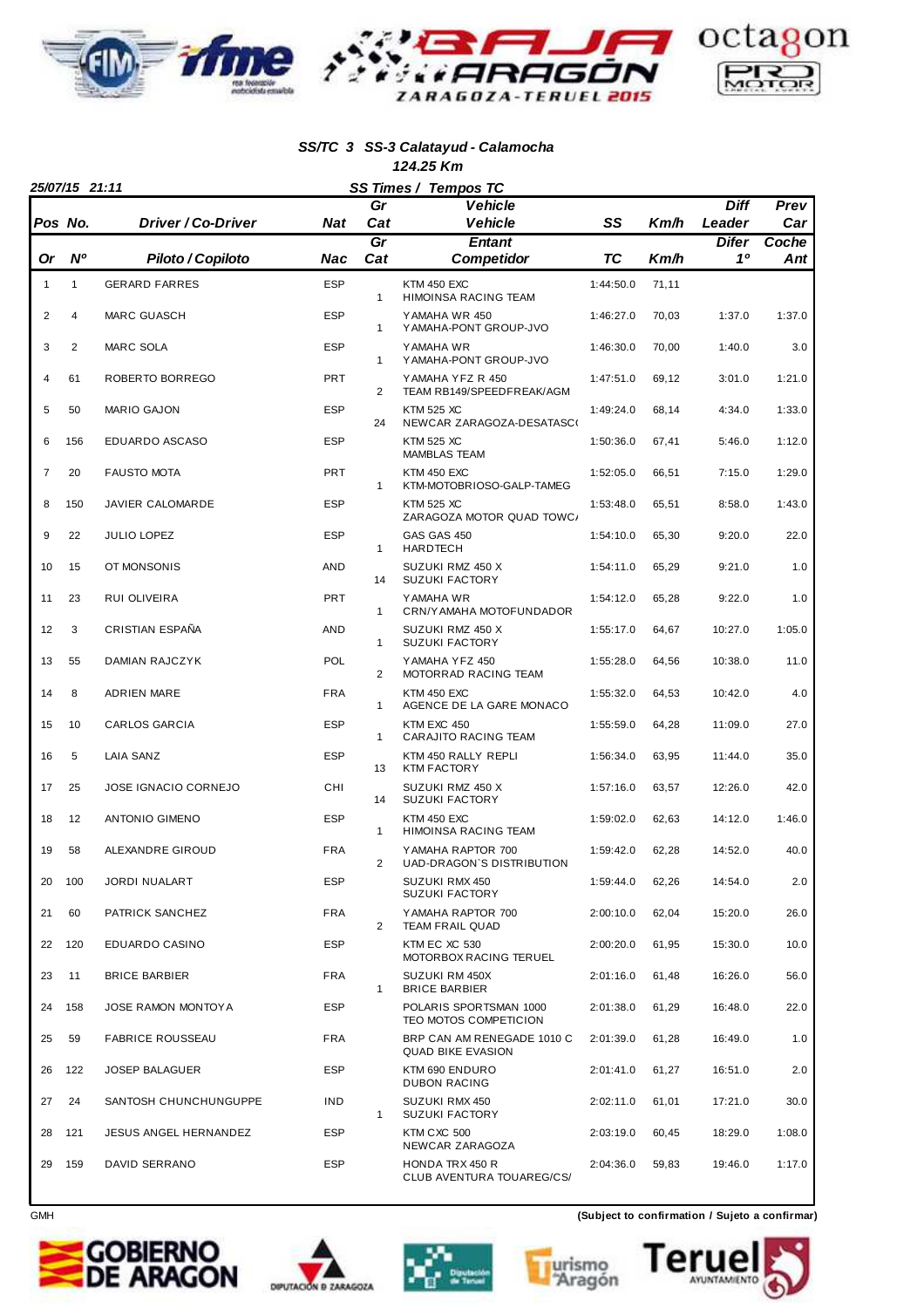

#### **SS/TC 3 SS-3 Calatayud - Calamocha 124.25 Km**

|              | 25/07/15 21:11 |                         |            |                | SS Times / Tempos TC                                   |           |       |             |              |
|--------------|----------------|-------------------------|------------|----------------|--------------------------------------------------------|-----------|-------|-------------|--------------|
|              |                |                         |            | Gr             | <b>Vehicle</b>                                         |           |       | <b>Diff</b> | Prev         |
| Pos No.      |                | Driver / Co-Driver      | Nat        | Cat            | <b>Vehicle</b>                                         | SS        | Km/h  | Leader      | Car          |
| Or           | $N^{\circ}$    | Piloto / Copiloto       | Nac        | Gr<br>Cat      | <b>Entant</b><br><b>Competidor</b>                     | ТC        | Km/h  | Difer<br>10 | Coche<br>Ant |
| $\mathbf{1}$ | $\mathbf{1}$   | <b>GERARD FARRES</b>    | <b>ESP</b> | 1              | <b>KTM 450 EXC</b><br>HIMOINSA RACING TEAM             | 1:44:50.0 | 71,11 |             |              |
| 2            | 4              | <b>MARC GUASCH</b>      | <b>ESP</b> | $\mathbf{1}$   | YAMAHA WR 450<br>Y AMAHA-PONT GROUP-JVO                | 1:46:27.0 | 70,03 | 1:37.0      | 1:37.0       |
| 3            | $\overline{2}$ | MARC SOLA               | <b>ESP</b> | $\mathbf{1}$   | Y AMAHA WR<br>YAMAHA-PONT GROUP-JVO                    | 1:46:30.0 | 70,00 | 1:40.0      | 3.0          |
| 4            | 61             | ROBERTO BORREGO         | <b>PRT</b> | $\overline{2}$ | YAMAHA YFZ R 450<br>TEAM RB149/SPEEDFREAK/AGM          | 1:47:51.0 | 69,12 | 3:01.0      | 1:21.0       |
| 5            | 50             | <b>MARIO GAJON</b>      | <b>ESP</b> | 24             | <b>KTM 525 XC</b><br>NEWCAR ZARAGOZA-DESATASCO         | 1:49:24.0 | 68,14 | 4:34.0      | 1:33.0       |
| 6            | 156            | EDUARDO ASCASO          | <b>ESP</b> |                | <b>KTM 525 XC</b><br><b>MAMBLAS TEAM</b>               | 1:50:36.0 | 67,41 | 5:46.0      | 1:12.0       |
| 7            | 20             | <b>FAUSTO MOTA</b>      | <b>PRT</b> | 1              | KTM 450 EXC<br>KTM-MOTOBRIOSO-GALP-TAMEG               | 1:52:05.0 | 66,51 | 7:15.0      | 1:29.0       |
| 8            | 150            | JAVIER CALOMARDE        | <b>ESP</b> |                | <b>KTM 525 XC</b><br>ZARAGOZA MOTOR QUAD TOWC/         | 1:53:48.0 | 65,51 | 8:58.0      | 1:43.0       |
| 9            | 22             | JULIO LOPEZ             | <b>ESP</b> | $\mathbf{1}$   | GAS GAS 450<br><b>HARDTECH</b>                         | 1:54:10.0 | 65,30 | 9:20.0      | 22.0         |
| 10           | 15             | OT MONSONIS             | <b>AND</b> | 14             | SUZUKI RMZ 450 X<br><b>SUZUKI FACTORY</b>              | 1:54:11.0 | 65,29 | 9:21.0      | 1.0          |
| 11           | 23             | <b>RUI OLIVEIRA</b>     | <b>PRT</b> | 1              | Y AMAHA WR<br>CRN/Y AMAHA MOTOFUNDADOR                 | 1:54:12.0 | 65,28 | 9:22.0      | 1.0          |
| 12           | 3              | CRISTIAN ESPAÑA         | <b>AND</b> | $\mathbf{1}$   | SUZUKI RMZ 450 X<br><b>SUZUKI FACTORY</b>              | 1:55:17.0 | 64,67 | 10:27.0     | 1:05.0       |
| 13           | 55             | DAMIAN RAJCZYK          | POL        | $\overline{2}$ | YAMAHA YFZ 450<br>MOTORRAD RACING TEAM                 | 1:55:28.0 | 64,56 | 10:38.0     | 11.0         |
| 14           | 8              | <b>ADRIEN MARE</b>      | <b>FRA</b> | $\mathbf{1}$   | KTM 450 EXC<br>AGENCE DE LA GARE MONACO                | 1:55:32.0 | 64,53 | 10:42.0     | 4.0          |
| 15           | 10             | <b>CARLOS GARCIA</b>    | <b>ESP</b> | $\mathbf{1}$   | KTM EXC 450<br>CARAJITO RACING TEAM                    | 1:55:59.0 | 64,28 | 11:09.0     | 27.0         |
| 16           | 5              | <b>LAIA SANZ</b>        | <b>ESP</b> | 13             | KTM 450 RALLY REPLI<br><b>KTM FACTORY</b>              | 1:56:34.0 | 63,95 | 11:44.0     | 35.0         |
| 17           | 25             | JOSE IGNACIO CORNEJO    | CHI        | 14             | SUZUKI RMZ 450 X<br><b>SUZUKI FACTORY</b>              | 1:57:16.0 | 63,57 | 12:26.0     | 42.0         |
| 18           | 12             | <b>ANTONIO GIMENO</b>   | <b>ESP</b> | $\mathbf{1}$   | <b>KTM 450 EXC</b><br>HIMOINSA RACING TEAM             | 1:59:02.0 | 62,63 | 14:12.0     | 1:46.0       |
| 19           | 58             | ALEXANDRE GIROUD        | <b>FRA</b> | 2              | YAMAHA RAPTOR 700<br>UAD-DRAGON'S DISTRIBUTION         | 1:59:42.0 | 62,28 | 14:52.0     | 40.0         |
| 20           | 100            | <b>JORDI NUALART</b>    | <b>ESP</b> |                | SUZUKI RMX 450<br><b>SUZUKI FACTORY</b>                | 1:59:44.0 | 62,26 | 14:54.0     | 2.0          |
| 21           | 60             | PATRICK SANCHEZ         | <b>FRA</b> | $\overline{2}$ | YAMAHA RAPTOR 700<br><b>TEAM FRAIL QUAD</b>            | 2:00:10.0 | 62,04 | 15:20.0     | 26.0         |
| 22           | 120            | EDUARDO CASINO          | <b>ESP</b> |                | KTM EC XC 530<br>MOTORBOX RACING TERUEL                | 2:00:20.0 | 61,95 | 15:30.0     | 10.0         |
| 23           | 11             | <b>BRICE BARBIER</b>    | <b>FRA</b> | $\mathbf{1}$   | SUZUKI RM 450X<br><b>BRICE BARBIER</b>                 | 2:01:16.0 | 61,48 | 16:26.0     | 56.0         |
| 24           | 158            | JOSE RAMON MONTOYA      | <b>ESP</b> |                | POLARIS SPORTSMAN 1000<br>TEO MOTOS COMPETICION        | 2:01:38.0 | 61,29 | 16:48.0     | 22.0         |
| 25           | 59             | <b>FABRICE ROUSSEAU</b> | <b>FRA</b> |                | BRP CAN AM RENEGADE 1010 C<br><b>QUAD BIKE EVASION</b> | 2:01:39.0 | 61,28 | 16:49.0     | 1.0          |
| 26           | 122            | <b>JOSEP BALAGUER</b>   | <b>ESP</b> |                | KTM 690 ENDURO<br><b>DUBON RACING</b>                  | 2:01:41.0 | 61,27 | 16:51.0     | 2.0          |
| 27           | 24             | SANTOSH CHUNCHUNGUPPE   | <b>IND</b> | $\mathbf{1}$   | SUZUKI RMX 450<br><b>SUZUKI FACTORY</b>                | 2:02:11.0 | 61,01 | 17:21.0     | 30.0         |
| 28           | 121            | JESUS ANGEL HERNANDEZ   | <b>ESP</b> |                | KTM CXC 500<br>NEWCAR ZARAGOZA                         | 2:03:19.0 | 60,45 | 18:29.0     | 1:08.0       |
| 29           | 159            | DAVID SERRANO           | <b>ESP</b> |                | <b>HONDA TRX 450 R</b><br>CLUB AVENTURA TOUAREG/CS/    | 2:04:36.0 | 59,83 | 19:46.0     | 1:17.0       |









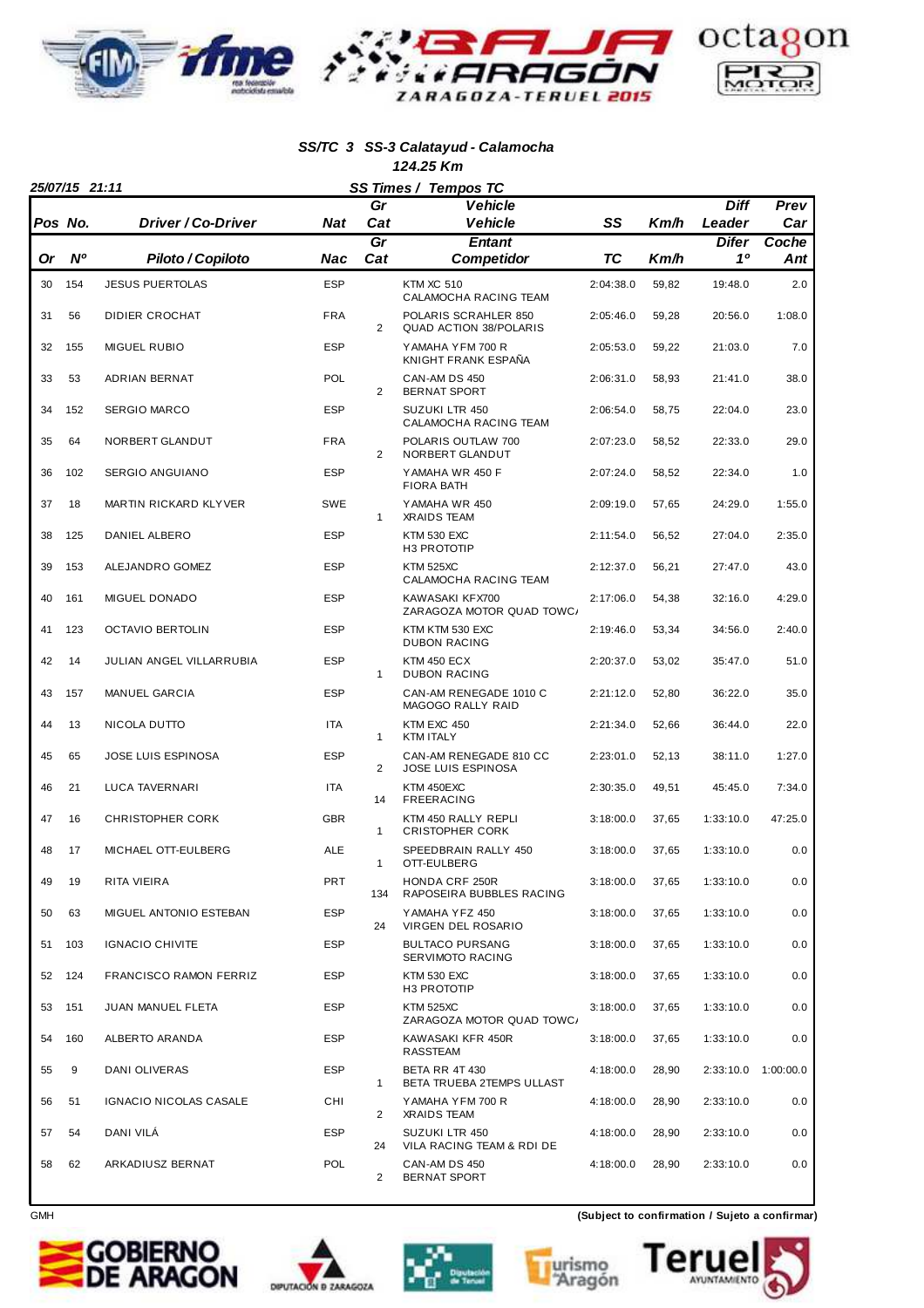

#### **SS/TC 3 SS-3 Calatayud - Calamocha 124.25 Km**

| 124.ZJ INII<br>25/07/15 21:11<br>SS Times / Tempos TC |           |                              |            |                |                                                                       |           |       |             |              |
|-------------------------------------------------------|-----------|------------------------------|------------|----------------|-----------------------------------------------------------------------|-----------|-------|-------------|--------------|
|                                                       |           |                              |            | Gr             | <b>Vehicle</b>                                                        |           |       | <b>Diff</b> | Prev         |
|                                                       | Pos No.   | Driver / Co-Driver           | <b>Nat</b> | Cat            | <b>Vehicle</b>                                                        | SS        | Km/h  | Leader      | Car          |
| Or                                                    | <b>N°</b> | Piloto / Copiloto            | Nac        | Gr<br>Cat      | <b>Entant</b><br><b>Competidor</b>                                    | <b>TC</b> | Km/h  | Difer<br>10 | Coche<br>Ant |
| 30                                                    | 154       | <b>JESUS PUERTOLAS</b>       | <b>ESP</b> |                | <b>KTM XC 510</b>                                                     | 2:04:38.0 | 59,82 | 19:48.0     | 2.0          |
| 31                                                    | 56        | DIDIER CROCHAT               | <b>FRA</b> | $\overline{2}$ | CALAMOCHA RACING TEAM<br>POLARIS SCRAHLER 850                         | 2:05:46.0 | 59,28 | 20:56.0     | 1:08.0       |
| 32                                                    | 155       | <b>MIGUEL RUBIO</b>          | <b>ESP</b> |                | <b>QUAD ACTION 38/POLARIS</b><br>YAMAHA YFM 700 R                     | 2:05:53.0 | 59,22 | 21:03.0     | 7.0          |
| 33                                                    | 53        | ADRIAN BERNAT                | POL        | $\overline{2}$ | KNIGHT FRANK ESPAÑA<br>CAN-AM DS 450                                  | 2:06:31.0 | 58,93 | 21:41.0     | 38.0         |
| 34                                                    | 152       | <b>SERGIO MARCO</b>          | <b>ESP</b> |                | <b>BERNAT SPORT</b><br><b>SUZUKI LTR 450</b><br>CALAMOCHA RACING TEAM | 2:06:54.0 | 58,75 | 22:04.0     | 23.0         |
| 35                                                    | 64        | NORBERT GLANDUT              | <b>FRA</b> | $\overline{2}$ | POLARIS OUTLAW 700<br>NORBERT GLANDUT                                 | 2:07:23.0 | 58,52 | 22:33.0     | 29.0         |
| 36                                                    | 102       | SERGIO ANGUIANO              | <b>ESP</b> |                | YAMAHA WR 450 F<br><b>FIORA BATH</b>                                  | 2:07:24.0 | 58,52 | 22:34.0     | 1.0          |
| 37                                                    | 18        | <b>MARTIN RICKARD KLYVER</b> | <b>SWE</b> | $\mathbf{1}$   | YAMAHA WR 450<br><b>XRAIDS TEAM</b>                                   | 2:09:19.0 | 57,65 | 24:29.0     | 1:55.0       |
| 38                                                    | 125       | DANIEL ALBERO                | <b>ESP</b> |                | <b>KTM 530 EXC</b><br>H3 PROTOTIP                                     | 2:11:54.0 | 56,52 | 27:04.0     | 2:35.0       |
| 39                                                    | 153       | ALEJANDRO GOMEZ              | <b>ESP</b> |                | <b>KTM 525XC</b><br>CALAMOCHA RACING TEAM                             | 2:12:37.0 | 56,21 | 27:47.0     | 43.0         |
| 40                                                    | 161       | MIGUEL DONADO                | <b>ESP</b> |                | KAWASAKI KFX700<br>ZARAGOZA MOTOR QUAD TOWC/                          | 2:17:06.0 | 54,38 | 32:16.0     | 4:29.0       |
| 41                                                    | 123       | <b>OCTAVIO BERTOLIN</b>      | <b>ESP</b> |                | KTM KTM 530 EXC<br><b>DUBON RACING</b>                                | 2:19:46.0 | 53,34 | 34:56.0     | 2:40.0       |
| 42                                                    | 14        | JULIAN ANGEL VILLARRUBIA     | <b>ESP</b> | $\mathbf{1}$   | <b>KTM 450 ECX</b><br><b>DUBON RACING</b>                             | 2:20:37.0 | 53,02 | 35:47.0     | 51.0         |
| 43                                                    | 157       | <b>MANUEL GARCIA</b>         | <b>ESP</b> |                | CAN-AM RENEGADE 1010 C<br>MAGOGO RALLY RAID                           | 2:21:12.0 | 52,80 | 36:22.0     | 35.0         |
| 44                                                    | 13        | NICOLA DUTTO                 | <b>ITA</b> | $\mathbf{1}$   | KTM EXC 450<br><b>KTM ITALY</b>                                       | 2:21:34.0 | 52,66 | 36:44.0     | 22.0         |
| 45                                                    | 65        | JOSE LUIS ESPINOSA           | <b>ESP</b> | 2              | CAN-AM RENEGADE 810 CC<br><b>JOSE LUIS ESPINOSA</b>                   | 2:23:01.0 | 52,13 | 38:11.0     | 1:27.0       |
| 46                                                    | 21        | <b>LUCA TAVERNARI</b>        | <b>ITA</b> | 14             | KTM 450EXC<br><b>FREERACING</b>                                       | 2:30:35.0 | 49,51 | 45:45.0     | 7:34.0       |
| 47                                                    | 16        | <b>CHRISTOPHER CORK</b>      | <b>GBR</b> | 1              | KTM 450 RALLY REPLI<br><b>CRISTOPHER CORK</b>                         | 3:18:00.0 | 37,65 | 1:33:10.0   | 47:25.0      |
| 48                                                    | 17        | MICHAEL OTT-EULBERG          | ALE        | 1              | SPEEDBRAIN RALLY 450<br>OTT-EULBERG                                   | 3:18:00.0 | 37,65 | 1:33:10.0   | 0.0          |
| 49                                                    | 19        | RITA VIEIRA                  | <b>PRT</b> | 134            | <b>HONDA CRF 250R</b><br>RAPOSEIRA BUBBLES RACING                     | 3:18:00.0 | 37,65 | 1:33:10.0   | 0.0          |
| 50                                                    | 63        | MIGUEL ANTONIO ESTEBAN       | <b>ESP</b> | 24             | YAMAHA YFZ 450<br>VIRGEN DEL ROSARIO                                  | 3:18:00.0 | 37,65 | 1:33:10.0   | 0.0          |
| 51                                                    | 103       | <b>IGNACIO CHIVITE</b>       | <b>ESP</b> |                | <b>BULTACO PURSANG</b><br>SERVIMOTO RACING                            | 3:18:00.0 | 37,65 | 1:33:10.0   | 0.0          |
| 52                                                    | 124       | FRANCISCO RAMON FERRIZ       | <b>ESP</b> |                | KTM 530 EXC<br>H3 PROTOTIP                                            | 3:18:00.0 | 37,65 | 1:33:10.0   | 0.0          |
| 53                                                    | 151       | JUAN MANUEL FLETA            | <b>ESP</b> |                | <b>KTM 525XC</b><br>ZARAGOZA MOTOR QUAD TOWC/                         | 3:18:00.0 | 37,65 | 1:33:10.0   | 0.0          |
| 54                                                    | 160       | ALBERTO ARANDA               | <b>ESP</b> |                | KAWASAKI KFR 450R<br>RASSTEAM                                         | 3:18:00.0 | 37,65 | 1:33:10.0   | 0.0          |
| 55                                                    | 9         | DANI OLIVERAS                | <b>ESP</b> | $\mathbf{1}$   | <b>BETA RR 4T 430</b><br>BETA TRUEBA 2TEMPS ULLAST                    | 4:18:00.0 | 28,90 | 2:33:10.0   | 1:00:00.0    |
| 56                                                    | 51        | IGNACIO NICOLAS CASALE       | CHI        | 2              | YAMAHA YFM 700 R<br><b>XRAIDS TEAM</b>                                | 4:18:00.0 | 28,90 | 2:33:10.0   | 0.0          |
| 57                                                    | 54        | DANI VILÁ                    | <b>ESP</b> | 24             | SUZUKI LTR 450<br>VILA RACING TEAM & RDI DE                           | 4:18:00.0 | 28,90 | 2:33:10.0   | 0.0          |
| 58                                                    | 62        | ARKADIUSZ BERNAT             | POL        | $\overline{2}$ | CAN-AM DS 450<br>BERNAT SPORT                                         | 4:18:00.0 | 28,90 | 2:33:10.0   | 0.0          |









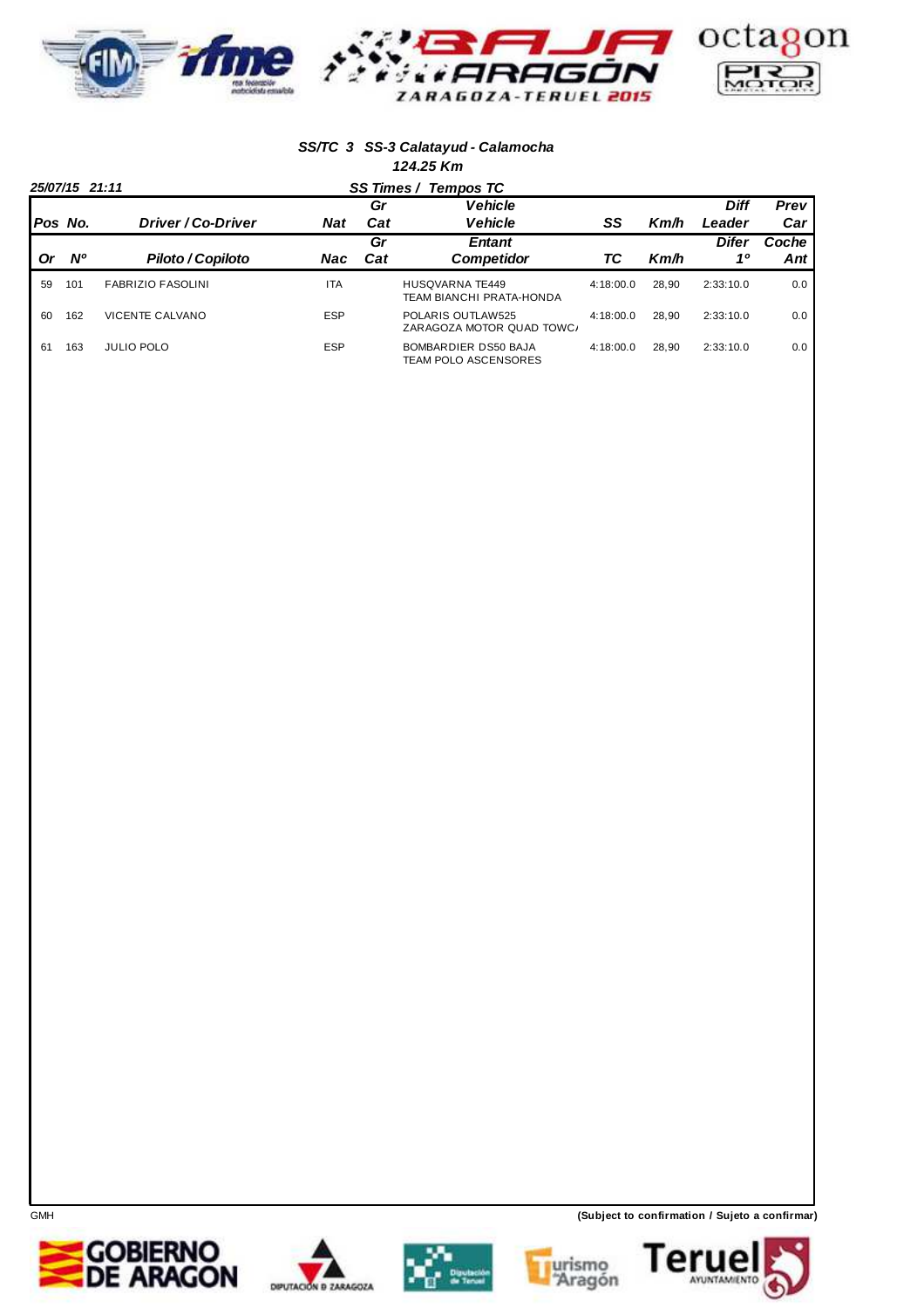

#### **SS/TC 3 SS-3 Calatayud - Calamocha 124.25 Km**

|    | 25/07/15 21:11 |                          |            | SS Times / Tempos TC |                                                    |           |       |             |       |
|----|----------------|--------------------------|------------|----------------------|----------------------------------------------------|-----------|-------|-------------|-------|
|    |                |                          |            | Gr                   | <b>Vehicle</b>                                     |           |       | <b>Diff</b> | Prev  |
|    | Pos No.        | Driver / Co-Driver       | <b>Nat</b> | Cat                  | <b>Vehicle</b>                                     | SS        | Km/h  | Leader      | Car   |
|    |                |                          |            | Gr                   | <b>Entant</b>                                      |           |       | Difer       | Coche |
| Or | <b>N°</b>      | Piloto / Copiloto        | Nac        | Cat                  | <b>Competidor</b>                                  | ТC        | Km/h  | 10          | Ant   |
| 59 | 101            | <b>FABRIZIO FASOLINI</b> | <b>ITA</b> |                      | HUSOVARNA TE449<br><b>TEAM BIANCHI PRATA-HONDA</b> | 4:18:00.0 | 28.90 | 2:33:10.0   | 0.0   |
| 60 | 162            | VICENTE CALVANO          | <b>ESP</b> |                      | POLARIS OUTLAW525<br>ZARAGOZA MOTOR QUAD TOWC/     | 4:18:00.0 | 28.90 | 2:33:10.0   | 0.0   |
| 61 | 163            | <b>JULIO POLO</b>        | <b>ESP</b> |                      | BOMBARDIER DS50 BAJA<br>TEAM POLO ASCENSORES       | 4:18:00.0 | 28.90 | 2:33:10.0   | 0.0   |









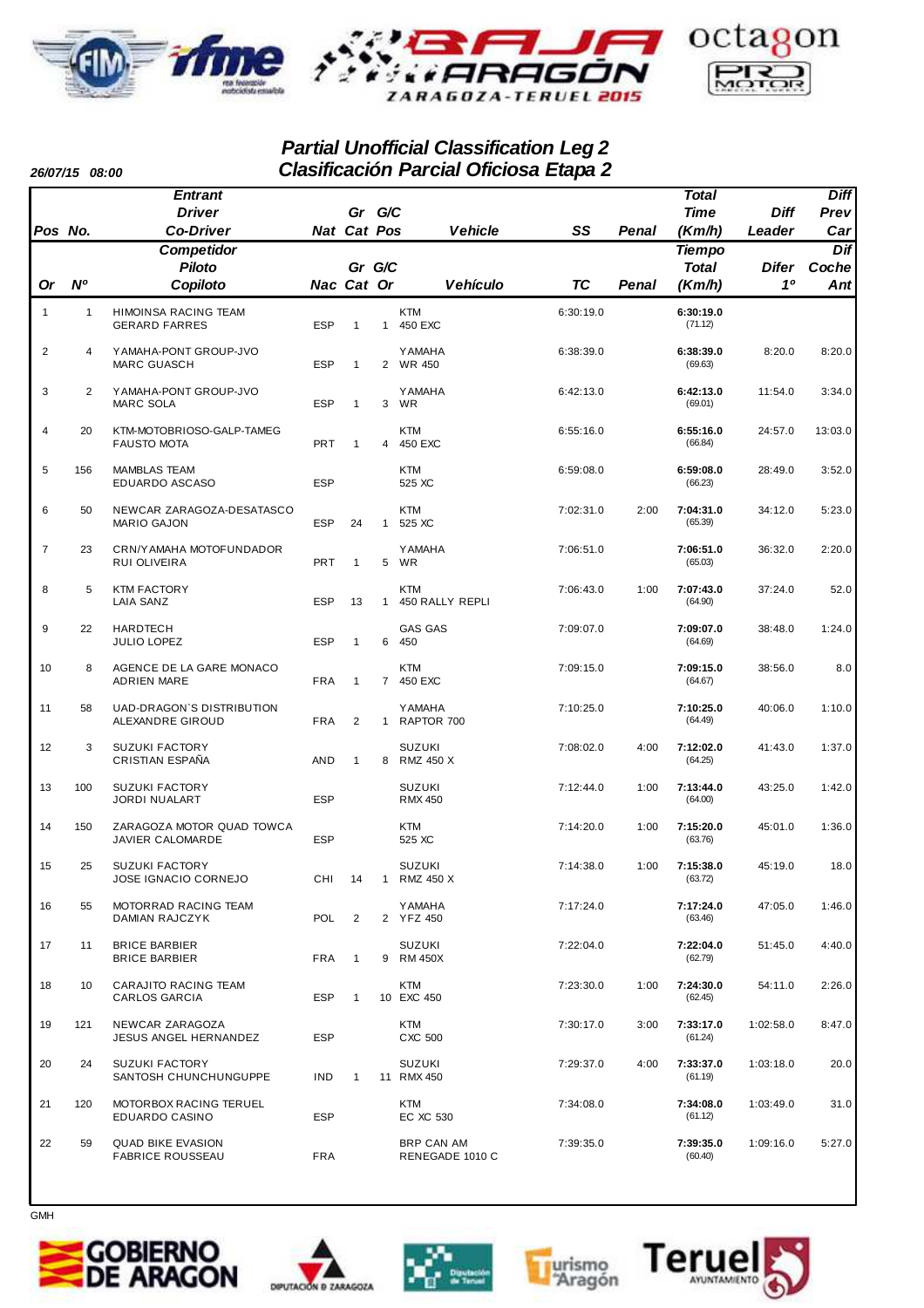

### **Partial Unofficial Classification Leg 2 Clasificación Parcial Oficiosa Etapa 2**

**Pos No. Driver Co-Driver Gr G/C Cat Nat Or Nº Piloto Copiloto Gr G/C Cat Nac Vehicle SS Pos Penal Time Diff Leader Prev Diff Car Vehículo TC Or Penal Total Difer 1º Dif Coche Ant Total Tiempo Entrant Competidor (Km/h) (Km/h)** 1 1 HIMOINSA RACING TEAM KTM 6:30:19.0 **6:30:19.0** GERARD FARRES ESP 1 1 450 EXC (71.12) 2 4 YAMAHA-PONT GROUP-JVO YAMAHA 6:38:39.0 8:20.0 **6:38:39.0** 8:20.0 MARC GUASCH ESP 1 2 WR 450 (69.63) 3 2 YAMAHA-PONT GROUP-JVO YAMAHA 6:42:13.0 11:54.0 **6:42:13.0** 3:34.0 MARC SOLA ESP 1 3 WR (69.01) 4 20 KTM-MOTOBRIOSO-GALP-TAMEG KTM 6:55:16.0 24:57.0 **6:55:16.0** 13:03.0 FAUSTO MOTA 66.84) **PRT 1 4 450 EXC** (66.84) 5 156 MAMBLAS TEAM KTM 6:59:08.0 28:49.0 **6:59:08.0** 3:52.0 EDUARDO ASCASO ESP 525 XC (66.23) 6 50 NEWCAR ZARAGOZA-DESATASCO KTM 7:02:31.0 2:00 34:12.0 **7:04:31.0** 5:23.0 MARIO GAJON ESP 24 1 7 23 CRN/YAMAHA MOTOFUNDADOR YAMAHA 7:06:51.0 36:32.0 **7:06:51.0** 2:20.0 RUI OLIVEIRA PRT 1 5 WR (65.03) 8 5 KTM FACTORY KTM 7:06:43.0 1:00 37:24.0 **7:07:43.0** 52.0 LAIA SANZ ESP 13 1 450 RALLY REPLI (64.90) 9 22 HARDTECH GAS GAS 7:09:07.0 38:48.0 **7:09:07.0** 1:24.0 JULIO LOPEZ ESP 1 6 450 (64.69) 10 8 AGENCE DE LA GARE MONACO KTM 7:09:15.0 38:56.0 **7:09:15.0** 8.0 ADRIEN MARE FRA 1 7 450 EXC (64.67) 11 58 UAD-DRAGON`S DISTRIBUTION YAMAHA 7:10:25.0 40:06.0 **7:10:25.0** 1:10.0 ALEXANDRE GIROUD 1 FRA 2 1 12 3 SUZUKI FACTORY SUZUKI 7:08:02.0 4:00 41:43.0 **7:12:02.0** 1:37.0 CRISTIAN ESPAÑA AND 1 8 RMZ 450 X (64.25) 13 100 SUZUKI FACTORY SUZUKI 7:12:44.0 1:00 43:25.0 **7:13:44.0** 1:42.0 JORDI NUALART ESP RMX 450 (64.00) 14 150 ZARAGOZA MOTOR QUAD TOWCA KTM 7:14:20.0 1:00 45:01.0 **7:15:20.0** 1:36.0 JAVIER CALOMARDE ESP 525 XC (63.76) 15 25 SUZUKI FACTORY SUZUKI 7:14:38.0 1:00 45:19.0 **7:15:38.0** 18.0 JOSE IGNACIO CORNEJO CHI 14 1 RMZ 450 X (63.72) 16 55 MOTORRAD RACING TEAM YAMAHA 7:17:24.0 47:05.0 **7:17:24.0** 1:46.0 DAMIAN RAJCZYK POL 2 2 YFZ 450 (63.46) 17 11 BRICE BARBIER SUZUKI 7:22:04.0 51:45.0 **7:22:04.0** 4:40.0 BRICE BARBIER FRA 1 9 RM 450X (62.79) 18 10 CARAJITO RACING TEAM KTM 7:23:30.0 1:00 54:11.0 **7:24:30.0** 2:26.0 CARLOS GARCIA ESP 1 19 121 NEWCAR ZARAGOZA KTM 7:30:17.0 3:00 1:02:58.0 **7:33:17.0** 8:47.0 **JESUS ANGEL HERNANDEZ** 20 24 SUZUKI FACTORY SUZUKI 7:29:37.0 4:00 1:03:18.0 **7:33:37.0** 20.0 SANTOSH CHUNCHUNGUPPE IND 1 21 120 MOTORBOX RACING TERUEL KTM 7:34:08.0 1:03:49.0 **7:34:08.0** 31.0 EDUARDO CASINO 22 59 QUAD BIKE EVASION BRP CAN AM 7:39:35.0 1:09:16.0 **7:39:35.0** 5:27.0 **FABRICE ROUSSEAU** 



**26/07/15 08:00**









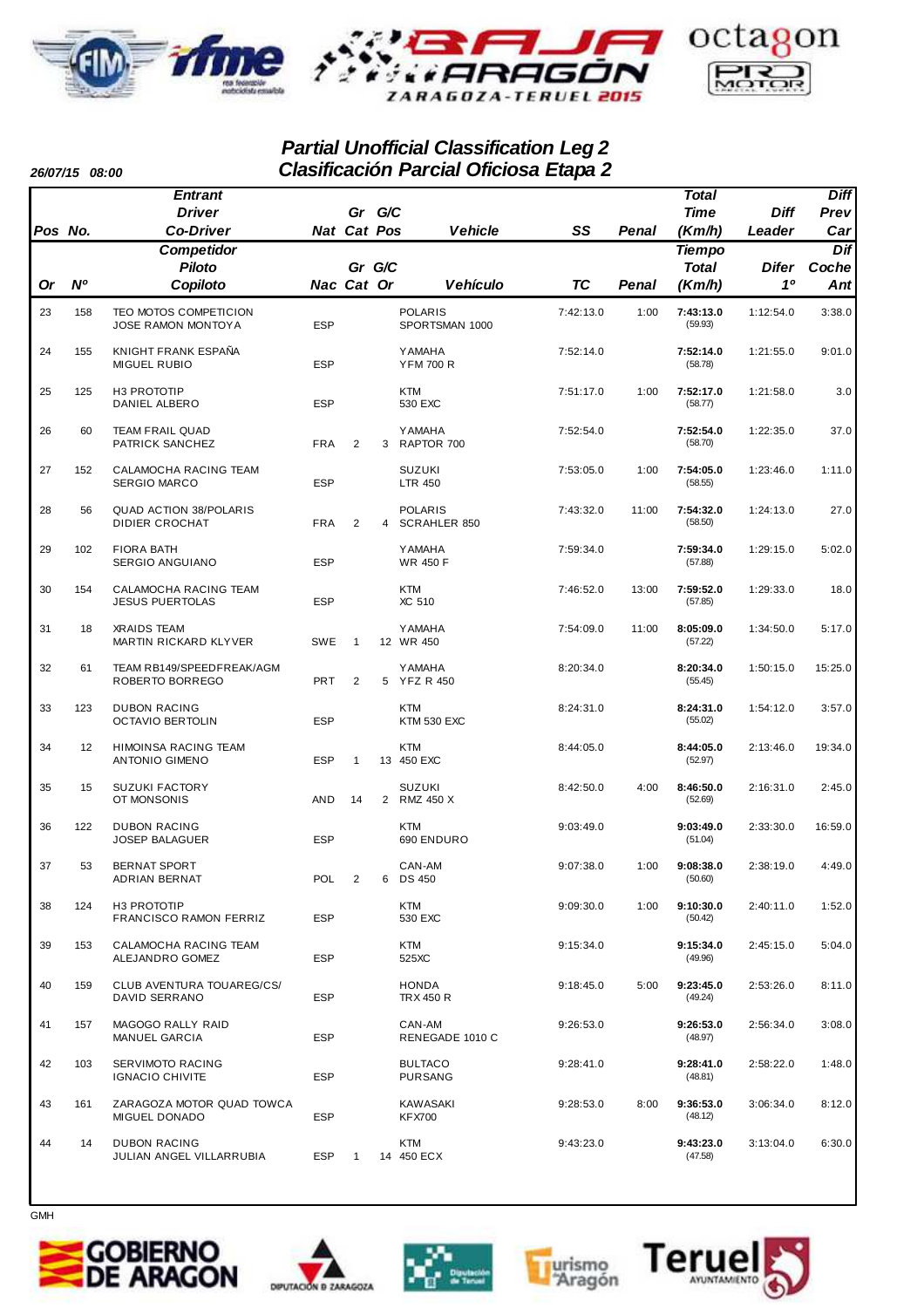

### **Partial Unofficial Classification Leg 2 Clasificación Parcial Oficiosa Etapa 2**

**Pos No. Driver Co-Driver Gr G/C Cat Nat Or Nº Piloto Copiloto Gr G/C Cat Nac Vehicle SS Pos Penal Time Diff Leader Prev Diff Car Vehículo TC Or Penal Total Difer 1º Dif Coche Ant Total Tiempo Entrant Competidor (Km/h) (Km/h)** 23 158 TEO MOTOS COMPETICION POLARIS 7:42:13.0 1:00 1:12:54.0 **7:43:13.0** 3:38.0  $J$ OSE RAMON MONTOVA ESP SPORTSMAN 1000  $(59.93)$ 24 155 KNIGHT FRANK ESPAÑA YAMAHA 7:52:14.0 1:21:55.0 **7:52:14.0** 9:01.0 MIGUEL RUBIO ESP YFM 700 R (58.78) 25 125 H3 PROTOTIP KTM 7:51:17.0 1:00 1:21:58.0 **7:52:17.0** 3.0 DANIEL ALBERO ESP 530 EXC (58.77) 26 60 TEAM FRAIL QUAD YAMAHA 7:52:54.0 1:22:35.0 **7:52:54.0** 37.0 PATRICK SANCHEZ FRA 2 3 RAPTOR 700 (58.70) 27 152 CALAMOCHA RACING TEAM SUZUKI 7:53:05.0 1:00 1:23:46.0 **7:54:05.0** 1:11.0 SERGIO MARCO 28 56 QUAD ACTION 38/POLARIS POLARIS 7:43:32.0 11:00 1:24:13.0 **7:54:32.0** 27.0 DIDIER CROCHAT FRA 2 4 29 102 FIORA BATH YAMAHA 7:59:34.0 1:29:15.0 **7:59:34.0** 5:02.0 SERGIO ANGUIANO **ESP** WR 450 F (57.88) 30 154 CALAMOCHA RACING TEAM KTM 7:46:52.0 13:00 1:29:33.0 **7:59:52.0** 18.0 JESUS PUERTOLAS 31 18 XRAIDS TEAM YAMAHA 7:54:09.0 11:00 1:34:50.0 **8:05:09.0** 5:17.0 MARTIN RICKARD KLYVER SWE 1 12 WR 450 CHARD (57.22) 32 61 TEAM RB149/SPEEDFREAK/AGM YAMAHA 8:20:34.0 1:50:15.0 **8:20:34.0** 15:25.0 ROBERTO BORREGO 6 PRT 2 5 33 123 DUBON RACING KTM 8:24:31.0 1:54:12.0 **8:24:31.0** 3:57.0 OCTAVIO BERTOLIN ESP KTM 530 EXC CONTAINS AND RESP CONTAINS AND RESP (55.02) 34 12 HIMOINSA RACING TEAM KTM 8:44:05.0 2:13:46.0 **8:44:05.0** 19:34.0 ANTONIO GIMENO ESP 1 35 15 SUZUKI FACTORY SUZUKI 8:42:50.0 4:00 2:16:31.0 **8:46:50.0** 2:45.0  $\overline{OT}$  MONSONIS  $\overline{AD}$   $\overline{14}$   $\overline{2}$   $\overline{R}$   $\overline{M}$   $\overline{45}$   $\overline{52}$   $\overline{52}$   $\overline{69}$   $\overline{52}$   $\overline{69}$ 36 122 DUBON RACING KTM 9:03:49.0 2:33:30.0 **9:03:49.0** 16:59.0 JOSEP BALAGUER ESP 690 ENDURO (51.04) 37 53 BERNAT SPORT CAN-AM 9:07:38.0 1:00 2:38:19.0 **9:08:38.0** 4:49.0 ADRIAN BERNAT POL 2 6 DS 450 (50.60) 38 124 H3 PROTOTIP KTM 9:09:30.0 1:00 2:40:11.0 **9:10:30.0** 1:52.0 FRANCISCO RAMON FERRIZ ESP 530 EXC (50.42) 39 153 CALAMOCHA RACING TEAM KTM 9:15:34.0 2:45:15.0 **9:15:34.0** 5:04.0 ALEJANDRO GOMEZ 40 159 CLUB AVENTURA TOUAREG/CS/ HONDA 9:18:45.0 5:00 2:53:26.0 **9:23:45.0** 8:11.0 DAVID SERRANO 41 157 MAGOGO RALLY RAID CAN-AM 9:26:53.0 2:56:34.0 **9:26:53.0** 3:08.0 RENEGADE 1010 C 42 103 SERVIMOTO RACING BULTACO 9:28:41.0 2:58:22.0 **9:28:41.0** 1:48.0 **IGNACIO CHIVITE** 43 161 ZARAGOZA MOTOR QUAD TOWCA KAWASAKI 9:28:53.0 8:00 3:06:34.0 **9:36:53.0** 8:12.0 MIGUEL DONADO 44 14 DUBON RACING KTM 9:43:23.0 3:13:04.0 **9:43:23.0** 6:30.0 JULIAN ANGEL VILLARRUBIA ESP 1

GMH

**26/07/15 08:00**









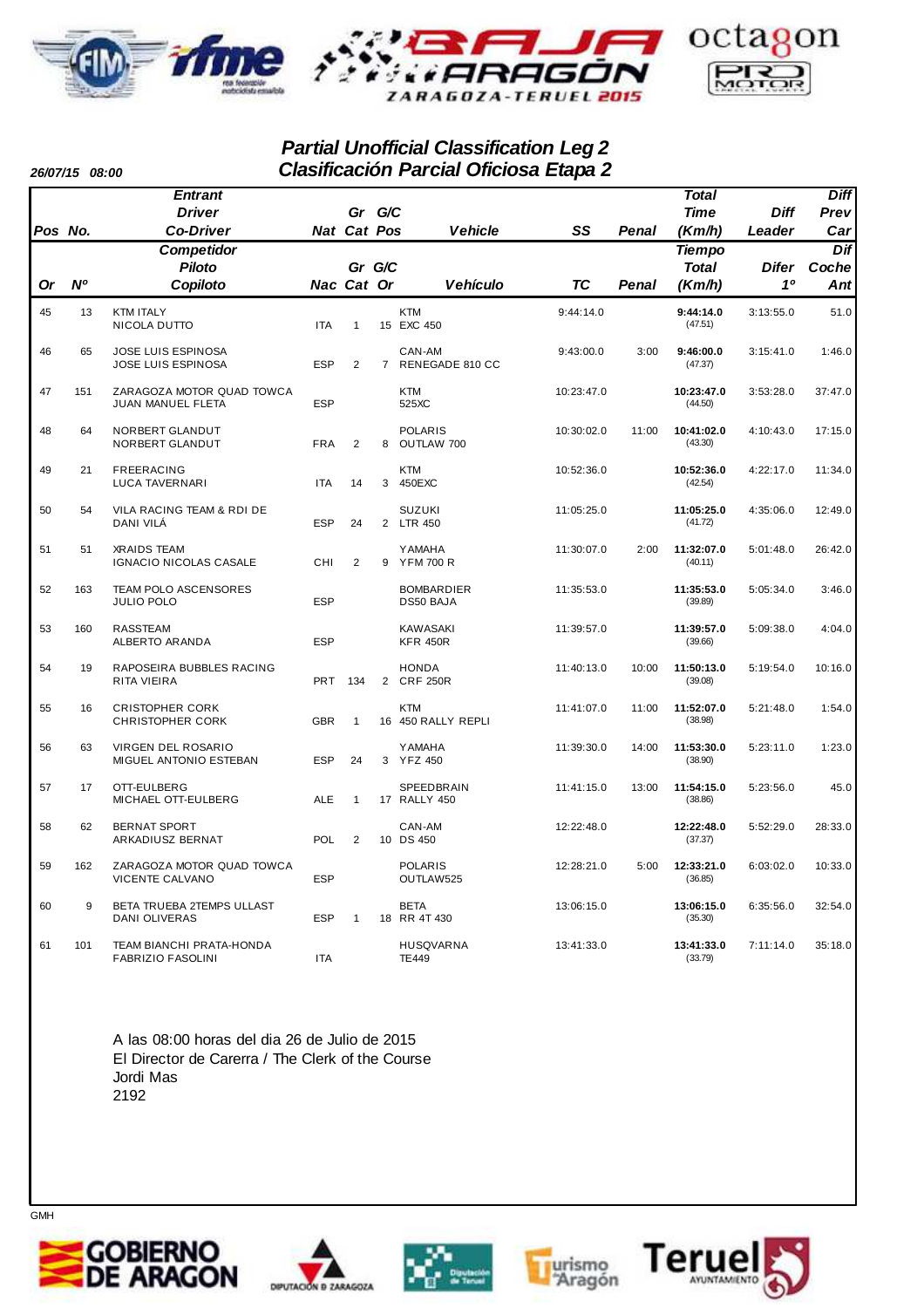

### **Partial Unofficial Classification Leg 2 Clasificación Parcial Oficiosa Etapa 2**

**Pos No. Driver Co-Driver Gr G/C Cat Nat Or Nº Piloto Copiloto Gr G/C Cat Nac Vehicle SS Pos Penal Time Diff Leader Prev Diff Car Vehículo TC Or Penal Total Difer 1º Dif Coche Ant Total Tiempo Entrant Competidor (Km/h) (Km/h)** 45 13 KTM ITALY KTM 9:44:14.0 3:13:55.0 **9:44:14.0** 51.0 NICOLA DUTTO ITA 1 15 EXC 450 CALCER 1 147.51) 46 65 JOSE LUIS ESPINOSA CAN-AM 9:43:00.0 3:00 3:15:41.0 **9:46:00.0** 1:46.0 JOSE LUIS ESPINOSA 7 ESP 2 RENEGADE 810 CC (47.37) 47 151 ZARAGOZA MOTOR QUAD TOWCA KTM 10:23:47.0 3:53:28.0 **10:23:47.0** 37:47.0 **JUAN MANUEL FLETA** 48 64 NORBERT GLANDUT POLARIS 10:30:02.0 11:00 4:10:43.0 **10:41:02.0** 17:15.0 NORBERT GLANDUT 8 FRA 2 OUTLAW 700 (43.30) 49 21 FREERACING KTM 10:52:36.0 4:22:17.0 **10:52:36.0** 11:34.0 LUCA TAVERNARI ITA 14 3 450EXC (42.54) 50 54 VILA RACING TEAM & RDI DE SUZUKI 11:05:25.0 4:35:06.0 **11:05:25.0** 12:49.0 DANI VILÁ ESP 24 2 LTR 450 (41.72) 51 51 XRAIDS TEAM YAMAHA 11:30:07.0 2:00 5:01:48.0 **11:32:07.0** 26:42.0 IGNACIO NICOLAS CASALE CHI 2 9 YFM 700 R (40.11) 52 163 TEAM POLO ASCENSORES BOMBARDIER 11:35:53.0 5:05:34.0 **11:35:53.0** 3:46.0 JULIO POLO 53 160 RASSTEAM KAWASAKI 11:39:57.0 5:09:38.0 **11:39:57.0** 4:04.0 ALBERTO ARANDA ESP KFR 450R (39.66) 54 19 RAPOSEIRA BUBBLES RACING HONDA 11:40:13.0 10:00 5:19:54.0 **11:50:13.0** 10:16.0 RITA VIEIRA PRT 134 2 CRF 250R (39.08) 55 16 CRISTOPHER CORK KTM 11:41:07.0 11:00 5:21:48.0 **11:52:07.0** 1:54.0  $1$  16  $450$  RALLY REPLI 56 63 VIRGEN DEL ROSARIO YAMAHA 11:39:30.0 14:00 5:23:11.0 **11:53:30.0** 1:23.0 MIGUEL ANTONIO ESTEBAN ESP 24 3 YFZ 450 CONTROLLED AND (38.90) 57 17 OTT-EULBERG SPEEDBRAIN 11:41:15.0 13:00 5:23:56.0 **11:54:15.0** 45.0 MICHAEL OTT-EULBERG ALE 1 17 RALLY 450 58 62 BERNAT SPORT CAN-AM 12:22:48.0 5:52:29.0 **12:22:48.0** 28:33.0 ARKADIUSZ BERNAT **10 POL 2 10 DS 450** (37.37) 59 162 ZARAGOZA MOTOR QUAD TOWCA POLARIS 12:28:21.0 5:00 6:03:02.0 **12:33:21.0** 10:33.0 VICENTE CALVANO ESP OUTLAW525 (36.85) 60 9 BETA TRUEBA 2TEMPS ULLAST BETA 13:06:15.0 6:35:56.0 **13:06:15.0** 32:54.0 DANI OLIVERAS **ESP 1 18 RR 4T 430** (35.30) 61 101 TEAM BIANCHI PRATA-HONDA HUSQVARNA 13:41:33.0 7:11:14.0 **13:41:33.0** 35:18.0 FABRIZIO FASOLINI

> A las 08:00 horas del dia 26 de Julio de 2015 El Director de Carerra / The Clerk of the Course Jordi Mas 2192











GMH

**26/07/15 08:00**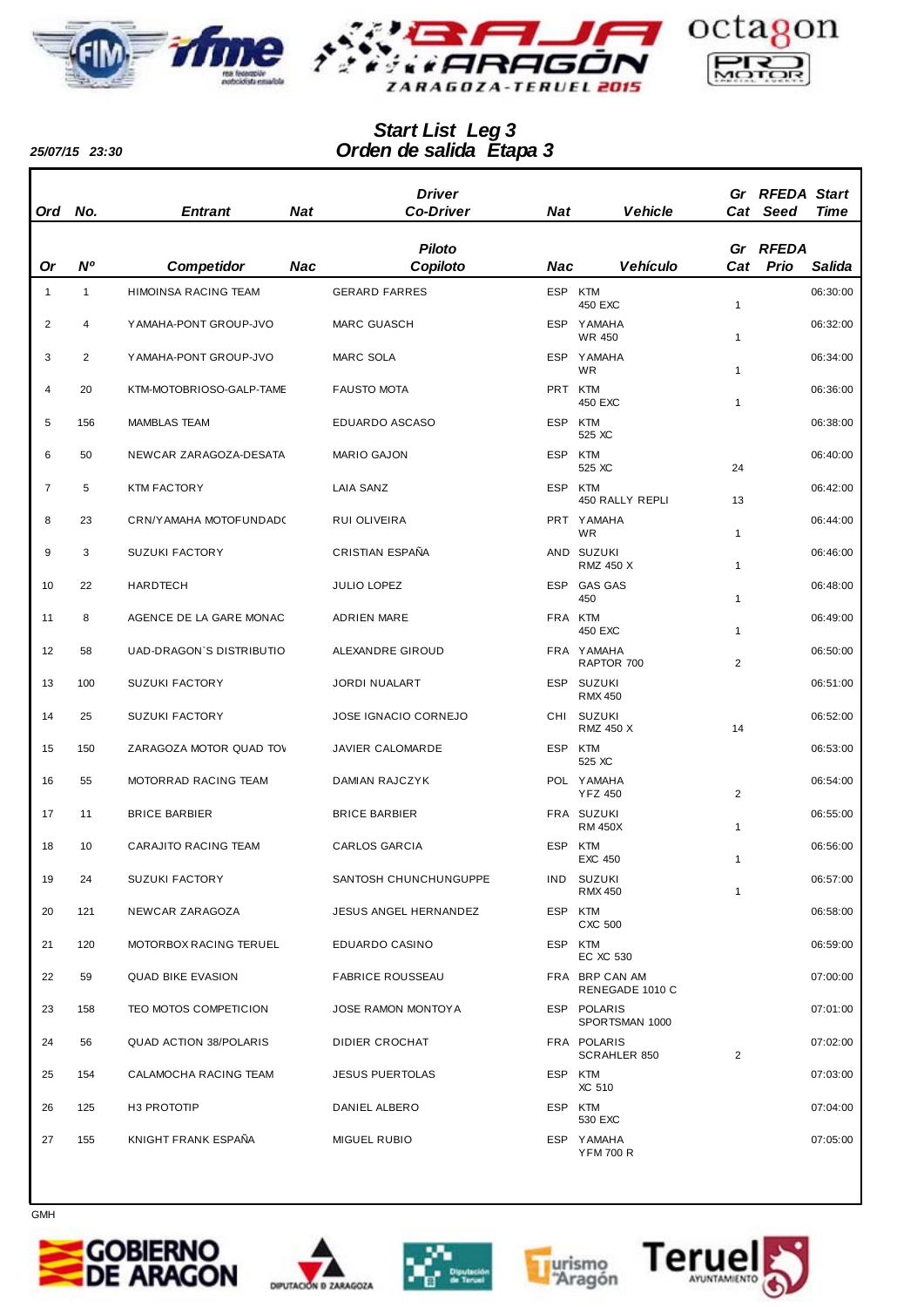



## *Orden de salida Etapa 3 Start List Leg 3*

*25/07/15 23:30*

| <b>Ord</b>     | No. | <b>Entrant</b>                | <b>Nat</b> | <b>Driver</b><br><b>Co-Driver</b> | <b>Nat</b> | <b>Vehicle</b>                     |              | <b>Gr RFEDA Start</b><br>Cat Seed | Time     |
|----------------|-----|-------------------------------|------------|-----------------------------------|------------|------------------------------------|--------------|-----------------------------------|----------|
|                |     |                               |            |                                   |            |                                    |              |                                   |          |
|                |     |                               |            | <b>Piloto</b>                     |            |                                    |              | Gr RFEDA                          |          |
| Or             | N°  | <b>Competidor</b>             | Nac        | Copiloto                          | Nac        | Vehículo                           | Cat          | <b>Prio</b>                       | Salida   |
| $\mathbf{1}$   | 1   | HIMOINSA RACING TEAM          |            | <b>GERARD FARRES</b>              | ESP KTM    | 450 EXC                            | 1            |                                   | 06:30:00 |
| 2              | 4   | YAMAHA-PONT GROUP-JVO         |            | <b>MARC GUASCH</b>                | ESP        | YAMAHA<br><b>WR 450</b>            | 1            |                                   | 06:32:00 |
| 3              | 2   | YAMAHA-PONT GROUP-JVO         |            | MARC SOLA                         |            | ESP YAMAHA<br>WR.                  | 1            |                                   | 06:34:00 |
| $\overline{4}$ | 20  | KTM-MOTOBRIOSO-GALP-TAME      |            | <b>FAUSTO MOTA</b>                | PRT KTM    | 450 EXC                            | 1            |                                   | 06:36:00 |
| 5              | 156 | <b>MAMBLAS TEAM</b>           |            | EDUARDO ASCASO                    | <b>ESP</b> | KTM<br>525 XC                      |              |                                   | 06:38:00 |
| 6              | 50  | NEWCAR ZARAGOZA-DESATA        |            | <b>MARIO GAJON</b>                | <b>ESP</b> | KTM<br>525 XC                      | 24           |                                   | 06:40:00 |
| $\overline{7}$ | 5   | <b>KTM FACTORY</b>            |            | <b>LAIA SANZ</b>                  | ESP        | KTM                                |              |                                   | 06:42:00 |
| 8              | 23  | CRN/YAMAHA MOTOFUNDAD(        |            | RUI OLIVEIRA                      |            | 450 RALLY REPLI<br>PRT YAMAHA      | 13           |                                   | 06:44:00 |
| 9              | 3   | <b>SUZUKI FACTORY</b>         |            | CRISTIAN ESPAÑA                   |            | <b>WR</b><br>AND SUZUKI            | $\mathbf{1}$ |                                   | 06:46:00 |
|                |     |                               |            |                                   |            | RMZ 450 X                          | 1            |                                   |          |
| 10             | 22  | <b>HARDTECH</b>               |            | JULIO LOPEZ                       | <b>ESP</b> | <b>GAS GAS</b><br>450              | 1            |                                   | 06:48:00 |
| 11             | 8   | AGENCE DE LA GARE MONAC       |            | <b>ADRIEN MARE</b>                | FRA KTM    | 450 EXC                            | 1            |                                   | 06:49:00 |
| 12             | 58  | UAD-DRAGON'S DISTRIBUTIO      |            | ALEXANDRE GIROUD                  |            | FRA YAMAHA<br>RAPTOR 700           | 2            |                                   | 06:50:00 |
| 13             | 100 | <b>SUZUKI FACTORY</b>         |            | <b>JORDI NUALART</b>              |            | ESP SUZUKI<br><b>RMX 450</b>       |              |                                   | 06:51:00 |
| 14             | 25  | <b>SUZUKI FACTORY</b>         |            | JOSE IGNACIO CORNEJO              | CHI        | SUZUKI<br><b>RMZ 450 X</b>         | 14           |                                   | 06:52:00 |
| 15             | 150 | ZARAGOZA MOTOR QUAD TOV       |            | JAVIER CALOMARDE                  | <b>ESP</b> | KTM<br>525 XC                      |              |                                   | 06:53:00 |
| 16             | 55  | MOTORRAD RACING TEAM          |            | DAMIAN RAJCZYK                    |            | POL YAMAHA<br><b>YFZ 450</b>       | 2            |                                   | 06:54:00 |
| 17             | 11  | <b>BRICE BARBIER</b>          |            | <b>BRICE BARBIER</b>              |            | FRA SUZUKI<br><b>RM 450X</b>       | 1            |                                   | 06:55:00 |
| 18             | 10  | CARAJITO RACING TEAM          |            | <b>CARLOS GARCIA</b>              | <b>ESP</b> | KTM<br>EXC 450                     | 1            |                                   | 06:56:00 |
| 19             | 24  | <b>SUZUKI FACTORY</b>         |            | SANTOSH CHUNCHUNGUPPE             | IND        | SUZUKI<br><b>RMX 450</b>           | 1            |                                   | 06:57:00 |
| 20             | 121 | NEWCAR ZARAGOZA               |            | JESUS ANGEL HERNANDEZ             | <b>ESP</b> | KTM<br>CXC 500                     |              |                                   | 06:58:00 |
| 21             | 120 | MOTORBOX RACING TERUEL        |            | EDUARDO CASINO                    | ESP KTM    | EC XC 530                          |              |                                   | 06:59:00 |
| 22             | 59  | <b>QUAD BIKE EVASION</b>      |            | <b>FABRICE ROUSSEAU</b>           |            | FRA BRP CAN AM<br>RENEGADE 1010 C  |              |                                   | 07:00:00 |
| 23             | 158 | TEO MOTOS COMPETICION         |            | JOSE RAMON MONTOY A               |            | ESP POLARIS<br>SPORTSMAN 1000      |              |                                   | 07:01:00 |
| 24             | 56  | <b>QUAD ACTION 38/POLARIS</b> |            | DIDIER CROCHAT                    |            | FRA POLARIS<br><b>SCRAHLER 850</b> | 2            |                                   | 07:02:00 |
| 25             | 154 | CALAMOCHA RACING TEAM         |            | <b>JESUS PUERTOLAS</b>            | ESP KTM    | XC 510                             |              |                                   | 07:03:00 |
| 26             | 125 | H <sub>3</sub> PROTOTIP       |            | DANIEL ALBERO                     | <b>ESP</b> | KTM<br>530 EXC                     |              |                                   | 07:04:00 |
| 27             | 155 | KNIGHT FRANK ESPAÑA           |            | <b>MIGUEL RUBIO</b>               |            | ESP YAMAHA<br><b>YFM 700 R</b>     |              |                                   | 07:05:00 |











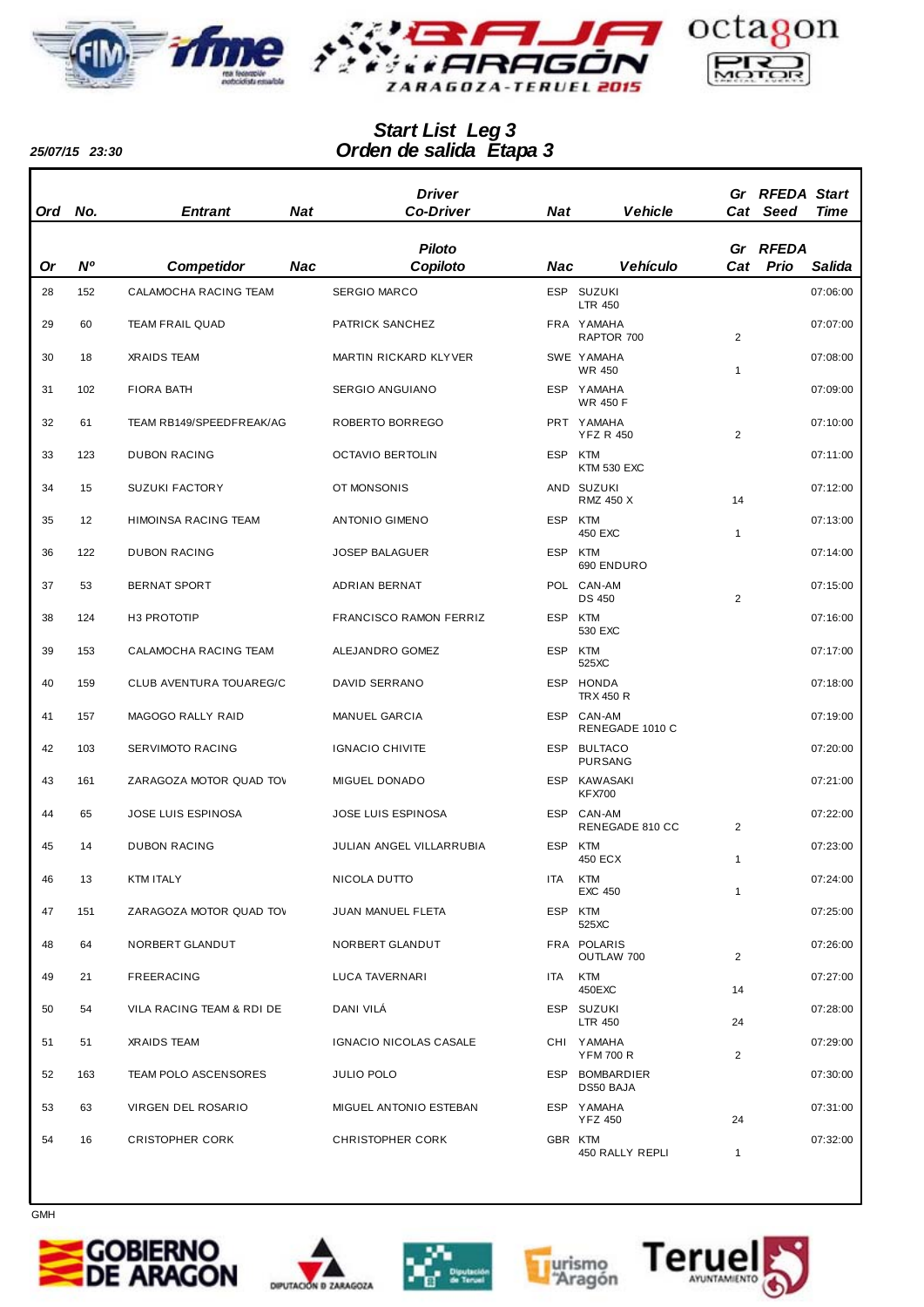



## *Orden de salida Etapa 3 Start List Leg 3*

*25/07/15 23:30*

| <b>Ord</b> | No.            | <b>Entrant</b>            | <b>Nat</b> | <b>Driver</b><br><b>Co-Driver</b> | Nat        | Vehicle                          |                | Gr RFEDA Start<br>Cat Seed | Time     |
|------------|----------------|---------------------------|------------|-----------------------------------|------------|----------------------------------|----------------|----------------------------|----------|
| Or         | N <sup>o</sup> | <b>Competidor</b>         | Nac        | <b>Piloto</b><br>Copiloto         | Nac        | <b>Vehículo</b>                  | Cat            | Gr RFEDA<br>Prio           | Salida   |
| 28         | 152            | CALAMOCHA RACING TEAM     |            | <b>SERGIO MARCO</b>               |            | ESP SUZUKI                       |                |                            | 07:06:00 |
|            |                |                           |            |                                   |            | <b>LTR 450</b>                   |                |                            |          |
| 29         | 60             | <b>TEAM FRAIL QUAD</b>    |            | PATRICK SANCHEZ                   |            | FRA YAMAHA<br>RAPTOR 700         | 2              |                            | 07:07:00 |
| 30         | 18             | <b>XRAIDS TEAM</b>        |            | MARTIN RICKARD KLYVER             |            | SWE YAMAHA<br><b>WR 450</b>      | $\mathbf{1}$   |                            | 07:08:00 |
| 31         | 102            | <b>FIORA BATH</b>         |            | SERGIO ANGUIANO                   |            | ESP YAMAHA<br><b>WR 450 F</b>    |                |                            | 07:09:00 |
| 32         | 61             | TEAM RB149/SPEEDFREAK/AG  |            | ROBERTO BORREGO                   |            | PRT YAMAHA<br><b>YFZ R 450</b>   | 2              |                            | 07:10:00 |
| 33         | 123            | <b>DUBON RACING</b>       |            | <b>OCTAVIO BERTOLIN</b>           | <b>ESP</b> | KTM<br><b>KTM 530 EXC</b>        |                |                            | 07:11:00 |
| 34         | 15             | <b>SUZUKI FACTORY</b>     |            | OT MONSONIS                       |            | AND SUZUKI<br><b>RMZ 450 X</b>   | 14             |                            | 07:12:00 |
| 35         | 12             | HIMOINSA RACING TEAM      |            | ANTONIO GIMENO                    | <b>ESP</b> | KTM<br>450 EXC                   | $\mathbf{1}$   |                            | 07:13:00 |
| 36         | 122            | <b>DUBON RACING</b>       |            | <b>JOSEP BALAGUER</b>             | <b>ESP</b> | KTM<br>690 ENDURO                |                |                            | 07:14:00 |
| 37         | 53             | <b>BERNAT SPORT</b>       |            | ADRIAN BERNAT                     |            | POL CAN-AM<br><b>DS 450</b>      | 2              |                            | 07:15:00 |
| 38         | 124            | H <sub>3</sub> PROTOTIP   |            | FRANCISCO RAMON FERRIZ            | ESP        | <b>KTM</b><br>530 EXC            |                |                            | 07:16:00 |
| 39         | 153            | CALAMOCHA RACING TEAM     |            | ALEJANDRO GOMEZ                   | <b>ESP</b> | KTM<br>525XC                     |                |                            | 07:17:00 |
| 40         | 159            | CLUB AVENTURA TOUAREG/C   |            | DAVID SERRANO                     | ESP        | HONDA<br><b>TRX 450 R</b>        |                |                            | 07:18:00 |
| 41         | 157            | MAGOGO RALLY RAID         |            | MANUEL GARCIA                     |            | ESP CAN-AM<br>RENEGADE 1010 C    |                |                            | 07:19:00 |
| 42         | 103            | SERVIMOTO RACING          |            | <b>IGNACIO CHIVITE</b>            | <b>ESP</b> | <b>BULTACO</b><br><b>PURSANG</b> |                |                            | 07:20:00 |
| 43         | 161            | ZARAGOZA MOTOR QUAD TOV   |            | MIGUEL DONADO                     | <b>ESP</b> | KAWASAKI<br><b>KFX700</b>        |                |                            | 07:21:00 |
| 44         | 65             | JOSE LUIS ESPINOSA        |            | JOSE LUIS ESPINOSA                | <b>ESP</b> | CAN-AM<br>RENEGADE 810 CC        | 2              |                            | 07:22:00 |
| 45         | 14             | <b>DUBON RACING</b>       |            | JULIAN ANGEL VILLARRUBIA          | ESP        | KTM<br>450 ECX                   | 1              |                            | 07:23:00 |
| 46         | 13             | KTM ITALY                 |            | NICOLA DUTTO                      |            | ITA KTM<br><b>EXC 450</b>        | $\mathbf{1}$   |                            | 07:24:00 |
| 47         | 151            | ZARAGOZA MOTOR QUAD TOV   |            | JUAN MANUEL FLETA                 |            | ESP KTM<br>525XC                 |                |                            | 07:25:00 |
| 48         | 64             | NORBERT GLANDUT           |            | NORBERT GLANDUT                   |            | FRA POLARIS<br>OUTLAW 700        | $\overline{2}$ |                            | 07:26:00 |
| 49         | 21             | FREERACING                |            | LUCA TAVERNARI                    |            | ITA KTM<br>450EXC                | 14             |                            | 07:27:00 |
| 50         | 54             | VILA RACING TEAM & RDI DE |            | DANI VILÁ                         |            | ESP SUZUKI<br>LTR 450            | 24             |                            | 07:28:00 |
| 51         | 51             | XRAIDS TEAM               |            | IGNACIO NICOLAS CASALE            |            | CHI YAMAHA<br><b>YFM 700 R</b>   | $\overline{2}$ |                            | 07:29:00 |
| 52         | 163            | TEAM POLO ASCENSORES      |            | JULIO POLO                        |            | ESP BOMBARDIER<br>DS50 BAJA      |                |                            | 07:30:00 |
| 53         | 63             | VIRGEN DEL ROSARIO        |            | MIGUEL ANTONIO ESTEBAN            |            | ESP YAMAHA<br><b>YFZ 450</b>     | 24             |                            | 07:31:00 |
| 54         | 16             | <b>CRISTOPHER CORK</b>    |            | <b>CHRISTOPHER CORK</b>           |            | GBR KTM<br>450 RALLY REPLI       | $\mathbf{1}$   |                            | 07:32:00 |











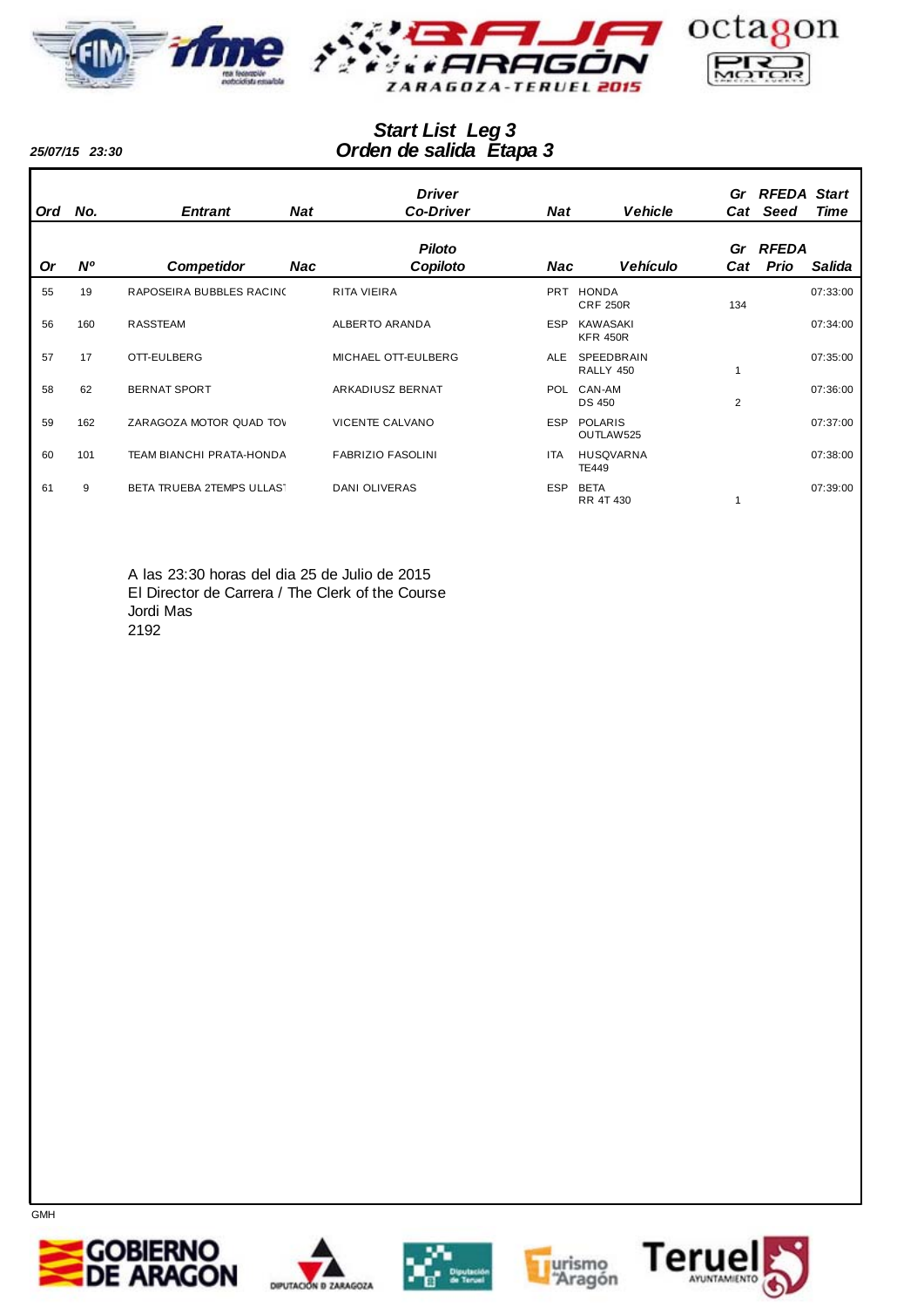



## *Orden de salida Etapa 3 Start List Leg 3*

*25/07/15 23:30*

| <b>Ord</b> | No.         | <b>Entrant</b>            | Nat | <b>Driver</b><br><b>Co-Driver</b> | <b>Nat</b> | <b>Vehicle</b>                     | Cat       | Gr RFEDA Start<br>Seed | Time     |
|------------|-------------|---------------------------|-----|-----------------------------------|------------|------------------------------------|-----------|------------------------|----------|
| <b>Or</b>  | $N^{\circ}$ | <b>Competidor</b>         | Nac | <b>Piloto</b><br>Copiloto         | Nac        | <b>Vehículo</b>                    | Gr<br>Cat | RFEDA<br>Prio          | Salida   |
| 55         | 19          | RAPOSEIRA BUBBLES RACINO  |     | <b>RITA VIEIRA</b>                | <b>PRT</b> | <b>HONDA</b><br><b>CRF 250R</b>    | 134       |                        | 07:33:00 |
| 56         | 160         | <b>RASSTEAM</b>           |     | <b>ALBERTO ARANDA</b>             | <b>ESP</b> | <b>KAWASAKI</b><br><b>KFR 450R</b> |           |                        | 07:34:00 |
| 57         | 17          | OTT-EULBERG               |     | MICHAEL OTT-EULBERG               | ALE        | SPEEDBRAIN<br>RALLY 450            |           |                        | 07:35:00 |
| 58         | 62          | <b>BERNAT SPORT</b>       |     | ARKADIUSZ BERNAT                  | <b>POL</b> | CAN-AM<br><b>DS 450</b>            | 2         |                        | 07:36:00 |
| 59         | 162         | ZARAGOZA MOTOR QUAD TOV   |     | <b>VICENTE CALVANO</b>            | <b>ESP</b> | <b>POLARIS</b><br>OUTLAW525        |           |                        | 07:37:00 |
| 60         | 101         | TEAM BIANCHI PRATA-HONDA  |     | <b>FABRIZIO FASOLINI</b>          | <b>ITA</b> | <b>HUSQVARNA</b><br><b>TE449</b>   |           |                        | 07:38:00 |
| 61         | 9           | BETA TRUEBA 2TEMPS ULLAST |     | <b>DANI OLIVERAS</b>              | <b>ESP</b> | <b>BETA</b><br>RR 4T 430           |           |                        | 07:39:00 |

A las 23:30 horas del dia 25 de Julio de 2015 El Director de Carrera / The Clerk of the Course Jordi Mas 2192









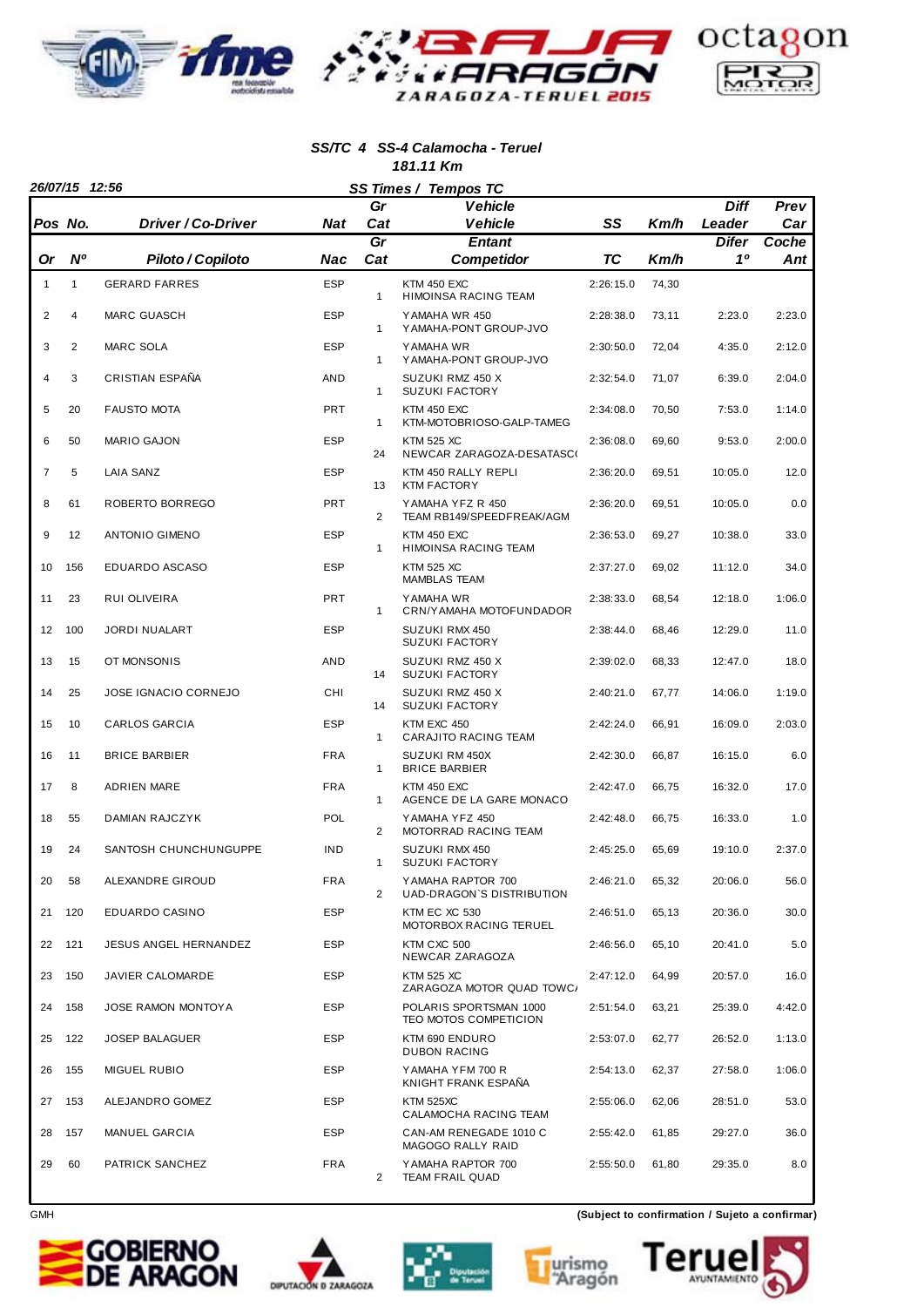

#### *SS/TC 4 SS-4 Calamocha - Teruel 181.11 Km*

|                | 26/07/15 12:56 |                       |            |                 | SS Times / Tempos TC                            |           |       |                       |             |
|----------------|----------------|-----------------------|------------|-----------------|-------------------------------------------------|-----------|-------|-----------------------|-------------|
|                | Pos No.        | Driver / Co-Driver    | <b>Nat</b> | Gr<br>Cat       | <b>Vehicle</b><br><b>Vehicle</b>                | SS        | Km/h  | <b>Diff</b><br>Leader | Prev<br>Car |
|                |                |                       |            | $\overline{Gr}$ | <b>Entant</b>                                   |           |       | <b>Difer</b>          | Coche       |
| Or             | $N^{\circ}$    | Piloto / Copiloto     | Nac        | Cat             | Competidor                                      | TC        | Km/h  | 10                    | Ant         |
| $\mathbf{1}$   | $\mathbf{1}$   | <b>GERARD FARRES</b>  | <b>ESP</b> | $\mathbf{1}$    | KTM 450 EXC<br><b>HIMOINSA RACING TEAM</b>      | 2:26:15.0 | 74,30 |                       |             |
| 2              | $\overline{4}$ | <b>MARC GUASCH</b>    | <b>ESP</b> | $\mathbf{1}$    | YAMAHA WR 450<br>YAMAHA-PONT GROUP-JVO          | 2:28:38.0 | 73,11 | 2:23.0                | 2:23.0      |
| 3              | 2              | <b>MARC SOLA</b>      | <b>ESP</b> | $\mathbf{1}$    | YAMAHA WR<br>YAMAHA-PONT GROUP-JVO              | 2:30:50.0 | 72,04 | 4:35.0                | 2:12.0      |
| $\overline{4}$ | 3              | CRISTIAN ESPAÑA       | <b>AND</b> | $\mathbf{1}$    | SUZUKI RMZ 450 X<br><b>SUZUKI FACTORY</b>       | 2:32:54.0 | 71,07 | 6:39.0                | 2:04.0      |
| 5              | 20             | <b>FAUSTO MOTA</b>    | <b>PRT</b> | $\mathbf{1}$    | <b>KTM 450 EXC</b><br>KTM-MOTOBRIOSO-GALP-TAMEG | 2:34:08.0 | 70,50 | 7:53.0                | 1:14.0      |
| 6              | 50             | <b>MARIO GAJON</b>    | <b>ESP</b> | 24              | <b>KTM 525 XC</b><br>NEWCAR ZARAGOZA-DESATASCO  | 2:36:08.0 | 69,60 | 9:53.0                | 2:00.0      |
| $\overline{7}$ | 5              | <b>LAIA SANZ</b>      | <b>ESP</b> | 13              | KTM 450 RALLY REPLI<br><b>KTM FACTORY</b>       | 2:36:20.0 | 69,51 | 10:05.0               | 12.0        |
| 8              | 61             | ROBERTO BORREGO       | PRT        | 2               | YAMAHA YFZ R 450<br>TEAM RB149/SPEEDFREAK/AGM   | 2:36:20.0 | 69,51 | 10:05.0               | 0.0         |
| 9              | 12             | <b>ANTONIO GIMENO</b> | <b>ESP</b> | $\mathbf{1}$    | KTM 450 EXC<br>HIMOINSA RACING TEAM             | 2:36:53.0 | 69,27 | 10:38.0               | 33.0        |
| 10             | 156            | EDUARDO ASCASO        | <b>ESP</b> |                 | <b>KTM 525 XC</b><br><b>MAMBLAS TEAM</b>        | 2:37:27.0 | 69,02 | 11:12.0               | 34.0        |
| 11             | 23             | RUI OLIVEIRA          | PRT        | 1               | YAMAHA WR<br>CRN/YAMAHA MOTOFUNDADOR            | 2:38:33.0 | 68,54 | 12:18.0               | 1:06.0      |
| 12             | 100            | <b>JORDI NUALART</b>  | <b>ESP</b> |                 | SUZUKI RMX 450<br><b>SUZUKI FACTORY</b>         | 2:38:44.0 | 68,46 | 12:29.0               | 11.0        |
| 13             | 15             | OT MONSONIS           | <b>AND</b> | 14              | SUZUKI RMZ 450 X<br><b>SUZUKI FACTORY</b>       | 2:39:02.0 | 68,33 | 12:47.0               | 18.0        |
| 14             | 25             | JOSE IGNACIO CORNEJO  | CHI        | 14              | SUZUKI RMZ 450 X<br><b>SUZUKI FACTORY</b>       | 2:40:21.0 | 67,77 | 14:06.0               | 1:19.0      |
| 15             | 10             | CARLOS GARCIA         | <b>ESP</b> | $\mathbf{1}$    | KTM EXC 450<br>CARAJITO RACING TEAM             | 2:42:24.0 | 66,91 | 16:09.0               | 2:03.0      |
| 16             | 11             | <b>BRICE BARBIER</b>  | <b>FRA</b> | $\mathbf{1}$    | SUZUKI RM 450X<br><b>BRICE BARBIER</b>          | 2:42:30.0 | 66,87 | 16:15.0               | 6.0         |
| 17             | 8              | ADRIEN MARE           | <b>FRA</b> | $\mathbf{1}$    | <b>KTM 450 EXC</b><br>AGENCE DE LA GARE MONACO  | 2:42:47.0 | 66,75 | 16:32.0               | 17.0        |
| 18             | 55             | DAMIAN RAJCZYK        | <b>POL</b> | 2               | YAMAHA YFZ 450<br>MOTORRAD RACING TEAM          | 2:42:48.0 | 66,75 | 16:33.0               | 1.0         |
| 19             | 24             | SANTOSH CHUNCHUNGUPPE | <b>IND</b> | $\mathbf{1}$    | SUZUKI RMX 450<br><b>SUZUKI FACTORY</b>         | 2:45:25.0 | 65,69 | 19:10.0               | 2:37.0      |
| 20             | 58             | ALEXANDRE GIROUD      | FRA        | $\overline{2}$  | YAMAHA RAPTOR 700<br>UAD-DRAGON'S DISTRIBUTION  | 2:46:21.0 | 65,32 | 20:06.0               | 56.0        |
| 21             | 120            | EDUARDO CASINO        | <b>ESP</b> |                 | KTM EC XC 530<br>MOTORBOX RACING TERUEL         | 2:46:51.0 | 65,13 | 20:36.0               | 30.0        |
| 22             | 121            | JESUS ANGEL HERNANDEZ | ESP        |                 | KTM CXC 500<br>NEWCAR ZARAGOZA                  | 2:46:56.0 | 65,10 | 20:41.0               | 5.0         |
| 23             | 150            | JAVIER CALOMARDE      | <b>ESP</b> |                 | <b>KTM 525 XC</b><br>ZARAGOZA MOTOR QUAD TOWC/  | 2:47:12.0 | 64,99 | 20:57.0               | 16.0        |
| 24             | 158            | JOSE RAMON MONTOYA    | ESP        |                 | POLARIS SPORTSMAN 1000<br>TEO MOTOS COMPETICION | 2:51:54.0 | 63,21 | 25:39.0               | 4:42.0      |
| 25             | 122            | <b>JOSEP BALAGUER</b> | <b>ESP</b> |                 | KTM 690 ENDURO<br><b>DUBON RACING</b>           | 2:53:07.0 | 62,77 | 26:52.0               | 1:13.0      |
| 26             | 155            | MIGUEL RUBIO          | <b>ESP</b> |                 | YAMAHA YFM 700 R<br>KNIGHT FRANK ESPAÑA         | 2:54:13.0 | 62,37 | 27:58.0               | 1:06.0      |
| 27             | 153            | ALEJANDRO GOMEZ       | <b>ESP</b> |                 | <b>KTM 525XC</b><br>CALAMOCHA RACING TEAM       | 2:55:06.0 | 62,06 | 28:51.0               | 53.0        |
| 28             | 157            | MANUEL GARCIA         | <b>ESP</b> |                 | CAN-AM RENEGADE 1010 C<br>MAGOGO RALLY RAID     | 2:55:42.0 | 61,85 | 29:27.0               | 36.0        |
| 29             | 60             | PATRICK SANCHEZ       | <b>FRA</b> | $\overline{2}$  | YAMAHA RAPTOR 700<br><b>TEAM FRAIL QUAD</b>     | 2:55:50.0 | 61,80 | 29:35.0               | 8.0         |









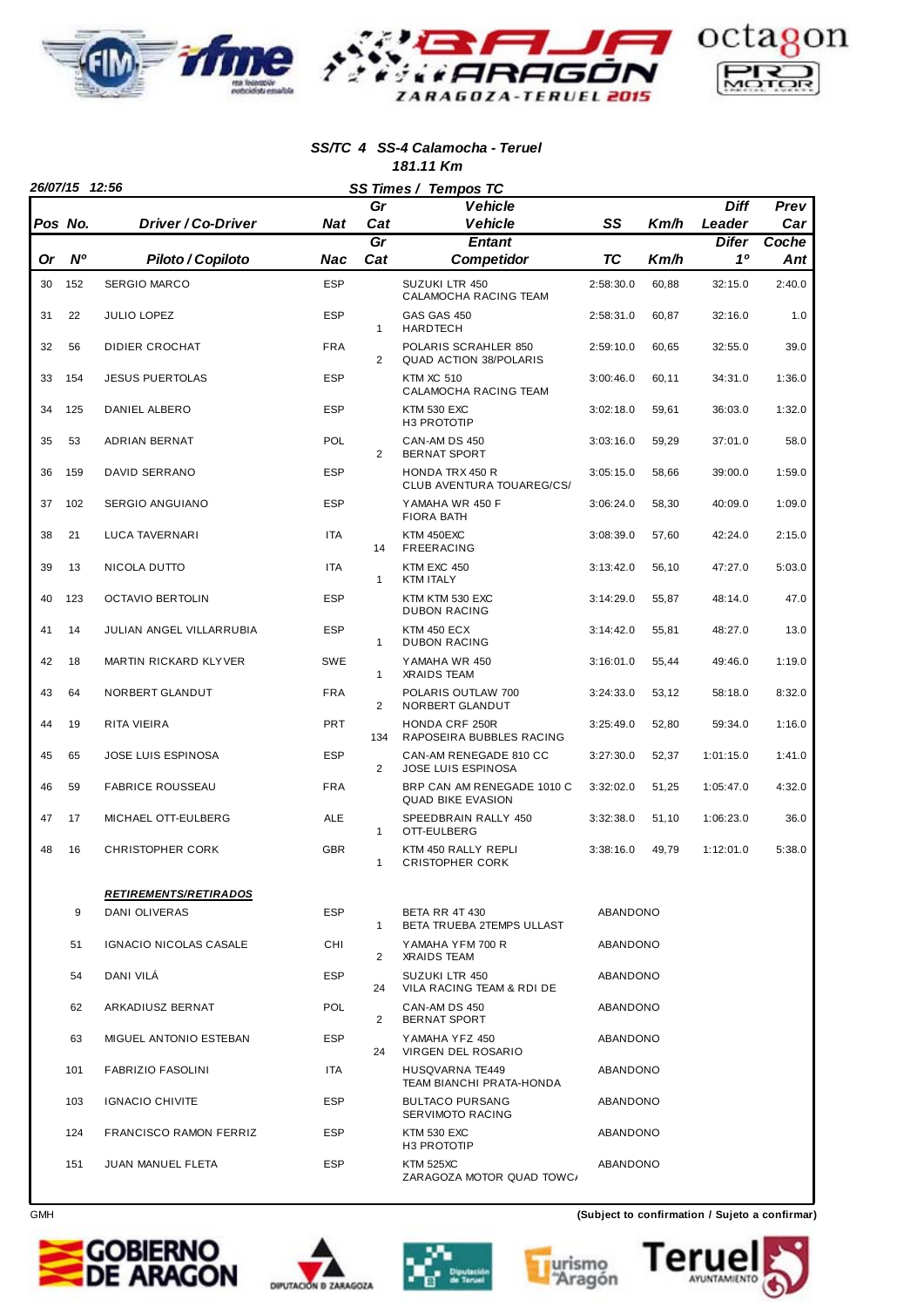

#### *SS/TC 4 SS-4 Calamocha - Teruel 181.11 Km*

|    | 26/07/15 12:56 |                               |            |                        | SS Times / Tempos TC                                   |           |       |             |              |
|----|----------------|-------------------------------|------------|------------------------|--------------------------------------------------------|-----------|-------|-------------|--------------|
|    |                |                               |            | Gr                     | <b>Vehicle</b>                                         |           |       | <b>Diff</b> | Prev         |
|    | Pos No.        | Driver / Co-Driver            | Nat        | Cat                    | <b>Vehicle</b>                                         | SS        | Km/h  | Leader      | Car          |
| Or | <b>N°</b>      | Piloto / Copiloto             | Nac        | $\overline{Gr}$<br>Cat | <b>Entant</b><br><b>Competidor</b>                     | ТC        | Km/h  | Difer<br>10 | Coche<br>Ant |
| 30 | 152            | <b>SERGIO MARCO</b>           | <b>ESP</b> |                        | SUZUKI LTR 450                                         | 2:58:30.0 | 60,88 | 32:15.0     | 2:40.0       |
|    |                |                               |            |                        | CALAMOCHA RACING TEAM                                  |           |       |             |              |
| 31 | 22             | <b>JULIO LOPEZ</b>            | <b>ESP</b> | $\mathbf{1}$           | GAS GAS 450<br><b>HARDTECH</b>                         | 2:58:31.0 | 60,87 | 32:16.0     | 1.0          |
| 32 | 56             | DIDIER CROCHAT                | <b>FRA</b> | $\overline{2}$         | POLARIS SCRAHLER 850<br><b>QUAD ACTION 38/POLARIS</b>  | 2:59:10.0 | 60,65 | 32:55.0     | 39.0         |
| 33 | 154            | <b>JESUS PUERTOLAS</b>        | <b>ESP</b> |                        | <b>KTM XC 510</b><br>CALAMOCHA RACING TEAM             | 3:00:46.0 | 60,11 | 34:31.0     | 1:36.0       |
| 34 | 125            | DANIEL ALBERO                 | <b>ESP</b> |                        | <b>KTM 530 EXC</b><br>H3 PROTOTIP                      | 3:02:18.0 | 59,61 | 36:03.0     | 1:32.0       |
| 35 | 53             | ADRIAN BERNAT                 | POL        | $\overline{2}$         | CAN-AM DS 450<br><b>BERNAT SPORT</b>                   | 3:03:16.0 | 59,29 | 37:01.0     | 58.0         |
| 36 | 159            | DAVID SERRANO                 | <b>ESP</b> |                        | <b>HONDA TRX 450 R</b><br>CLUB AVENTURA TOUAREG/CS/    | 3:05:15.0 | 58,66 | 39:00.0     | 1:59.0       |
| 37 | 102            | <b>SERGIO ANGUIANO</b>        | <b>ESP</b> |                        | YAMAHA WR 450 F<br><b>FIORA BATH</b>                   | 3:06:24.0 | 58,30 | 40:09.0     | 1:09.0       |
| 38 | 21             | LUCA TAVERNARI                | <b>ITA</b> | 14                     | KTM 450EXC<br><b>FREERACING</b>                        | 3:08:39.0 | 57,60 | 42:24.0     | 2:15.0       |
| 39 | 13             | NICOLA DUTTO                  | <b>ITA</b> | $\mathbf{1}$           | KTM EXC 450<br><b>KTM ITALY</b>                        | 3:13:42.0 | 56,10 | 47:27.0     | 5:03.0       |
| 40 | 123            | <b>OCTAVIO BERTOLIN</b>       | <b>ESP</b> |                        | KTM KTM 530 EXC<br><b>DUBON RACING</b>                 | 3:14:29.0 | 55,87 | 48:14.0     | 47.0         |
| 41 | 14             | JULIAN ANGEL VILLARRUBIA      | <b>ESP</b> | $\mathbf{1}$           | <b>KTM 450 ECX</b><br><b>DUBON RACING</b>              | 3:14:42.0 | 55,81 | 48:27.0     | 13.0         |
| 42 | 18             | MARTIN RICKARD KLYVER         | <b>SWE</b> | $\mathbf{1}$           | YAMAHA WR 450<br><b>XRAIDS TEAM</b>                    | 3:16:01.0 | 55,44 | 49:46.0     | 1:19.0       |
| 43 | 64             | NORBERT GLANDUT               | <b>FRA</b> | 2                      | POLARIS OUTLAW 700<br>NORBERT GLANDUT                  | 3:24:33.0 | 53,12 | 58:18.0     | 8:32.0       |
| 44 | 19             | RITA VIEIRA                   | <b>PRT</b> | 134                    | <b>HONDA CRF 250R</b><br>RAPOSEIRA BUBBLES RACING      | 3:25:49.0 | 52,80 | 59:34.0     | 1:16.0       |
| 45 | 65             | JOSE LUIS ESPINOSA            | <b>ESP</b> | $\overline{2}$         | CAN-AM RENEGADE 810 CC<br><b>JOSE LUIS ESPINOSA</b>    | 3:27:30.0 | 52,37 | 1:01:15.0   | 1:41.0       |
| 46 | 59             | <b>FABRICE ROUSSEAU</b>       | <b>FRA</b> |                        | BRP CAN AM RENEGADE 1010 C<br><b>QUAD BIKE EVASION</b> | 3:32:02.0 | 51,25 | 1:05:47.0   | 4:32.0       |
| 47 | 17             | MICHAEL OTT-EULBERG           | <b>ALE</b> | $\mathbf{1}$           | SPEEDBRAIN RALLY 450<br>OTT-EULBERG                    | 3:32:38.0 | 51,10 | 1:06:23.0   | 36.0         |
| 48 | 16             | <b>CHRISTOPHER CORK</b>       | <b>GBR</b> | 1                      | KTM 450 RALLY REPLI<br><b>CRISTOPHER CORK</b>          | 3:38:16.0 | 49,79 | 1:12:01.0   | 5:38.0       |
|    |                | <b>RETIREMENTS/RETIRADOS</b>  |            |                        |                                                        |           |       |             |              |
|    | 9              | DANI OLIVERAS                 | <b>ESP</b> | $\mathbf{1}$           | <b>BETA RR 4T 430</b><br>BETA TRUEBA 2TEMPS ULLAST     | ABANDONO  |       |             |              |
|    | 51             | IGNACIO NICOLAS CASALE        | CHI        | 2                      | YAMAHA YFM 700 R<br><b>XRAIDS TEAM</b>                 | ABANDONO  |       |             |              |
|    | 54             | DANI VILA                     | <b>ESP</b> | 24                     | SUZUKI LTR 450<br>VILA RACING TEAM & RDI DE            | ABANDONO  |       |             |              |
|    | 62             | ARKADIUSZ BERNAT              | POL        | 2                      | CAN-AM DS 450<br><b>BERNAT SPORT</b>                   | ABANDONO  |       |             |              |
|    | 63             | MIGUEL ANTONIO ESTEBAN        | <b>ESP</b> | 24                     | YAMAHA YFZ 450<br>VIRGEN DEL ROSARIO                   | ABANDONO  |       |             |              |
|    | 101            | <b>FABRIZIO FASOLINI</b>      | ITA        |                        | HUSQVARNA TE449<br>TEAM BIANCHI PRATA-HONDA            | ABANDONO  |       |             |              |
|    | 103            | <b>IGNACIO CHIVITE</b>        | ESP        |                        | <b>BULTACO PURSANG</b><br>SERVIMOTO RACING             | ABANDONO  |       |             |              |
|    | 124            | <b>FRANCISCO RAMON FERRIZ</b> | <b>ESP</b> |                        | <b>KTM 530 EXC</b><br>H <sub>3</sub> PROTOTIP          | ABANDONO  |       |             |              |
|    | 151            | JUAN MANUEL FLETA             | ESP        |                        | <b>KTM 525XC</b><br>ZARAGOZA MOTOR QUAD TOWC/          | ABANDONO  |       |             |              |



 $\overline{\phantom{a}}$ 









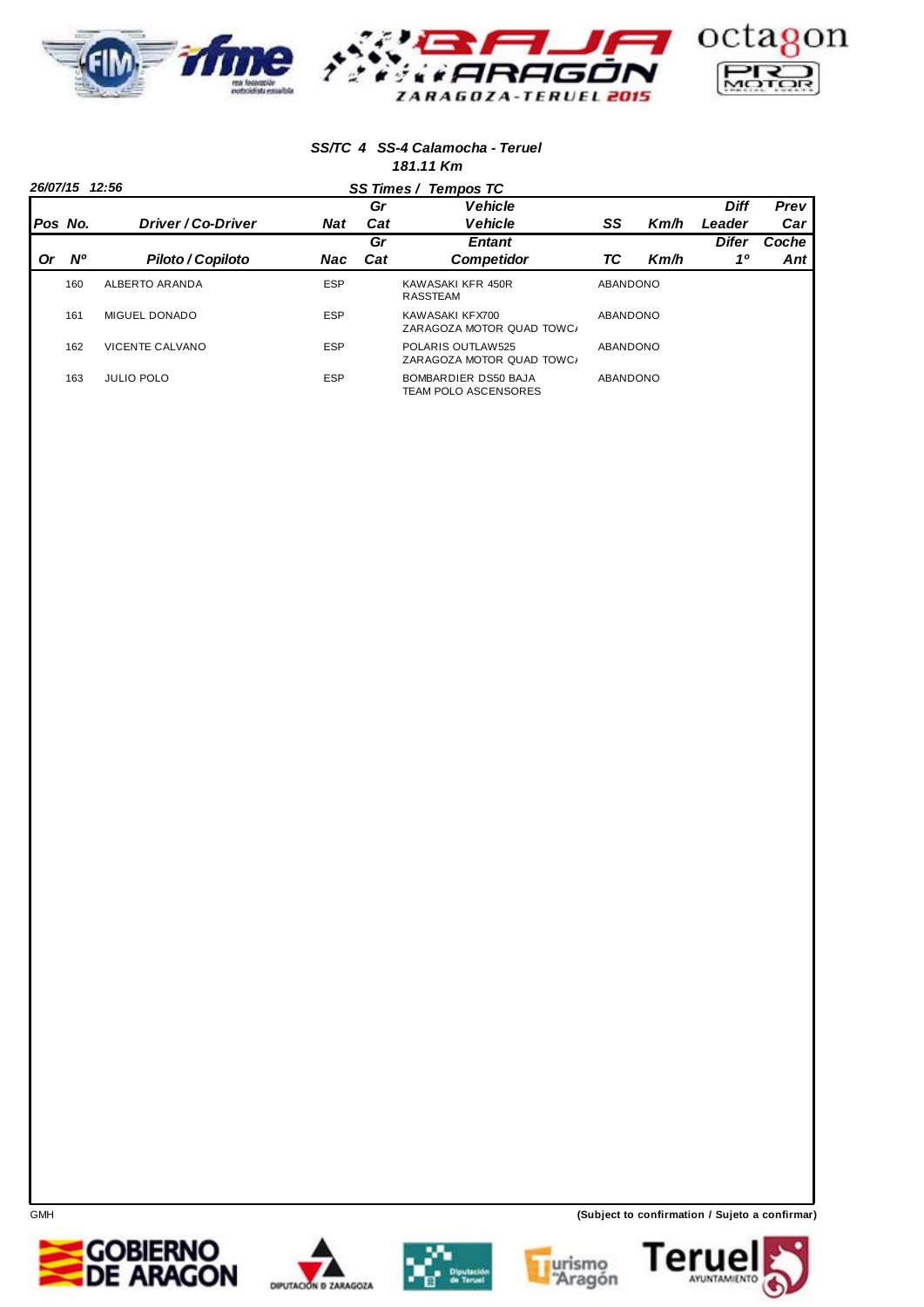

#### *SS/TC 4 SS-4 Calamocha - Teruel 181.11 Km*

|         | 26/07/15 12:56 |                        |            |     | SS Times / Tempos TC                                |          |      |              |       |
|---------|----------------|------------------------|------------|-----|-----------------------------------------------------|----------|------|--------------|-------|
|         |                |                        |            | Gr  | <b>Vehicle</b>                                      |          |      | <b>Diff</b>  | Prev  |
| Pos No. |                | Driver / Co-Driver     | <b>Nat</b> | Cat | <b>Vehicle</b>                                      | SS       | Km/h | Leader       | Car   |
|         |                |                        |            | Gr  | <b>Entant</b>                                       |          |      | <b>Difer</b> | Coche |
| 0r      | <b>N°</b>      | Piloto / Copiloto      | Nac        | Cat | <b>Competidor</b>                                   | ТC       | Km/h | 10           | Ant   |
|         | 160            | ALBERTO ARANDA         | <b>ESP</b> |     | KAWASAKI KFR 450R<br><b>RASSTEAM</b>                | ABANDONO |      |              |       |
|         | 161            | MIGUEL DONADO          | <b>ESP</b> |     | KAWASAKI KFX700<br>ZARAGOZA MOTOR QUAD TOWC/        | ABANDONO |      |              |       |
|         | 162            | <b>VICENTE CALVANO</b> | <b>ESP</b> |     | POLARIS OUTLAW525<br>ZARAGOZA MOTOR QUAD TOWC/      | ABANDONO |      |              |       |
|         | 163            | <b>JULIO POLO</b>      | <b>ESP</b> |     | BOMBARDIER DS50 BAJA<br><b>TEAM POLO ASCENSORES</b> | ABANDONO |      |              |       |









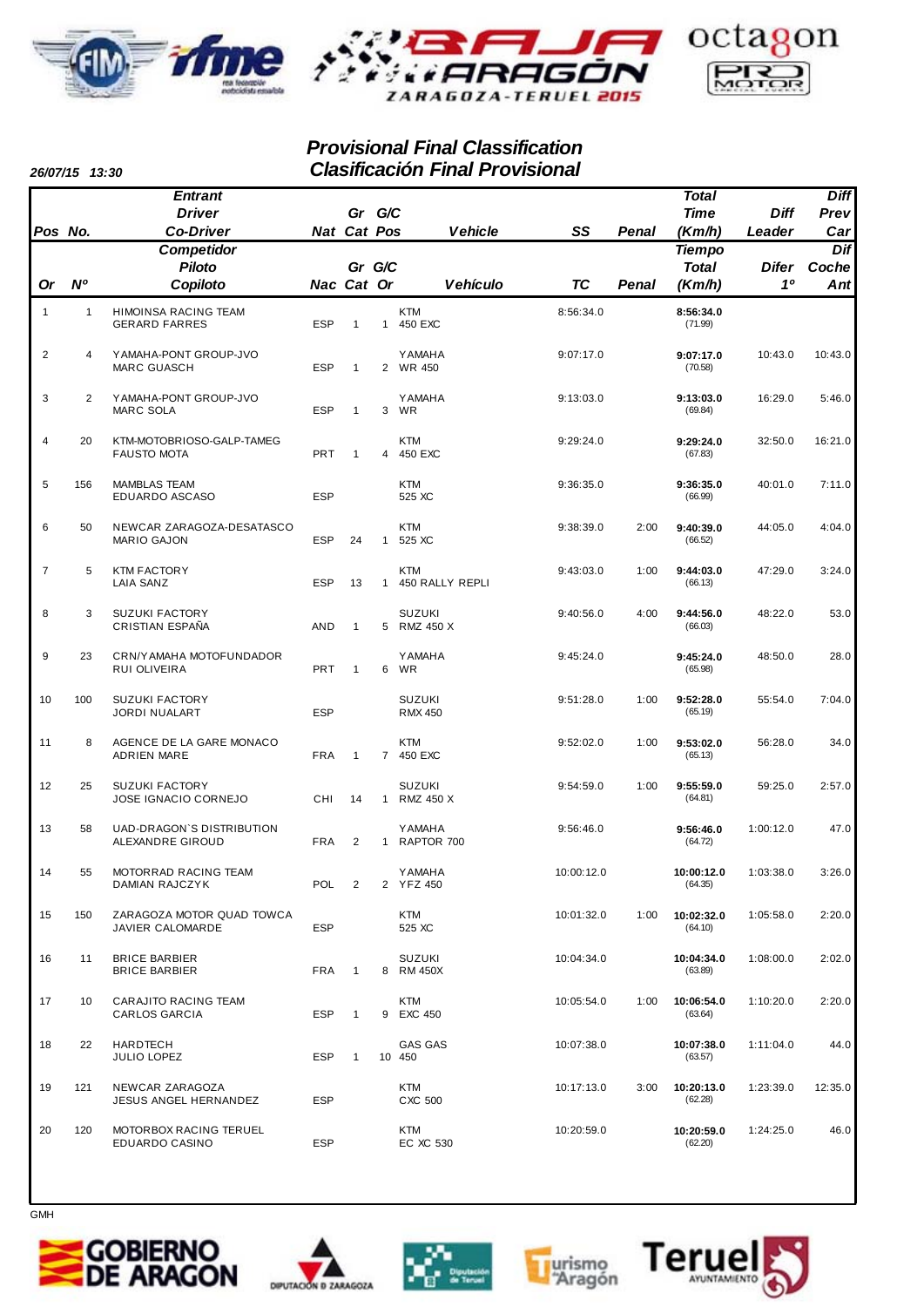



### *Provisional Final Classification Clasificación Final Provisional*

*26/07/15 13:30*

|                | 20/U7/15 1 <i>3:3</i> U |                                                 |             |                |                | Clashicación i mai Frovisiónal  |            |              |                       |             |             |
|----------------|-------------------------|-------------------------------------------------|-------------|----------------|----------------|---------------------------------|------------|--------------|-----------------------|-------------|-------------|
|                |                         | <b>Entrant</b>                                  |             |                |                |                                 |            |              | <b>Total</b>          |             | <b>Diff</b> |
|                |                         | <b>Driver</b>                                   |             | Gr G/C         |                |                                 |            |              | <b>Time</b>           | <b>Diff</b> | Prev        |
| Pos No.        |                         | <b>Co-Driver</b>                                | Nat Cat Pos |                |                | <b>Vehicle</b>                  | SS         | <b>Penal</b> | (Km/h)                | Leader      | Car         |
|                |                         | <b>Competidor</b>                               |             |                |                |                                 |            |              | <b>Tiempo</b>         |             | Dif         |
|                |                         | Piloto                                          |             | Gr G/C         |                |                                 |            |              | <b>Total</b>          | Difer       | Coche       |
| Or             | N <sup>o</sup>          | Copiloto                                        | Nac Cat Or  |                |                | <b>Vehículo</b>                 | <b>TC</b>  | <b>Penal</b> | (Km/h)                | 10          | Ant         |
| 1              | $\mathbf{1}$            | HIMOINSA RACING TEAM<br><b>GERARD FARRES</b>    | <b>ESP</b>  | $\mathbf{1}$   |                | <b>KTM</b><br>1 450 EXC         | 8:56:34.0  |              | 8:56:34.0<br>(71.99)  |             |             |
| 2              | 4                       | YAMAHA-PONT GROUP-JVO<br><b>MARC GUASCH</b>     | <b>ESP</b>  | $\mathbf{1}$   | 2              | <b>Y AMAHA</b><br>WR 450        | 9:07:17.0  |              | 9:07:17.0<br>(70.58)  | 10:43.0     | 10:43.0     |
| 3              | 2                       | YAMAHA-PONT GROUP-JVO<br>MARC SOLA              | <b>ESP</b>  | $\mathbf{1}$   | 3              | <b>Y AMAHA</b><br>WR            | 9:13:03.0  |              | 9:13:03.0<br>(69.84)  | 16:29.0     | 5:46.0      |
| 4              | 20                      | KTM-MOTOBRIOSO-GALP-TAMEG<br><b>FAUSTO MOTA</b> | <b>PRT</b>  | $\mathbf{1}$   | $\overline{4}$ | <b>KTM</b><br>450 EXC           | 9:29:24.0  |              | 9:29:24.0<br>(67.83)  | 32:50.0     | 16:21.0     |
| 5              | 156                     | <b>MAMBLAS TEAM</b><br>EDUARDO ASCASO           | <b>ESP</b>  |                |                | <b>KTM</b><br>525 XC            | 9:36:35.0  |              | 9:36:35.0<br>(66.99)  | 40:01.0     | 7:11.0      |
| 6              | 50                      | NEWCAR ZARAGOZA-DESATASCO<br><b>MARIO GAJON</b> | <b>ESP</b>  | 24             | $\mathbf{1}$   | <b>KTM</b><br>525 XC            | 9:38:39.0  | 2:00         | 9:40:39.0<br>(66.52)  | 44:05.0     | 4:04.0      |
| $\overline{7}$ | 5                       | <b>KTM FACTORY</b><br><b>LAIA SANZ</b>          | <b>ESP</b>  | 13             | $\mathbf{1}$   | <b>KTM</b><br>450 RALLY REPLI   | 9:43:03.0  | 1:00         | 9:44:03.0<br>(66.13)  | 47:29.0     | 3:24.0      |
| 8              | 3                       | <b>SUZUKI FACTORY</b><br>CRISTIAN ESPAÑA        | AND         | $\mathbf{1}$   | 5              | <b>SUZUKI</b><br>RMZ 450 X      | 9:40:56.0  | 4:00         | 9:44:56.0<br>(66.03)  | 48:22.0     | 53.0        |
| 9              | 23                      | CRN/YAMAHA MOTOFUNDADOR<br>RUI OLIVEIRA         | <b>PRT</b>  | $\mathbf{1}$   | 6              | <b>Y AMAHA</b><br>WR            | 9:45:24.0  |              | 9:45:24.0<br>(65.98)  | 48:50.0     | 28.0        |
| 10             | 100                     | <b>SUZUKI FACTORY</b><br><b>JORDI NUALART</b>   | <b>ESP</b>  |                |                | <b>SUZUKI</b><br><b>RMX 450</b> | 9:51:28.0  | 1:00         | 9:52:28.0<br>(65.19)  | 55:54.0     | 7:04.0      |
| 11             | 8                       | AGENCE DE LA GARE MONACO<br><b>ADRIEN MARE</b>  | <b>FRA</b>  | $\overline{1}$ |                | <b>KTM</b><br>7 450 EXC         | 9:52:02.0  | 1:00         | 9:53:02.0<br>(65.13)  | 56:28.0     | 34.0        |
| 12             | 25                      | <b>SUZUKI FACTORY</b><br>JOSE IGNACIO CORNEJO   | CHI         | 14             |                | <b>SUZUKI</b><br>1 RMZ 450 X    | 9:54:59.0  | 1:00         | 9:55:59.0<br>(64.81)  | 59:25.0     | 2:57.0      |
| 13             | 58                      | UAD-DRAGON'S DISTRIBUTION<br>ALEXANDRE GIROUD   | <b>FRA</b>  | 2              | 1              | <b>Y AMAHA</b><br>RAPTOR 700    | 9:56:46.0  |              | 9:56:46.0<br>(64.72)  | 1:00:12.0   | 47.0        |
| 14             | 55                      | MOTORRAD RACING TEAM<br><b>DAMIAN RAJCZYK</b>   | POL         | $\overline{2}$ |                | YAMAHA<br>2 YFZ 450             | 10:00:12.0 |              | 10:00:12.0<br>(64.35) | 1:03:38.0   | 3:26.0      |
| 15             | 150                     | ZARAGOZA MOTOR QUAD TOWCA<br>JAVIER CALOMARDE   | ESP         |                |                | <b>KTM</b><br>525 XC            | 10:01:32.0 | 1:00         | 10:02:32.0<br>(64.10) | 1:05:58.0   | 2:20.0      |
| 16             | 11                      | <b>BRICE BARBIER</b><br><b>BRICE BARBIER</b>    | <b>FRA</b>  | $\overline{1}$ | 8              | <b>SUZUKI</b><br><b>RM 450X</b> | 10:04:34.0 |              | 10:04:34.0<br>(63.89) | 1:08:00.0   | 2:02.0      |
| 17             | 10                      | CARAJITO RACING TEAM<br><b>CARLOS GARCIA</b>    | <b>ESP</b>  | $\mathbf{1}$   |                | <b>KTM</b><br>9 EXC 450         | 10:05:54.0 | 1:00         | 10:06:54.0<br>(63.64) | 1:10:20.0   | 2:20.0      |
| 18             | 22                      | <b>HARDTECH</b><br>JULIO LOPEZ                  | <b>ESP</b>  | $\overline{1}$ |                | <b>GAS GAS</b><br>10 450        | 10:07:38.0 |              | 10:07:38.0<br>(63.57) | 1:11:04.0   | 44.0        |
| 19             | 121                     | NEWCAR ZARAGOZA<br><b>JESUS ANGEL HERNANDEZ</b> | <b>ESP</b>  |                |                | <b>KTM</b><br>CXC 500           | 10:17:13.0 | 3:00         | 10:20:13.0<br>(62.28) | 1:23:39.0   | 12:35.0     |
| 20             | 120                     | MOTORBOX RACING TERUEL<br>EDUARDO CASINO        | <b>ESP</b>  |                |                | KTM<br>EC XC 530                | 10:20:59.0 |              | 10:20:59.0<br>(62.20) | 1:24:25.0   | 46.0        |











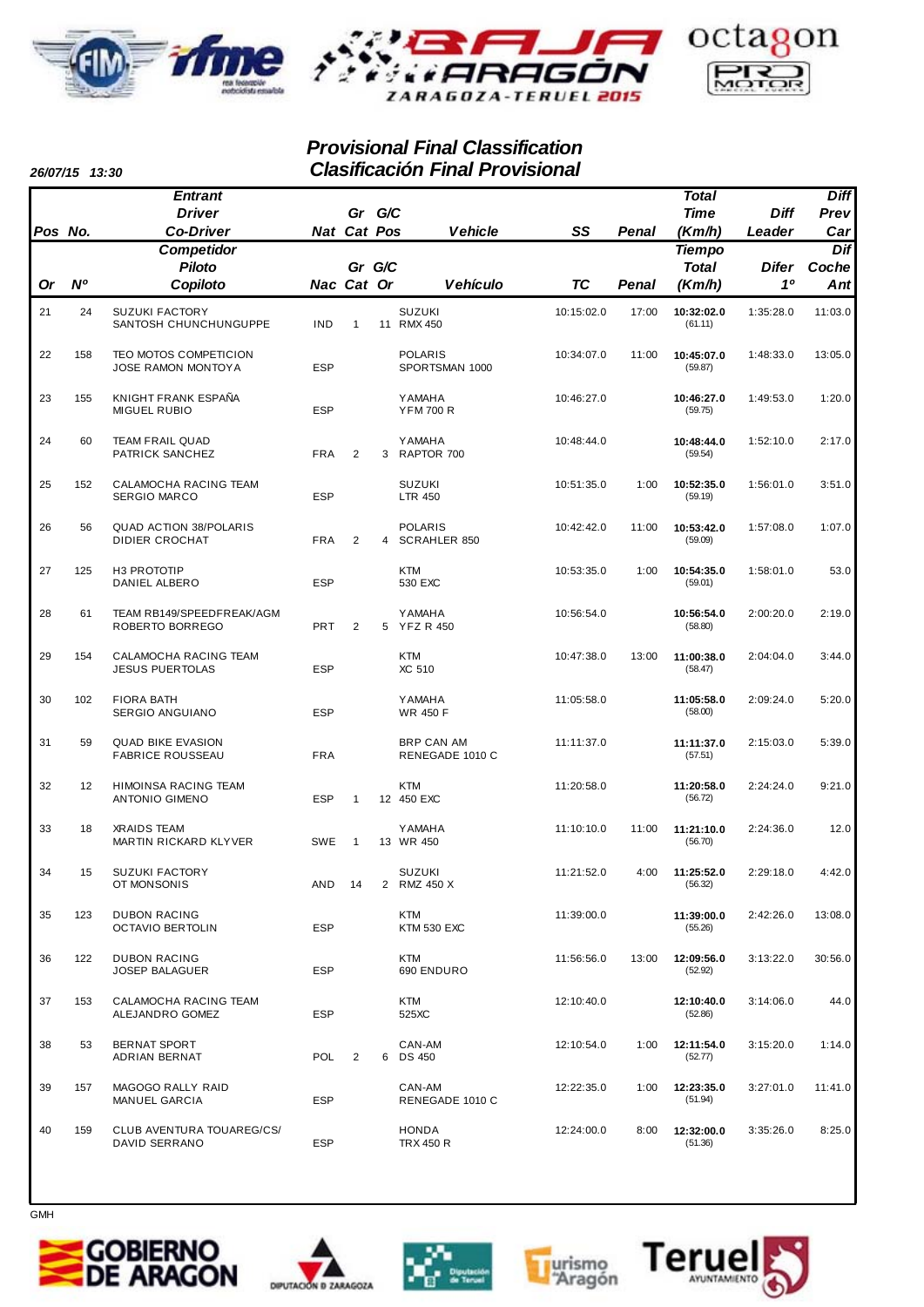



## *Provisional Final Classification Clasificación Final Provisional*

*26/07/15 13:30*

|         | טט.טו טוועש    |                                                        |            |                |   |                                       |            |              |                       |                    |             |
|---------|----------------|--------------------------------------------------------|------------|----------------|---|---------------------------------------|------------|--------------|-----------------------|--------------------|-------------|
|         |                | <b>Entrant</b>                                         |            |                |   |                                       |            |              | Total                 |                    | <b>Diff</b> |
|         |                | <b>Driver</b>                                          |            | Gr G/C         |   |                                       |            |              | <b>Time</b>           | <b>Diff</b>        | Prev        |
| Pos No. |                | <b>Co-Driver</b>                                       |            | Nat Cat Pos    |   | <b>Vehicle</b>                        | SS         | <b>Penal</b> | (Km/h)                | Leader             | Car         |
|         |                | <b>Competidor</b>                                      |            |                |   |                                       |            |              | <b>Tiempo</b>         |                    | Dif         |
|         | N <sup>o</sup> | <b>Piloto</b>                                          |            | Gr G/C         |   |                                       | <b>TC</b>  |              | <b>Total</b>          | <b>Difer</b><br>10 | Coche       |
| Or      |                | Copiloto                                               | Nac Cat Or |                |   | <b>Vehículo</b>                       |            | Penal        | (Km/h)                |                    | Ant         |
| 21      | 24             | <b>SUZUKI FACTORY</b><br>SANTOSH CHUNCHUNGUPPE         | <b>IND</b> | $\mathbf{1}$   |   | <b>SUZUKI</b><br>11 RMX 450           | 10:15:02.0 | 17:00        | 10:32:02.0<br>(61.11) | 1:35:28.0          | 11:03.0     |
| 22      | 158            | TEO MOTOS COMPETICION<br><b>JOSE RAMON MONTOYA</b>     | <b>ESP</b> |                |   | <b>POLARIS</b><br>SPORTSMAN 1000      | 10:34:07.0 | 11:00        | 10:45:07.0<br>(59.87) | 1:48:33.0          | 13:05.0     |
| 23      | 155            | KNIGHT FRANK ESPAÑA<br><b>MIGUEL RUBIO</b>             | <b>ESP</b> |                |   | <b>YAMAHA</b><br><b>YFM 700 R</b>     | 10:46:27.0 |              | 10:46:27.0<br>(59.75) | 1:49:53.0          | 1:20.0      |
| 24      | 60             | <b>TEAM FRAIL QUAD</b><br>PATRICK SANCHEZ              | <b>FRA</b> | $\overline{2}$ | 3 | <b>YAMAHA</b><br>RAPTOR 700           | 10:48:44.0 |              | 10:48:44.0<br>(59.54) | 1:52:10.0          | 2:17.0      |
| 25      | 152            | CALAMOCHA RACING TEAM<br><b>SERGIO MARCO</b>           | <b>ESP</b> |                |   | <b>SUZUKI</b><br><b>LTR 450</b>       | 10:51:35.0 | 1:00         | 10:52:35.0<br>(59.19) | 1:56:01.0          | 3:51.0      |
| 26      | 56             | <b>QUAD ACTION 38/POLARIS</b><br><b>DIDIER CROCHAT</b> | <b>FRA</b> | $\overline{2}$ | 4 | <b>POLARIS</b><br><b>SCRAHLER 850</b> | 10:42:42.0 | 11:00        | 10:53:42.0<br>(59.09) | 1:57:08.0          | 1:07.0      |
| 27      | 125            | H3 PROTOTIP<br>DANIEL ALBERO                           | <b>ESP</b> |                |   | <b>KTM</b><br>530 EXC                 | 10:53:35.0 | 1:00         | 10:54:35.0<br>(59.01) | 1:58:01.0          | 53.0        |
| 28      | 61             | TEAM RB149/SPEEDFREAK/AGM<br>ROBERTO BORREGO           | <b>PRT</b> | $\overline{2}$ |   | <b>YAMAHA</b><br>5 YFZ R 450          | 10:56:54.0 |              | 10:56:54.0<br>(58.80) | 2:00:20.0          | 2:19.0      |
| 29      | 154            | CALAMOCHA RACING TEAM<br><b>JESUS PUERTOLAS</b>        | <b>ESP</b> |                |   | <b>KTM</b><br>XC 510                  | 10:47:38.0 | 13:00        | 11:00:38.0<br>(58.47) | 2:04:04.0          | 3:44.0      |
| 30      | 102            | <b>FIORA BATH</b><br>SERGIO ANGUIANO                   | <b>ESP</b> |                |   | <b>YAMAHA</b><br><b>WR 450 F</b>      | 11:05:58.0 |              | 11:05:58.0<br>(58.00) | 2:09:24.0          | 5:20.0      |
| 31      | 59             | <b>QUAD BIKE EVASION</b><br><b>FABRICE ROUSSEAU</b>    | <b>FRA</b> |                |   | <b>BRP CAN AM</b><br>RENEGADE 1010 C  | 11:11:37.0 |              | 11:11:37.0<br>(57.51) | 2:15:03.0          | 5:39.0      |
| 32      | 12             | HIMOINSA RACING TEAM<br><b>ANTONIO GIMENO</b>          | <b>ESP</b> | $\overline{1}$ |   | <b>KTM</b><br>12 450 EXC              | 11:20:58.0 |              | 11:20:58.0<br>(56.72) | 2:24:24.0          | 9:21.0      |
| 33      | 18             | <b>XRAIDS TEAM</b><br>MARTIN RICKARD KLYVER            | <b>SWE</b> | $\mathbf{1}$   |   | <b>YAMAHA</b><br>13 WR 450            | 11:10:10.0 | 11:00        | 11:21:10.0<br>(56.70) | 2:24:36.0          | 12.0        |
| 34      | 15             | SUZUKI FACTORY<br>OT MONSONIS                          | AND        | 14             |   | <b>SUZUKI</b><br>2 RMZ 450 X          | 11:21:52.0 | 4:00         | 11:25:52.0<br>(56.32) | 2:29:18.0          | 4:42.0      |
| 35      | 123            | <b>DUBON RACING</b><br><b>OCTAVIO BERTOLIN</b>         | <b>ESP</b> |                |   | <b>KTM</b><br><b>KTM 530 EXC</b>      | 11:39:00.0 |              | 11:39:00.0<br>(55.26) | 2:42:26.0          | 13:08.0     |
| 36      | 122            | <b>DUBON RACING</b><br><b>JOSEP BALAGUER</b>           | <b>ESP</b> |                |   | <b>KTM</b><br>690 ENDURO              | 11:56:56.0 | 13:00        | 12:09:56.0<br>(52.92) | 3:13:22.0          | 30:56.0     |
| 37      | 153            | CALAMOCHA RACING TEAM<br>ALEJANDRO GOMEZ               | <b>ESP</b> |                |   | KTM<br>525XC                          | 12:10:40.0 |              | 12:10:40.0<br>(52.86) | 3:14:06.0          | 44.0        |
| 38      | 53             | BERNAT SPORT<br>ADRIAN BERNAT                          | <b>POL</b> | $\overline{2}$ | 6 | CAN-AM<br><b>DS 450</b>               | 12:10:54.0 | 1:00         | 12:11:54.0<br>(52.77) | 3:15:20.0          | 1:14.0      |
| 39      | 157            | MAGOGO RALLY RAID<br>MANUEL GARCIA                     | <b>ESP</b> |                |   | CAN-AM<br>RENEGADE 1010 C             | 12:22:35.0 | 1:00         | 12:23:35.0<br>(51.94) | 3:27:01.0          | 11:41.0     |
| 40      | 159            | CLUB AVENTURA TOUAREG/CS/<br>DAVID SERRANO             | <b>ESP</b> |                |   | HONDA<br><b>TRX 450 R</b>             | 12:24:00.0 | 8:00         | 12:32:00.0<br>(51.36) | 3:35:26.0          | 8:25.0      |